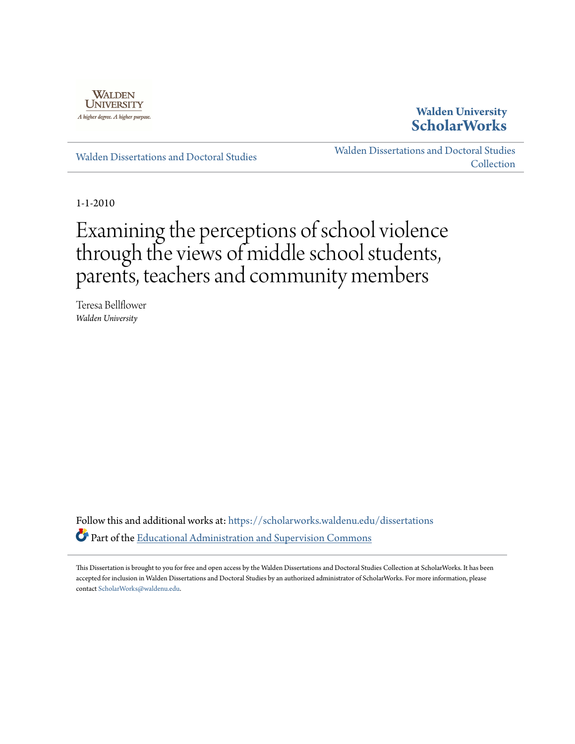

## **Walden University [ScholarWorks](https://scholarworks.waldenu.edu?utm_source=scholarworks.waldenu.edu%2Fdissertations%2F724&utm_medium=PDF&utm_campaign=PDFCoverPages)**

[Walden Dissertations and Doctoral Studies](https://scholarworks.waldenu.edu/dissertations?utm_source=scholarworks.waldenu.edu%2Fdissertations%2F724&utm_medium=PDF&utm_campaign=PDFCoverPages)

[Walden Dissertations and Doctoral Studies](https://scholarworks.waldenu.edu/dissanddoc?utm_source=scholarworks.waldenu.edu%2Fdissertations%2F724&utm_medium=PDF&utm_campaign=PDFCoverPages) [Collection](https://scholarworks.waldenu.edu/dissanddoc?utm_source=scholarworks.waldenu.edu%2Fdissertations%2F724&utm_medium=PDF&utm_campaign=PDFCoverPages)

1-1-2010

# Examining the perceptions of school violence through the views of middle school students, parents, teachers and community members

Teresa Bellflower *Walden University*

Follow this and additional works at: [https://scholarworks.waldenu.edu/dissertations](https://scholarworks.waldenu.edu/dissertations?utm_source=scholarworks.waldenu.edu%2Fdissertations%2F724&utm_medium=PDF&utm_campaign=PDFCoverPages) Part of the [Educational Administration and Supervision Commons](http://network.bepress.com/hgg/discipline/787?utm_source=scholarworks.waldenu.edu%2Fdissertations%2F724&utm_medium=PDF&utm_campaign=PDFCoverPages)

This Dissertation is brought to you for free and open access by the Walden Dissertations and Doctoral Studies Collection at ScholarWorks. It has been accepted for inclusion in Walden Dissertations and Doctoral Studies by an authorized administrator of ScholarWorks. For more information, please contact [ScholarWorks@waldenu.edu](mailto:ScholarWorks@waldenu.edu).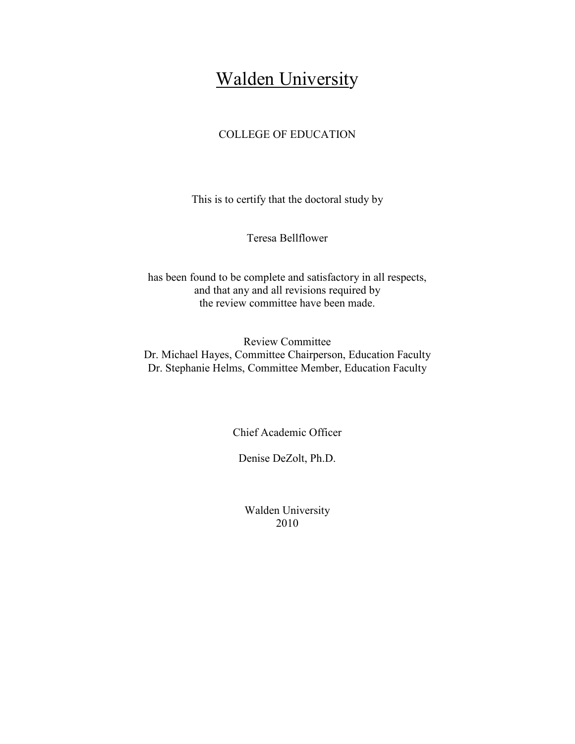## Walden University

## COLLEGE OF EDUCATION

This is to certify that the doctoral study by

Teresa Bellflower

has been found to be complete and satisfactory in all respects, and that any and all revisions required by the review committee have been made.

Review Committee Dr. Michael Hayes, Committee Chairperson, Education Faculty Dr. Stephanie Helms, Committee Member, Education Faculty

Chief Academic Officer

Denise DeZolt, Ph.D.

Walden University 2010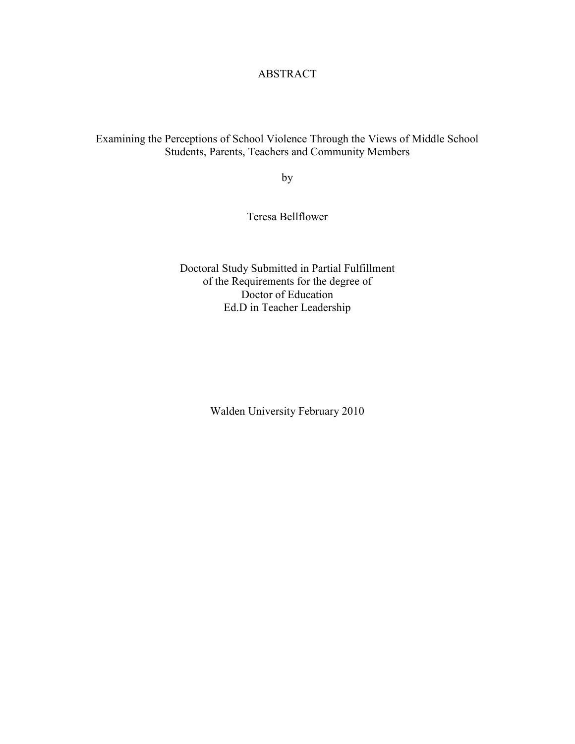## ABSTRACT

## Examining the Perceptions of School Violence Through the Views of Middle School Students, Parents, Teachers and Community Members

by

Teresa Bellflower

Doctoral Study Submitted in Partial Fulfillment of the Requirements for the degree of Doctor of Education Ed.D in Teacher Leadership

Walden University February 2010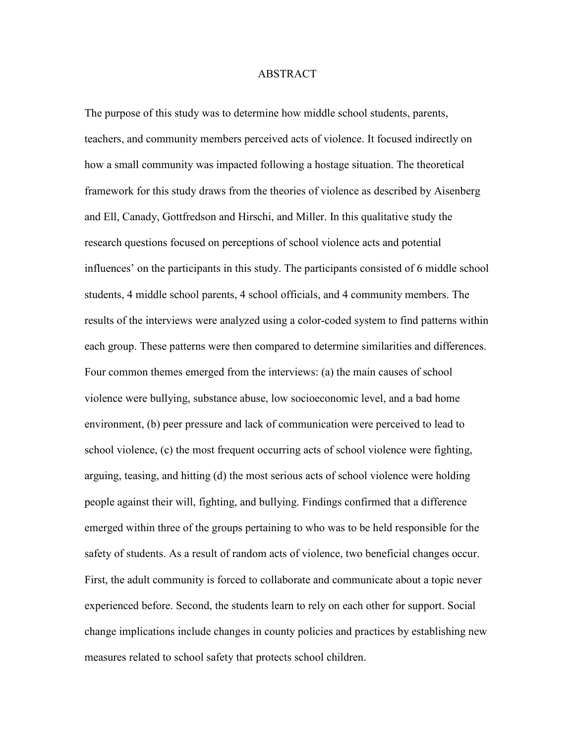#### ABSTRACT

The purpose of this study was to determine how middle school students, parents, teachers, and community members perceived acts of violence. It focused indirectly on how a small community was impacted following a hostage situation. The theoretical framework for this study draws from the theories of violence as described by Aisenberg and Ell, Canady, Gottfredson and Hirschi, and Miller. In this qualitative study the research questions focused on perceptions of school violence acts and potential influences' on the participants in this study. The participants consisted of 6 middle school students, 4 middle school parents, 4 school officials, and 4 community members. The results of the interviews were analyzed using a color-coded system to find patterns within each group. These patterns were then compared to determine similarities and differences. Four common themes emerged from the interviews: (a) the main causes of school violence were bullying, substance abuse, low socioeconomic level, and a bad home environment, (b) peer pressure and lack of communication were perceived to lead to school violence, (c) the most frequent occurring acts of school violence were fighting, arguing, teasing, and hitting (d) the most serious acts of school violence were holding people against their will, fighting, and bullying. Findings confirmed that a difference emerged within three of the groups pertaining to who was to be held responsible for the safety of students. As a result of random acts of violence, two beneficial changes occur. First, the adult community is forced to collaborate and communicate about a topic never experienced before. Second, the students learn to rely on each other for support. Social change implications include changes in county policies and practices by establishing new measures related to school safety that protects school children.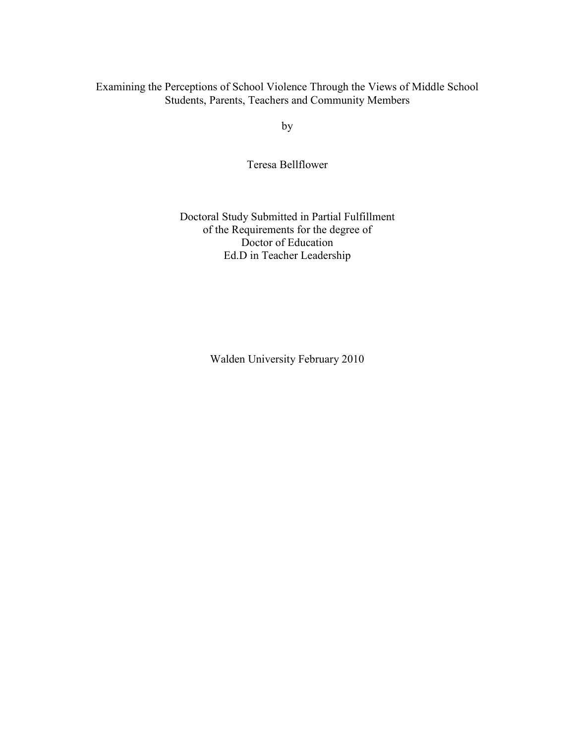### Examining the Perceptions of School Violence Through the Views of Middle School Students, Parents, Teachers and Community Members

by

Teresa Bellflower

Doctoral Study Submitted in Partial Fulfillment of the Requirements for the degree of Doctor of Education Ed.D in Teacher Leadership

Walden University February 2010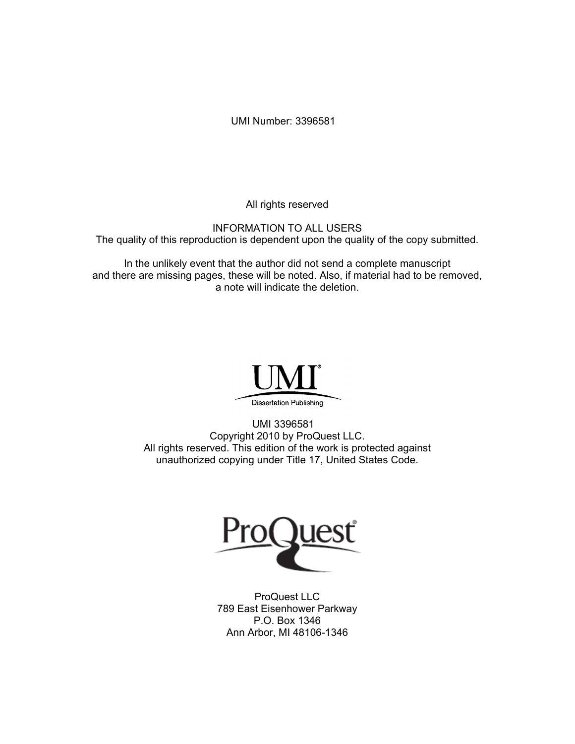UMI Number: 3396581

All rights reserved

INFORMATION TO ALL USERS The quality of this reproduction is dependent upon the quality of the copy submitted.

In the unlikely event that the author did not send a complete manuscript and there are missing pages, these will be noted. Also, if material had to be removed, a note will indicate the deletion.



UMI 3396581 Copyright 2010 by ProQuest LLC. All rights reserved. This edition of the work is protected against unauthorized copying under Title 17, United States Code.



ProQuest LLC 789 East Eisenhower Parkway P.O. Box 1346 Ann Arbor, MI 48106-1346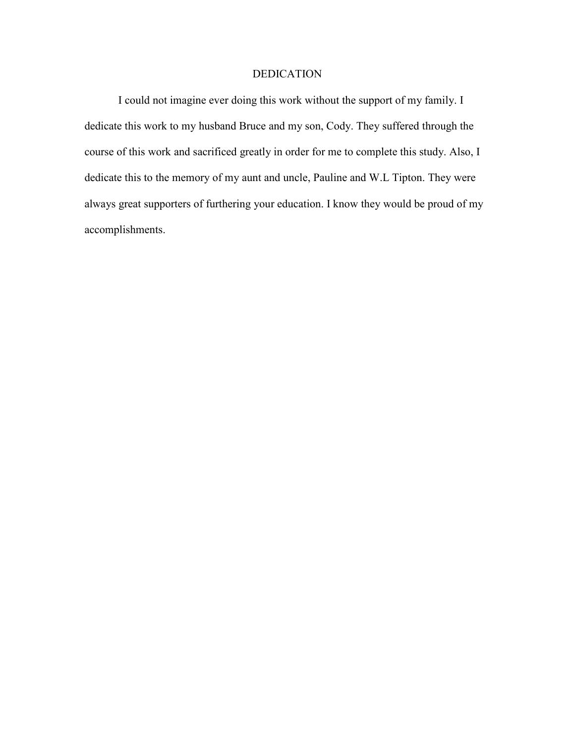#### DEDICATION

 I could not imagine ever doing this work without the support of my family. I dedicate this work to my husband Bruce and my son, Cody. They suffered through the course of this work and sacrificed greatly in order for me to complete this study. Also, I dedicate this to the memory of my aunt and uncle, Pauline and W.L Tipton. They were always great supporters of furthering your education. I know they would be proud of my accomplishments.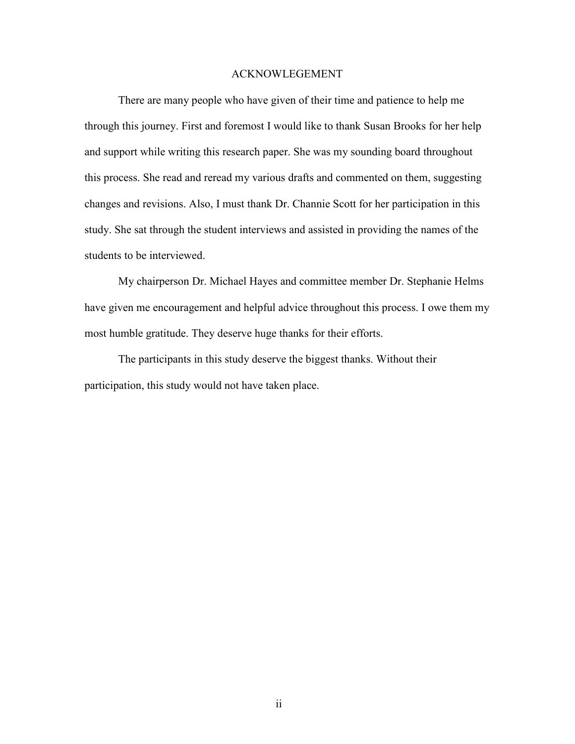#### ACKNOWLEGEMENT

There are many people who have given of their time and patience to help me through this journey. First and foremost I would like to thank Susan Brooks for her help and support while writing this research paper. She was my sounding board throughout this process. She read and reread my various drafts and commented on them, suggesting changes and revisions. Also, I must thank Dr. Channie Scott for her participation in this study. She sat through the student interviews and assisted in providing the names of the students to be interviewed.

 My chairperson Dr. Michael Hayes and committee member Dr. Stephanie Helms have given me encouragement and helpful advice throughout this process. I owe them my most humble gratitude. They deserve huge thanks for their efforts.

 The participants in this study deserve the biggest thanks. Without their participation, this study would not have taken place.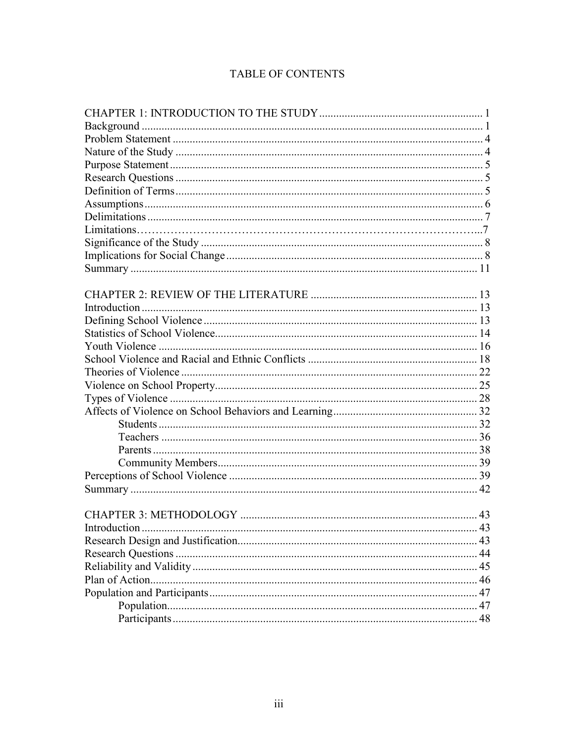## **TABLE OF CONTENTS**

| Introduction |  |
|--------------|--|
|              |  |
|              |  |
|              |  |
|              |  |
|              |  |
|              |  |
|              |  |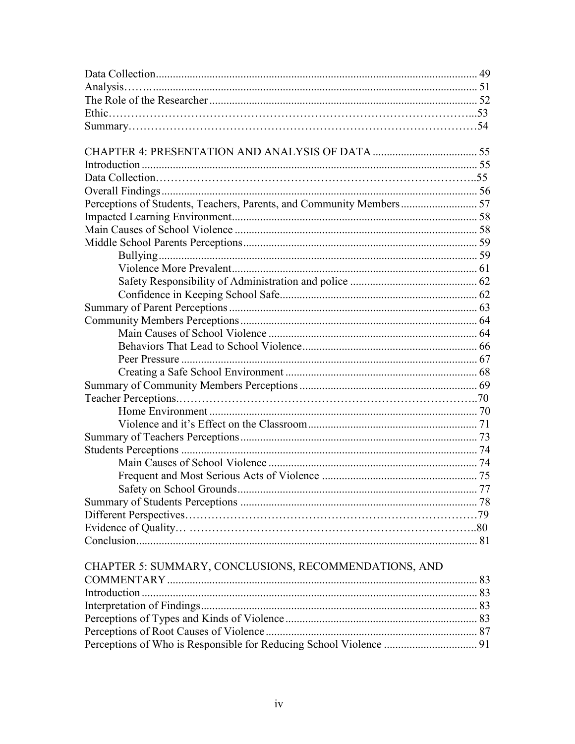| CHAPTER 5: SUMMARY, CONCLUSIONS, RECOMMENDATIONS, AND |  |
|-------------------------------------------------------|--|
|                                                       |  |
|                                                       |  |
|                                                       |  |
|                                                       |  |
|                                                       |  |
|                                                       |  |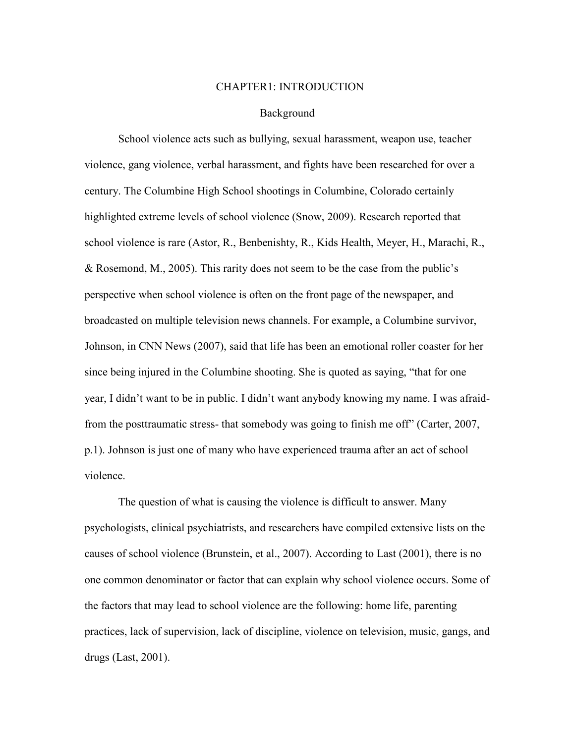#### CHAPTER1: INTRODUCTION

#### Background

 School violence acts such as bullying, sexual harassment, weapon use, teacher violence, gang violence, verbal harassment, and fights have been researched for over a century. The Columbine High School shootings in Columbine, Colorado certainly highlighted extreme levels of school violence (Snow, 2009). Research reported that school violence is rare (Astor, R., Benbenishty, R., Kids Health, Meyer, H., Marachi, R., & Rosemond, M., 2005). This rarity does not seem to be the case from the public's perspective when school violence is often on the front page of the newspaper, and broadcasted on multiple television news channels. For example, a Columbine survivor, Johnson, in CNN News (2007), said that life has been an emotional roller coaster for her since being injured in the Columbine shooting. She is quoted as saying, "that for one year, I didn't want to be in public. I didn't want anybody knowing my name. I was afraidfrom the posttraumatic stress- that somebody was going to finish me off" (Carter, 2007, p.1). Johnson is just one of many who have experienced trauma after an act of school violence.

 The question of what is causing the violence is difficult to answer. Many psychologists, clinical psychiatrists, and researchers have compiled extensive lists on the causes of school violence (Brunstein, et al., 2007). According to Last (2001), there is no one common denominator or factor that can explain why school violence occurs. Some of the factors that may lead to school violence are the following: home life, parenting practices, lack of supervision, lack of discipline, violence on television, music, gangs, and drugs (Last, 2001).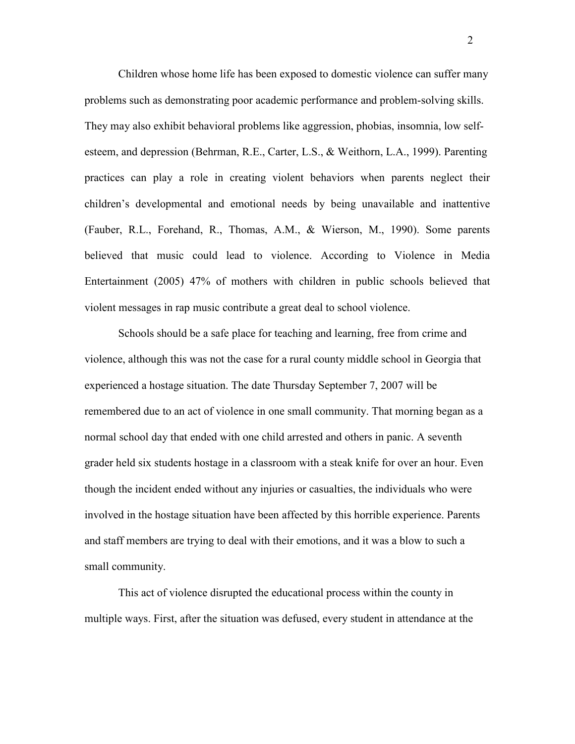Children whose home life has been exposed to domestic violence can suffer many problems such as demonstrating poor academic performance and problem-solving skills. They may also exhibit behavioral problems like aggression, phobias, insomnia, low selfesteem, and depression (Behrman, R.E., Carter, L.S., & Weithorn, L.A., 1999). Parenting practices can play a role in creating violent behaviors when parents neglect their children's developmental and emotional needs by being unavailable and inattentive (Fauber, R.L., Forehand, R., Thomas, A.M., & Wierson, M., 1990). Some parents believed that music could lead to violence. According to Violence in Media Entertainment (2005) 47% of mothers with children in public schools believed that violent messages in rap music contribute a great deal to school violence.

 Schools should be a safe place for teaching and learning, free from crime and violence, although this was not the case for a rural county middle school in Georgia that experienced a hostage situation. The date Thursday September 7, 2007 will be remembered due to an act of violence in one small community. That morning began as a normal school day that ended with one child arrested and others in panic. A seventh grader held six students hostage in a classroom with a steak knife for over an hour. Even though the incident ended without any injuries or casualties, the individuals who were involved in the hostage situation have been affected by this horrible experience. Parents and staff members are trying to deal with their emotions, and it was a blow to such a small community.

 This act of violence disrupted the educational process within the county in multiple ways. First, after the situation was defused, every student in attendance at the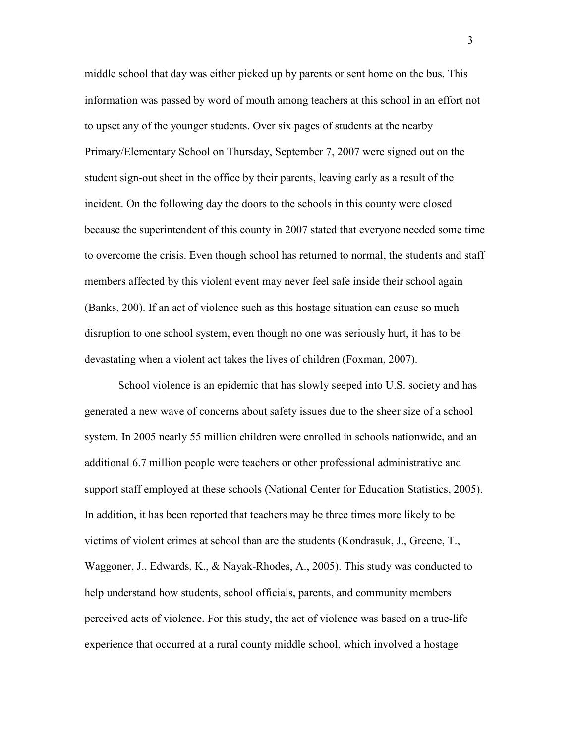middle school that day was either picked up by parents or sent home on the bus. This information was passed by word of mouth among teachers at this school in an effort not to upset any of the younger students. Over six pages of students at the nearby Primary/Elementary School on Thursday, September 7, 2007 were signed out on the student sign-out sheet in the office by their parents, leaving early as a result of the incident. On the following day the doors to the schools in this county were closed because the superintendent of this county in 2007 stated that everyone needed some time to overcome the crisis. Even though school has returned to normal, the students and staff members affected by this violent event may never feel safe inside their school again (Banks, 200). If an act of violence such as this hostage situation can cause so much disruption to one school system, even though no one was seriously hurt, it has to be devastating when a violent act takes the lives of children (Foxman, 2007).

 School violence is an epidemic that has slowly seeped into U.S. society and has generated a new wave of concerns about safety issues due to the sheer size of a school system. In 2005 nearly 55 million children were enrolled in schools nationwide, and an additional 6.7 million people were teachers or other professional administrative and support staff employed at these schools (National Center for Education Statistics, 2005). In addition, it has been reported that teachers may be three times more likely to be victims of violent crimes at school than are the students (Kondrasuk, J., Greene, T., Waggoner, J., Edwards, K., & Nayak-Rhodes, A., 2005). This study was conducted to help understand how students, school officials, parents, and community members perceived acts of violence. For this study, the act of violence was based on a true-life experience that occurred at a rural county middle school, which involved a hostage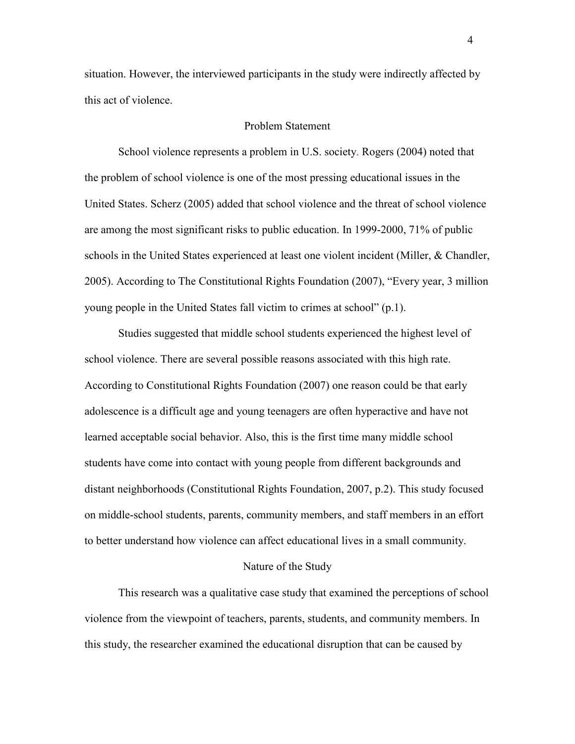situation. However, the interviewed participants in the study were indirectly affected by this act of violence.

#### Problem Statement

 School violence represents a problem in U.S. society. Rogers (2004) noted that the problem of school violence is one of the most pressing educational issues in the United States. Scherz (2005) added that school violence and the threat of school violence are among the most significant risks to public education. In 1999-2000, 71% of public schools in the United States experienced at least one violent incident (Miller, & Chandler, 2005). According to The Constitutional Rights Foundation (2007), "Every year, 3 million young people in the United States fall victim to crimes at school" (p.1).

Studies suggested that middle school students experienced the highest level of school violence. There are several possible reasons associated with this high rate. According to Constitutional Rights Foundation (2007) one reason could be that early adolescence is a difficult age and young teenagers are often hyperactive and have not learned acceptable social behavior. Also, this is the first time many middle school students have come into contact with young people from different backgrounds and distant neighborhoods (Constitutional Rights Foundation, 2007, p.2). This study focused on middle-school students, parents, community members, and staff members in an effort to better understand how violence can affect educational lives in a small community.

#### Nature of the Study

 This research was a qualitative case study that examined the perceptions of school violence from the viewpoint of teachers, parents, students, and community members. In this study, the researcher examined the educational disruption that can be caused by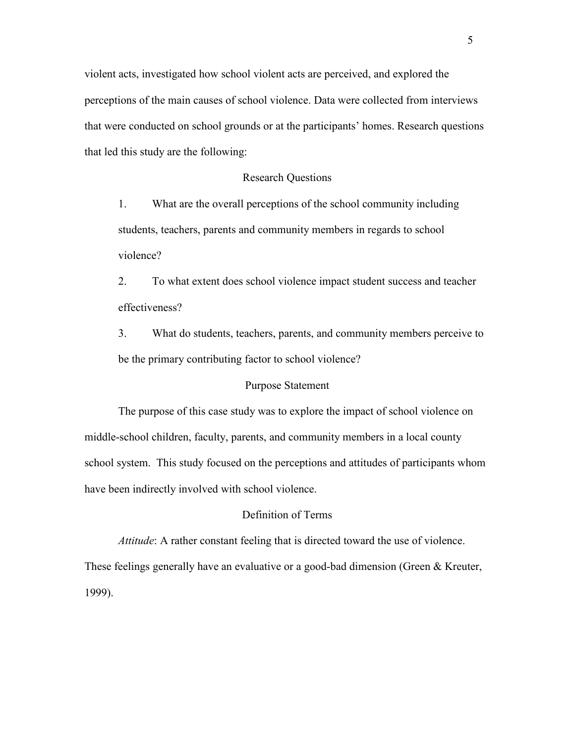violent acts, investigated how school violent acts are perceived, and explored the perceptions of the main causes of school violence. Data were collected from interviews that were conducted on school grounds or at the participants' homes. Research questions that led this study are the following:

#### Research Questions

1. What are the overall perceptions of the school community including students, teachers, parents and community members in regards to school violence?

2. To what extent does school violence impact student success and teacher effectiveness?

3. What do students, teachers, parents, and community members perceive to be the primary contributing factor to school violence?

#### Purpose Statement

 The purpose of this case study was to explore the impact of school violence on middle-school children, faculty, parents, and community members in a local county school system. This study focused on the perceptions and attitudes of participants whom have been indirectly involved with school violence.

#### Definition of Terms

*Attitude*: A rather constant feeling that is directed toward the use of violence.

These feelings generally have an evaluative or a good-bad dimension (Green & Kreuter, 1999).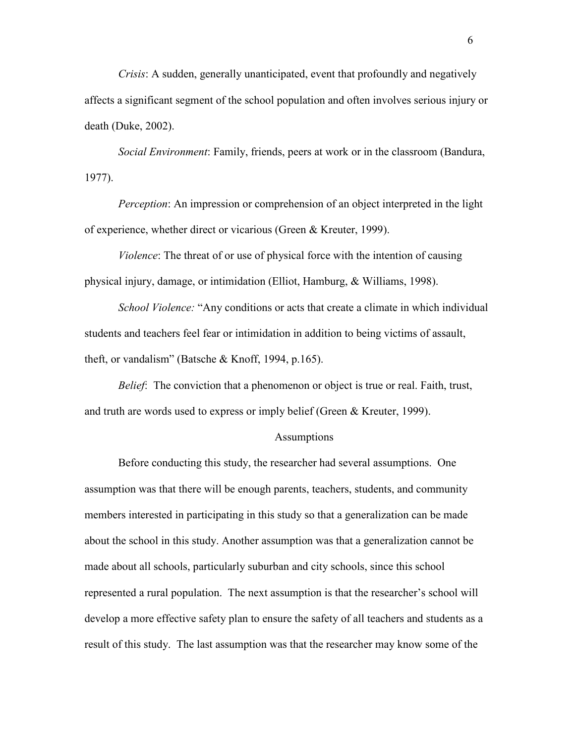*Crisis*: A sudden, generally unanticipated, event that profoundly and negatively affects a significant segment of the school population and often involves serious injury or death (Duke, 2002).

*Social Environment*: Family, friends, peers at work or in the classroom (Bandura, 1977).

*Perception*: An impression or comprehension of an object interpreted in the light of experience, whether direct or vicarious (Green & Kreuter, 1999).

*Violence*: The threat of or use of physical force with the intention of causing physical injury, damage, or intimidation (Elliot, Hamburg, & Williams, 1998).

*School Violence:* "Any conditions or acts that create a climate in which individual students and teachers feel fear or intimidation in addition to being victims of assault, theft, or vandalism" (Batsche & Knoff, 1994, p.165).

*Belief*: The conviction that a phenomenon or object is true or real. Faith, trust, and truth are words used to express or imply belief (Green & Kreuter, 1999).

#### Assumptions

Before conducting this study, the researcher had several assumptions. One assumption was that there will be enough parents, teachers, students, and community members interested in participating in this study so that a generalization can be made about the school in this study. Another assumption was that a generalization cannot be made about all schools, particularly suburban and city schools, since this school represented a rural population. The next assumption is that the researcher's school will develop a more effective safety plan to ensure the safety of all teachers and students as a result of this study. The last assumption was that the researcher may know some of the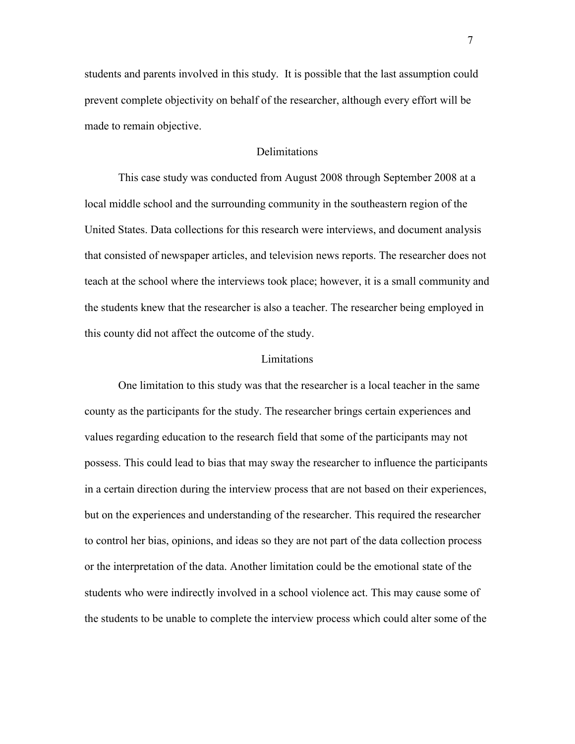students and parents involved in this study. It is possible that the last assumption could prevent complete objectivity on behalf of the researcher, although every effort will be made to remain objective.

#### **Delimitations**

 This case study was conducted from August 2008 through September 2008 at a local middle school and the surrounding community in the southeastern region of the United States. Data collections for this research were interviews, and document analysis that consisted of newspaper articles, and television news reports. The researcher does not teach at the school where the interviews took place; however, it is a small community and the students knew that the researcher is also a teacher. The researcher being employed in this county did not affect the outcome of the study.

#### Limitations

 One limitation to this study was that the researcher is a local teacher in the same county as the participants for the study. The researcher brings certain experiences and values regarding education to the research field that some of the participants may not possess. This could lead to bias that may sway the researcher to influence the participants in a certain direction during the interview process that are not based on their experiences, but on the experiences and understanding of the researcher. This required the researcher to control her bias, opinions, and ideas so they are not part of the data collection process or the interpretation of the data. Another limitation could be the emotional state of the students who were indirectly involved in a school violence act. This may cause some of the students to be unable to complete the interview process which could alter some of the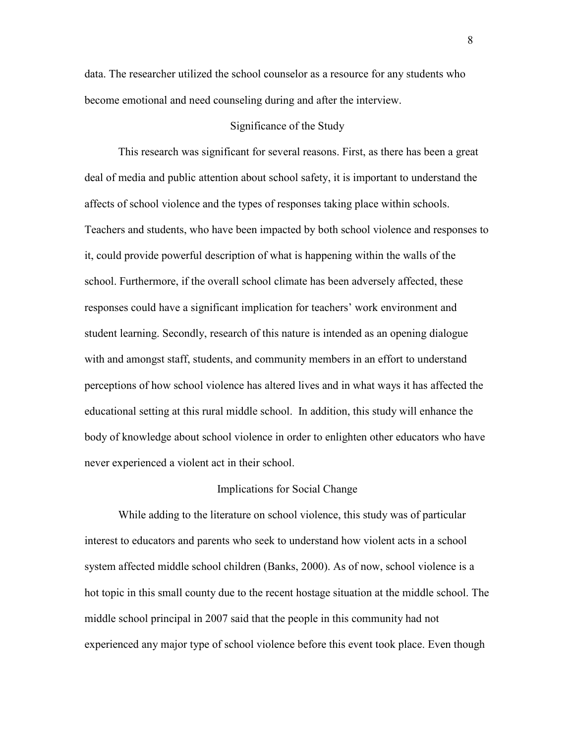data. The researcher utilized the school counselor as a resource for any students who become emotional and need counseling during and after the interview.

#### Significance of the Study

 This research was significant for several reasons. First, as there has been a great deal of media and public attention about school safety, it is important to understand the affects of school violence and the types of responses taking place within schools. Teachers and students, who have been impacted by both school violence and responses to it, could provide powerful description of what is happening within the walls of the school. Furthermore, if the overall school climate has been adversely affected, these responses could have a significant implication for teachers' work environment and student learning. Secondly, research of this nature is intended as an opening dialogue with and amongst staff, students, and community members in an effort to understand perceptions of how school violence has altered lives and in what ways it has affected the educational setting at this rural middle school. In addition, this study will enhance the body of knowledge about school violence in order to enlighten other educators who have never experienced a violent act in their school.

#### Implications for Social Change

 While adding to the literature on school violence, this study was of particular interest to educators and parents who seek to understand how violent acts in a school system affected middle school children (Banks, 2000). As of now, school violence is a hot topic in this small county due to the recent hostage situation at the middle school. The middle school principal in 2007 said that the people in this community had not experienced any major type of school violence before this event took place. Even though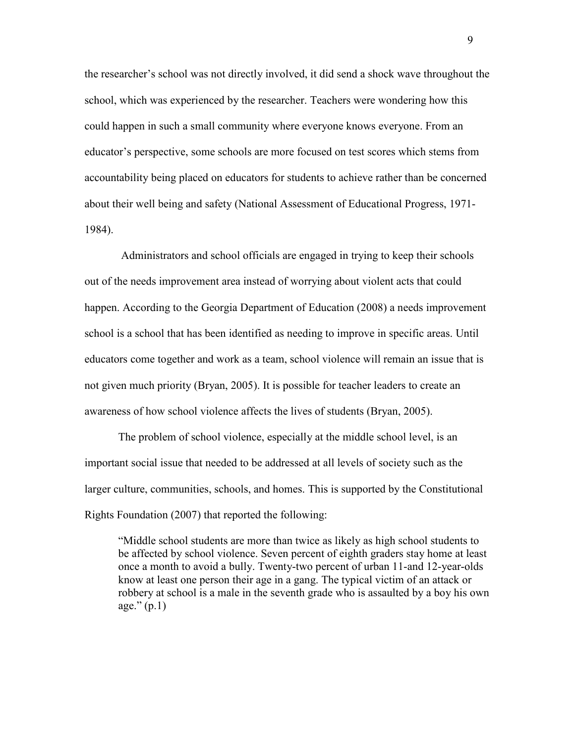the researcher's school was not directly involved, it did send a shock wave throughout the school, which was experienced by the researcher. Teachers were wondering how this could happen in such a small community where everyone knows everyone. From an educator's perspective, some schools are more focused on test scores which stems from accountability being placed on educators for students to achieve rather than be concerned about their well being and safety (National Assessment of Educational Progress, 1971- 1984).

 Administrators and school officials are engaged in trying to keep their schools out of the needs improvement area instead of worrying about violent acts that could happen. According to the Georgia Department of Education (2008) a needs improvement school is a school that has been identified as needing to improve in specific areas. Until educators come together and work as a team, school violence will remain an issue that is not given much priority (Bryan, 2005). It is possible for teacher leaders to create an awareness of how school violence affects the lives of students (Bryan, 2005).

 The problem of school violence, especially at the middle school level, is an important social issue that needed to be addressed at all levels of society such as the larger culture, communities, schools, and homes. This is supported by the Constitutional Rights Foundation (2007) that reported the following:

 "Middle school students are more than twice as likely as high school students to be affected by school violence. Seven percent of eighth graders stay home at least once a month to avoid a bully. Twenty-two percent of urban 11-and 12-year-olds know at least one person their age in a gang. The typical victim of an attack or robbery at school is a male in the seventh grade who is assaulted by a boy his own age." $(p.1)$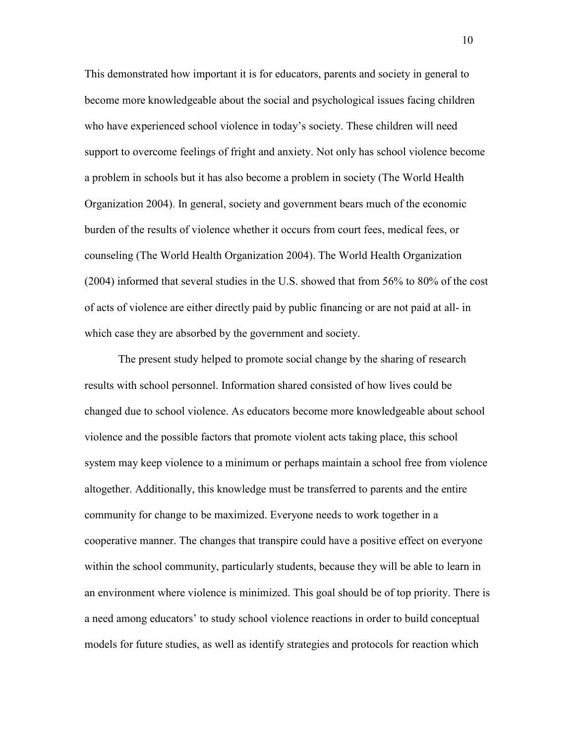This demonstrated how important it is for educators, parents and society in general to become more knowledgeable about the social and psychological issues facing children who have experienced school violence in today's society. These children will need support to overcome feelings of fright and anxiety. Not only has school violence become a problem in schools but it has also become a problem in society (The World Health Organization 2004). In general, society and government bears much of the economic burden of the results of violence whether it occurs from court fees, medical fees, or counseling (The World Health Organization 2004). The World Health Organization (2004) informed that several studies in the U.S. showed that from 56% to 80% of the cost of acts of violence are either directly paid by public financing or are not paid at all- in which case they are absorbed by the government and society.

 The present study helped to promote social change by the sharing of research results with school personnel. Information shared consisted of how lives could be changed due to school violence. As educators become more knowledgeable about school violence and the possible factors that promote violent acts taking place, this school system may keep violence to a minimum or perhaps maintain a school free from violence altogether. Additionally, this knowledge must be transferred to parents and the entire community for change to be maximized. Everyone needs to work together in a cooperative manner. The changes that transpire could have a positive effect on everyone within the school community, particularly students, because they will be able to learn in an environment where violence is minimized. This goal should be of top priority. There is a need among educators' to study school violence reactions in order to build conceptual models for future studies, as well as identify strategies and protocols for reaction which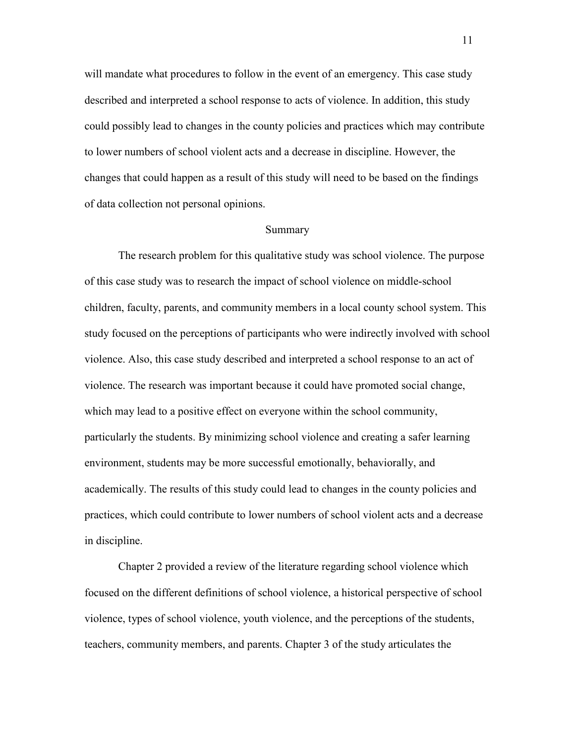will mandate what procedures to follow in the event of an emergency. This case study described and interpreted a school response to acts of violence. In addition, this study could possibly lead to changes in the county policies and practices which may contribute to lower numbers of school violent acts and a decrease in discipline. However, the changes that could happen as a result of this study will need to be based on the findings of data collection not personal opinions.

#### Summary

 The research problem for this qualitative study was school violence. The purpose of this case study was to research the impact of school violence on middle-school children, faculty, parents, and community members in a local county school system. This study focused on the perceptions of participants who were indirectly involved with school violence. Also, this case study described and interpreted a school response to an act of violence. The research was important because it could have promoted social change, which may lead to a positive effect on everyone within the school community, particularly the students. By minimizing school violence and creating a safer learning environment, students may be more successful emotionally, behaviorally, and academically. The results of this study could lead to changes in the county policies and practices, which could contribute to lower numbers of school violent acts and a decrease in discipline.

 Chapter 2 provided a review of the literature regarding school violence which focused on the different definitions of school violence, a historical perspective of school violence, types of school violence, youth violence, and the perceptions of the students, teachers, community members, and parents. Chapter 3 of the study articulates the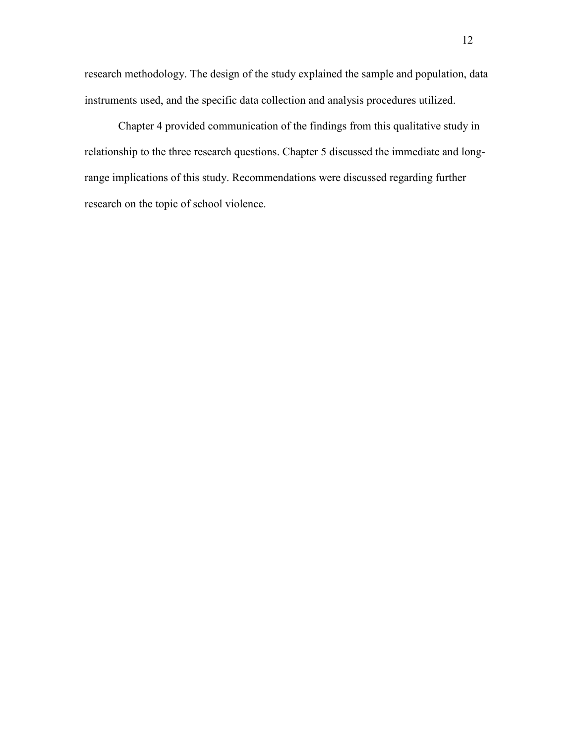research methodology. The design of the study explained the sample and population, data instruments used, and the specific data collection and analysis procedures utilized.

 Chapter 4 provided communication of the findings from this qualitative study in relationship to the three research questions. Chapter 5 discussed the immediate and longrange implications of this study. Recommendations were discussed regarding further research on the topic of school violence.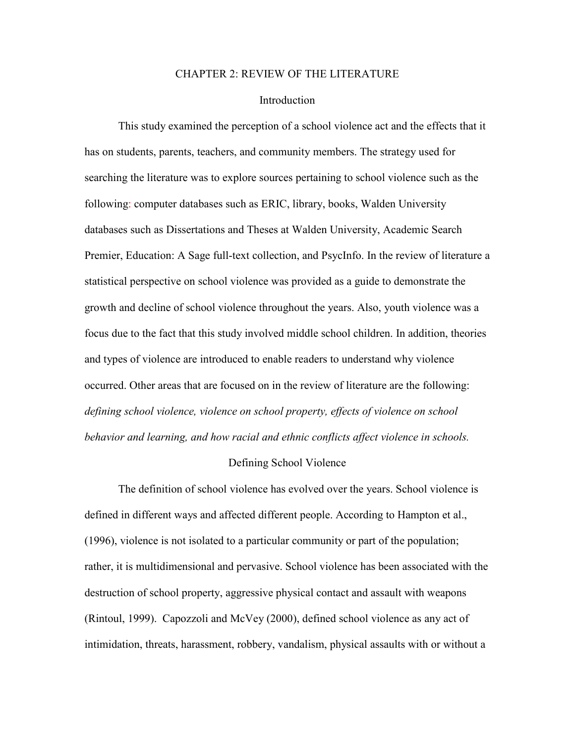#### CHAPTER 2: REVIEW OF THE LITERATURE

#### **Introduction**

 This study examined the perception of a school violence act and the effects that it has on students, parents, teachers, and community members. The strategy used for searching the literature was to explore sources pertaining to school violence such as the following: computer databases such as ERIC, library, books, Walden University databases such as Dissertations and Theses at Walden University, Academic Search Premier, Education: A Sage full-text collection, and PsycInfo. In the review of literature a statistical perspective on school violence was provided as a guide to demonstrate the growth and decline of school violence throughout the years. Also, youth violence was a focus due to the fact that this study involved middle school children. In addition, theories and types of violence are introduced to enable readers to understand why violence occurred. Other areas that are focused on in the review of literature are the following: *defining school violence, violence on school property, effects of violence on school behavior and learning, and how racial and ethnic conflicts affect violence in schools.* 

#### Defining School Violence

 The definition of school violence has evolved over the years. School violence is defined in different ways and affected different people. According to Hampton et al., (1996), violence is not isolated to a particular community or part of the population; rather, it is multidimensional and pervasive. School violence has been associated with the destruction of school property, aggressive physical contact and assault with weapons (Rintoul, 1999). Capozzoli and McVey (2000), defined school violence as any act of intimidation, threats, harassment, robbery, vandalism, physical assaults with or without a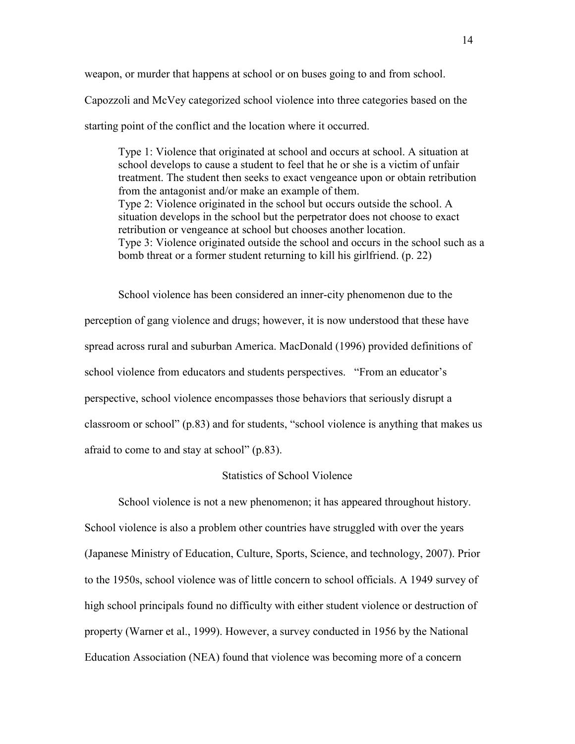weapon, or murder that happens at school or on buses going to and from school.

Capozzoli and McVey categorized school violence into three categories based on the starting point of the conflict and the location where it occurred.

 Type 1: Violence that originated at school and occurs at school. A situation at school develops to cause a student to feel that he or she is a victim of unfair treatment. The student then seeks to exact vengeance upon or obtain retribution from the antagonist and/or make an example of them. Type 2: Violence originated in the school but occurs outside the school. A situation develops in the school but the perpetrator does not choose to exact retribution or vengeance at school but chooses another location. Type 3: Violence originated outside the school and occurs in the school such as a bomb threat or a former student returning to kill his girlfriend. (p. 22)

School violence has been considered an inner-city phenomenon due to the perception of gang violence and drugs; however, it is now understood that these have spread across rural and suburban America. MacDonald (1996) provided definitions of school violence from educators and students perspectives. "From an educator's perspective, school violence encompasses those behaviors that seriously disrupt a classroom or school" (p.83) and for students, "school violence is anything that makes us afraid to come to and stay at school" (p.83).

#### Statistics of School Violence

 School violence is not a new phenomenon; it has appeared throughout history. School violence is also a problem other countries have struggled with over the years (Japanese Ministry of Education, Culture, Sports, Science, and technology, 2007). Prior to the 1950s, school violence was of little concern to school officials. A 1949 survey of high school principals found no difficulty with either student violence or destruction of property (Warner et al., 1999). However, a survey conducted in 1956 by the National Education Association (NEA) found that violence was becoming more of a concern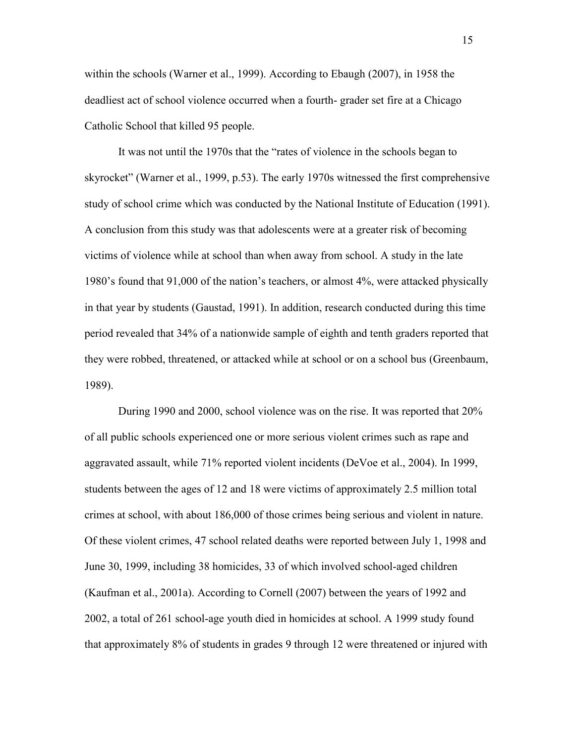within the schools (Warner et al., 1999). According to Ebaugh (2007), in 1958 the deadliest act of school violence occurred when a fourth- grader set fire at a Chicago Catholic School that killed 95 people.

It was not until the 1970s that the "rates of violence in the schools began to skyrocket" (Warner et al., 1999, p.53). The early 1970s witnessed the first comprehensive study of school crime which was conducted by the National Institute of Education (1991). A conclusion from this study was that adolescents were at a greater risk of becoming victims of violence while at school than when away from school. A study in the late 1980's found that 91,000 of the nation's teachers, or almost 4%, were attacked physically in that year by students (Gaustad, 1991). In addition, research conducted during this time period revealed that 34% of a nationwide sample of eighth and tenth graders reported that they were robbed, threatened, or attacked while at school or on a school bus (Greenbaum, 1989).

 During 1990 and 2000, school violence was on the rise. It was reported that 20% of all public schools experienced one or more serious violent crimes such as rape and aggravated assault, while 71% reported violent incidents (DeVoe et al., 2004). In 1999, students between the ages of 12 and 18 were victims of approximately 2.5 million total crimes at school, with about 186,000 of those crimes being serious and violent in nature. Of these violent crimes, 47 school related deaths were reported between July 1, 1998 and June 30, 1999, including 38 homicides, 33 of which involved school-aged children (Kaufman et al., 2001a). According to Cornell (2007) between the years of 1992 and 2002, a total of 261 school-age youth died in homicides at school. A 1999 study found that approximately 8% of students in grades 9 through 12 were threatened or injured with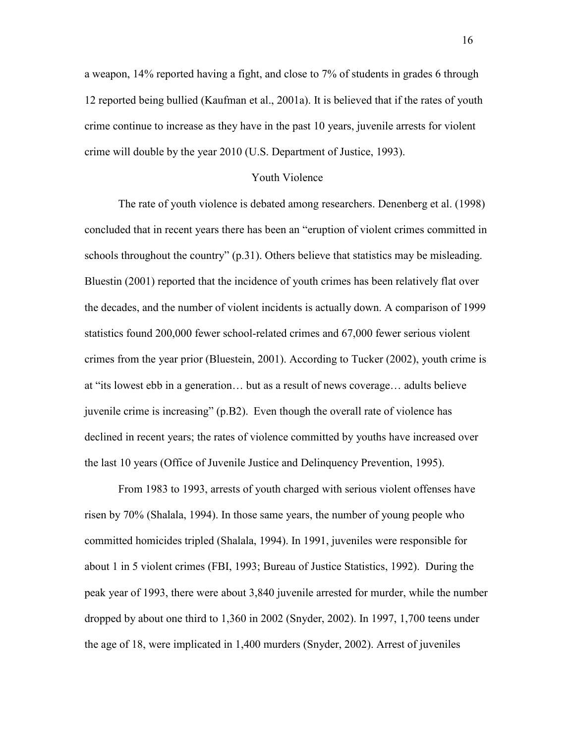a weapon, 14% reported having a fight, and close to 7% of students in grades 6 through 12 reported being bullied (Kaufman et al., 2001a). It is believed that if the rates of youth crime continue to increase as they have in the past 10 years, juvenile arrests for violent crime will double by the year 2010 (U.S. Department of Justice, 1993).

#### Youth Violence

 The rate of youth violence is debated among researchers. Denenberg et al. (1998) concluded that in recent years there has been an "eruption of violent crimes committed in schools throughout the country" (p.31). Others believe that statistics may be misleading. Bluestin (2001) reported that the incidence of youth crimes has been relatively flat over the decades, and the number of violent incidents is actually down. A comparison of 1999 statistics found 200,000 fewer school-related crimes and 67,000 fewer serious violent crimes from the year prior (Bluestein, 2001). According to Tucker (2002), youth crime is at "its lowest ebb in a generation… but as a result of news coverage… adults believe juvenile crime is increasing" (p.B2). Even though the overall rate of violence has declined in recent years; the rates of violence committed by youths have increased over the last 10 years (Office of Juvenile Justice and Delinquency Prevention, 1995).

From 1983 to 1993, arrests of youth charged with serious violent offenses have risen by 70% (Shalala, 1994). In those same years, the number of young people who committed homicides tripled (Shalala, 1994). In 1991, juveniles were responsible for about 1 in 5 violent crimes (FBI, 1993; Bureau of Justice Statistics, 1992). During the peak year of 1993, there were about 3,840 juvenile arrested for murder, while the number dropped by about one third to 1,360 in 2002 (Snyder, 2002). In 1997, 1,700 teens under the age of 18, were implicated in 1,400 murders (Snyder, 2002). Arrest of juveniles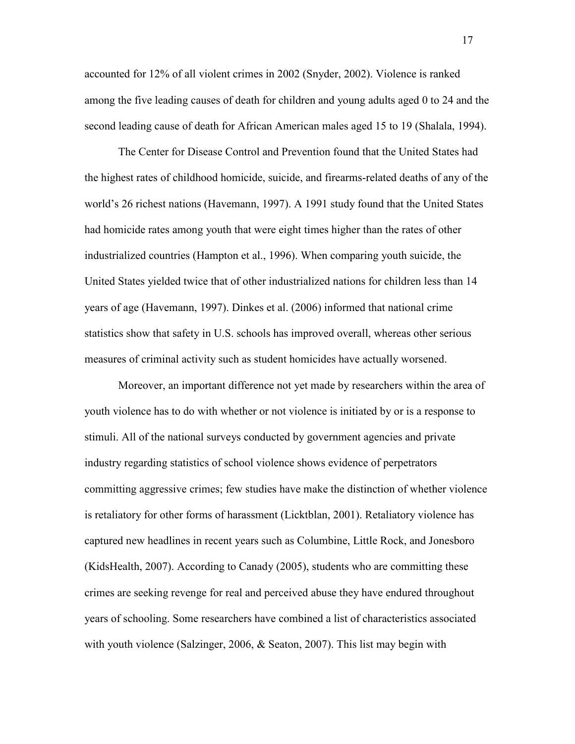accounted for 12% of all violent crimes in 2002 (Snyder, 2002). Violence is ranked among the five leading causes of death for children and young adults aged 0 to 24 and the second leading cause of death for African American males aged 15 to 19 (Shalala, 1994).

 The Center for Disease Control and Prevention found that the United States had the highest rates of childhood homicide, suicide, and firearms-related deaths of any of the world's 26 richest nations (Havemann, 1997). A 1991 study found that the United States had homicide rates among youth that were eight times higher than the rates of other industrialized countries (Hampton et al., 1996). When comparing youth suicide, the United States yielded twice that of other industrialized nations for children less than 14 years of age (Havemann, 1997). Dinkes et al. (2006) informed that national crime statistics show that safety in U.S. schools has improved overall, whereas other serious measures of criminal activity such as student homicides have actually worsened.

 Moreover, an important difference not yet made by researchers within the area of youth violence has to do with whether or not violence is initiated by or is a response to stimuli. All of the national surveys conducted by government agencies and private industry regarding statistics of school violence shows evidence of perpetrators committing aggressive crimes; few studies have make the distinction of whether violence is retaliatory for other forms of harassment (Licktblan, 2001). Retaliatory violence has captured new headlines in recent years such as Columbine, Little Rock, and Jonesboro (KidsHealth, 2007). According to Canady (2005), students who are committing these crimes are seeking revenge for real and perceived abuse they have endured throughout years of schooling. Some researchers have combined a list of characteristics associated with youth violence (Salzinger, 2006, & Seaton, 2007). This list may begin with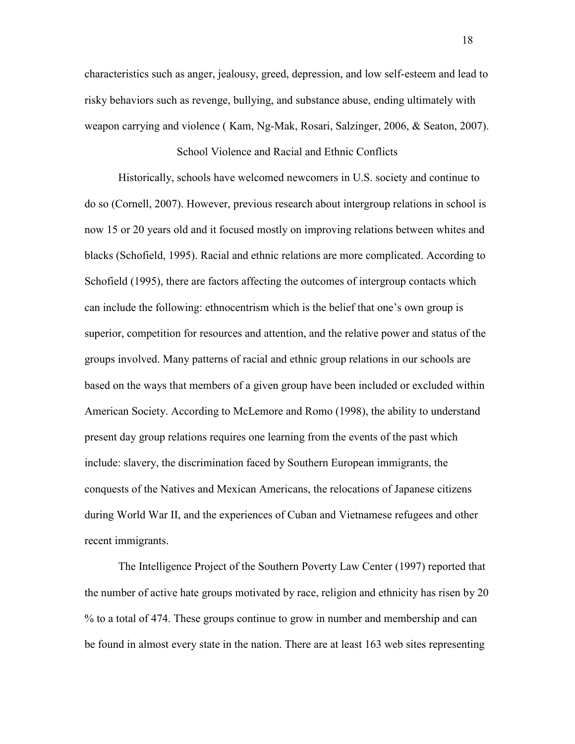characteristics such as anger, jealousy, greed, depression, and low self-esteem and lead to risky behaviors such as revenge, bullying, and substance abuse, ending ultimately with weapon carrying and violence ( Kam, Ng-Mak, Rosari, Salzinger, 2006, & Seaton, 2007).

### School Violence and Racial and Ethnic Conflicts

Historically, schools have welcomed newcomers in U.S. society and continue to do so (Cornell, 2007). However, previous research about intergroup relations in school is now 15 or 20 years old and it focused mostly on improving relations between whites and blacks (Schofield, 1995). Racial and ethnic relations are more complicated. According to Schofield (1995), there are factors affecting the outcomes of intergroup contacts which can include the following: ethnocentrism which is the belief that one's own group is superior, competition for resources and attention, and the relative power and status of the groups involved. Many patterns of racial and ethnic group relations in our schools are based on the ways that members of a given group have been included or excluded within American Society. According to McLemore and Romo (1998), the ability to understand present day group relations requires one learning from the events of the past which include: slavery, the discrimination faced by Southern European immigrants, the conquests of the Natives and Mexican Americans, the relocations of Japanese citizens during World War II, and the experiences of Cuban and Vietnamese refugees and other recent immigrants.

 The Intelligence Project of the Southern Poverty Law Center (1997) reported that the number of active hate groups motivated by race, religion and ethnicity has risen by 20 % to a total of 474. These groups continue to grow in number and membership and can be found in almost every state in the nation. There are at least 163 web sites representing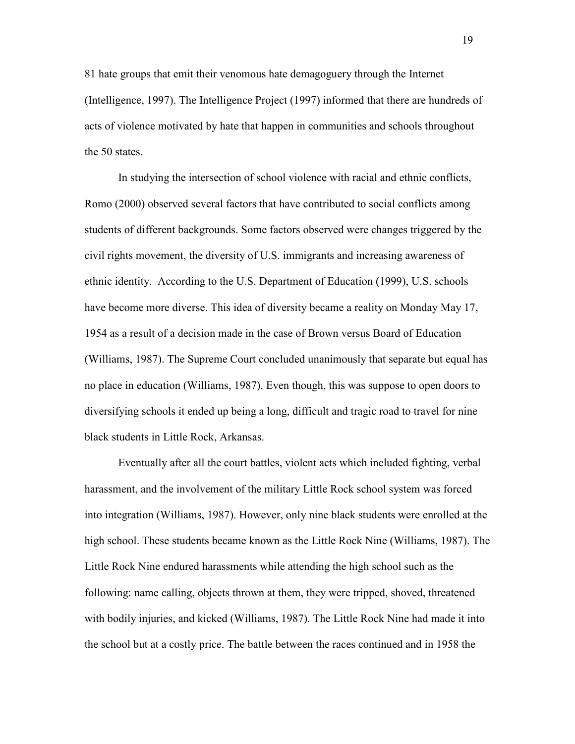81 hate groups that emit their venomous hate demagoguery through the Internet (Intelligence, 1997). The Intelligence Project (1997) informed that there are hundreds of acts of violence motivated by hate that happen in communities and schools throughout the 50 states.

 In studying the intersection of school violence with racial and ethnic conflicts, Romo (2000) observed several factors that have contributed to social conflicts among students of different backgrounds. Some factors observed were changes triggered by the civil rights movement, the diversity of U.S. immigrants and increasing awareness of ethnic identity. According to the U.S. Department of Education (1999), U.S. schools have become more diverse. This idea of diversity became a reality on Monday May 17, 1954 as a result of a decision made in the case of Brown versus Board of Education (Williams, 1987). The Supreme Court concluded unanimously that separate but equal has no place in education (Williams, 1987). Even though, this was suppose to open doors to diversifying schools it ended up being a long, difficult and tragic road to travel for nine black students in Little Rock, Arkansas.

 Eventually after all the court battles, violent acts which included fighting, verbal harassment, and the involvement of the military Little Rock school system was forced into integration (Williams, 1987). However, only nine black students were enrolled at the high school. These students became known as the Little Rock Nine (Williams, 1987). The Little Rock Nine endured harassments while attending the high school such as the following: name calling, objects thrown at them, they were tripped, shoved, threatened with bodily injuries, and kicked (Williams, 1987). The Little Rock Nine had made it into the school but at a costly price. The battle between the races continued and in 1958 the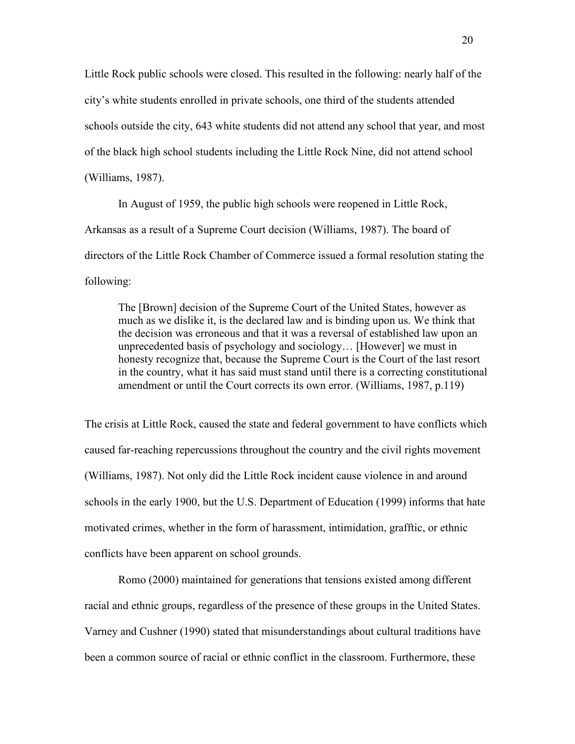Little Rock public schools were closed. This resulted in the following: nearly half of the city's white students enrolled in private schools, one third of the students attended schools outside the city, 643 white students did not attend any school that year, and most of the black high school students including the Little Rock Nine, did not attend school (Williams, 1987).

 In August of 1959, the public high schools were reopened in Little Rock, Arkansas as a result of a Supreme Court decision (Williams, 1987). The board of directors of the Little Rock Chamber of Commerce issued a formal resolution stating the following:

 The [Brown] decision of the Supreme Court of the United States, however as much as we dislike it, is the declared law and is binding upon us. We think that the decision was erroneous and that it was a reversal of established law upon an unprecedented basis of psychology and sociology… [However] we must in honesty recognize that, because the Supreme Court is the Court of the last resort in the country, what it has said must stand until there is a correcting constitutional amendment or until the Court corrects its own error. (Williams, 1987, p.119)

The crisis at Little Rock, caused the state and federal government to have conflicts which caused far-reaching repercussions throughout the country and the civil rights movement (Williams, 1987). Not only did the Little Rock incident cause violence in and around schools in the early 1900, but the U.S. Department of Education (1999) informs that hate motivated crimes, whether in the form of harassment, intimidation, grafftic, or ethnic conflicts have been apparent on school grounds.

 Romo (2000) maintained for generations that tensions existed among different racial and ethnic groups, regardless of the presence of these groups in the United States. Varney and Cushner (1990) stated that misunderstandings about cultural traditions have been a common source of racial or ethnic conflict in the classroom. Furthermore, these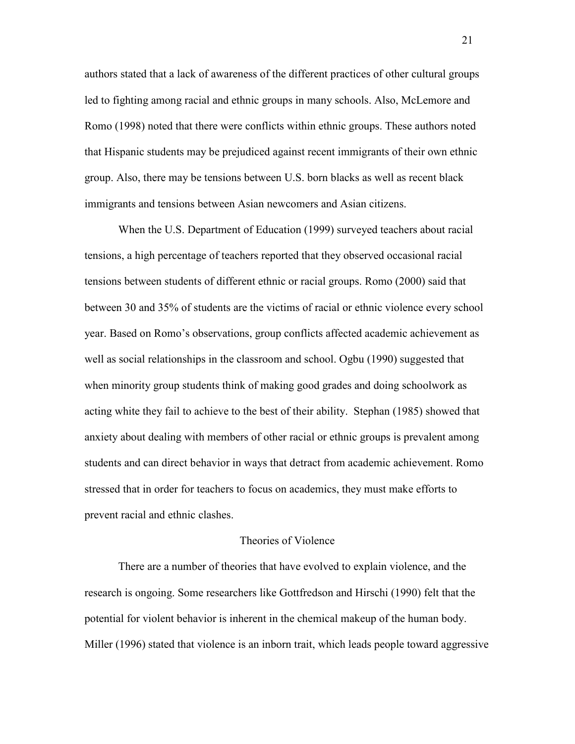authors stated that a lack of awareness of the different practices of other cultural groups led to fighting among racial and ethnic groups in many schools. Also, McLemore and Romo (1998) noted that there were conflicts within ethnic groups. These authors noted that Hispanic students may be prejudiced against recent immigrants of their own ethnic group. Also, there may be tensions between U.S. born blacks as well as recent black immigrants and tensions between Asian newcomers and Asian citizens.

 When the U.S. Department of Education (1999) surveyed teachers about racial tensions, a high percentage of teachers reported that they observed occasional racial tensions between students of different ethnic or racial groups. Romo (2000) said that between 30 and 35% of students are the victims of racial or ethnic violence every school year. Based on Romo's observations, group conflicts affected academic achievement as well as social relationships in the classroom and school. Ogbu (1990) suggested that when minority group students think of making good grades and doing schoolwork as acting white they fail to achieve to the best of their ability. Stephan (1985) showed that anxiety about dealing with members of other racial or ethnic groups is prevalent among students and can direct behavior in ways that detract from academic achievement. Romo stressed that in order for teachers to focus on academics, they must make efforts to prevent racial and ethnic clashes.

#### Theories of Violence

 There are a number of theories that have evolved to explain violence, and the research is ongoing. Some researchers like Gottfredson and Hirschi (1990) felt that the potential for violent behavior is inherent in the chemical makeup of the human body. Miller (1996) stated that violence is an inborn trait, which leads people toward aggressive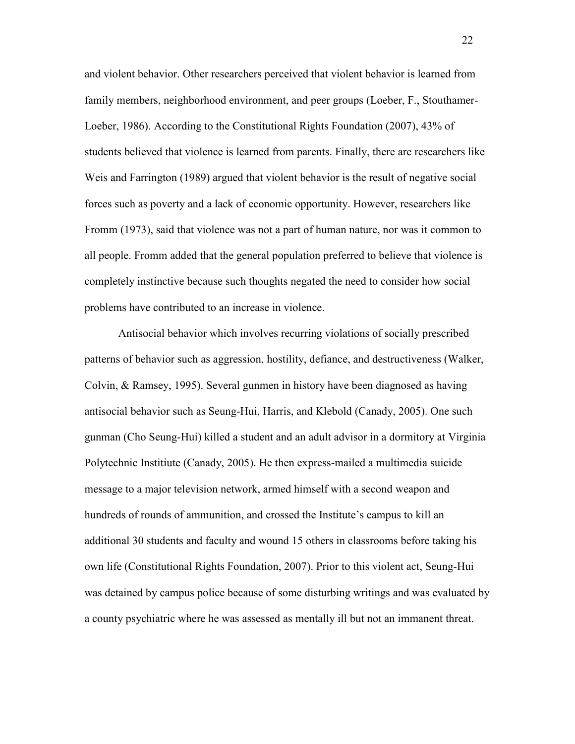and violent behavior. Other researchers perceived that violent behavior is learned from family members, neighborhood environment, and peer groups (Loeber, F., Stouthamer-Loeber, 1986). According to the Constitutional Rights Foundation (2007), 43% of students believed that violence is learned from parents. Finally, there are researchers like Weis and Farrington (1989) argued that violent behavior is the result of negative social forces such as poverty and a lack of economic opportunity. However, researchers like Fromm (1973), said that violence was not a part of human nature, nor was it common to all people. Fromm added that the general population preferred to believe that violence is completely instinctive because such thoughts negated the need to consider how social problems have contributed to an increase in violence.

 Antisocial behavior which involves recurring violations of socially prescribed patterns of behavior such as aggression, hostility, defiance, and destructiveness (Walker, Colvin, & Ramsey, 1995). Several gunmen in history have been diagnosed as having antisocial behavior such as Seung-Hui, Harris, and Klebold (Canady, 2005). One such gunman (Cho Seung-Hui) killed a student and an adult advisor in a dormitory at Virginia Polytechnic Institiute (Canady, 2005). He then express-mailed a multimedia suicide message to a major television network, armed himself with a second weapon and hundreds of rounds of ammunition, and crossed the Institute's campus to kill an additional 30 students and faculty and wound 15 others in classrooms before taking his own life (Constitutional Rights Foundation, 2007). Prior to this violent act, Seung-Hui was detained by campus police because of some disturbing writings and was evaluated by a county psychiatric where he was assessed as mentally ill but not an immanent threat.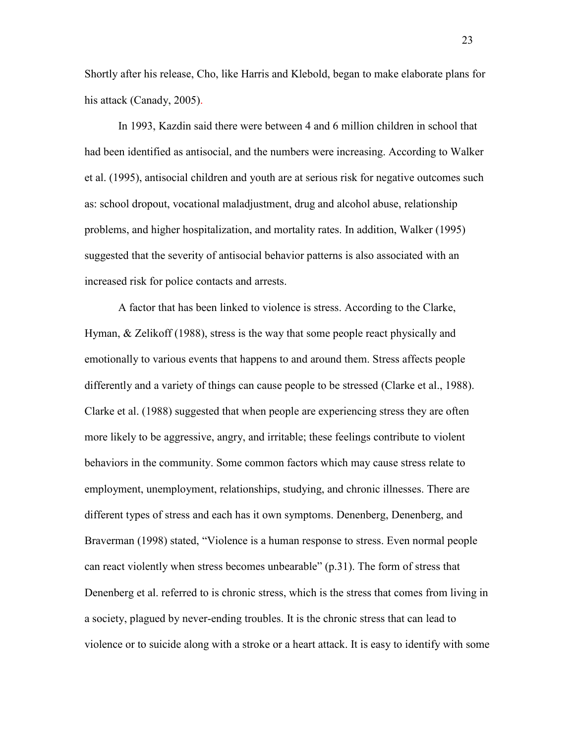Shortly after his release, Cho, like Harris and Klebold, began to make elaborate plans for his attack (Canady, 2005).

In 1993, Kazdin said there were between 4 and 6 million children in school that had been identified as antisocial, and the numbers were increasing. According to Walker et al. (1995), antisocial children and youth are at serious risk for negative outcomes such as: school dropout, vocational maladjustment, drug and alcohol abuse, relationship problems, and higher hospitalization, and mortality rates. In addition, Walker (1995) suggested that the severity of antisocial behavior patterns is also associated with an increased risk for police contacts and arrests.

 A factor that has been linked to violence is stress. According to the Clarke, Hyman, & Zelikoff (1988), stress is the way that some people react physically and emotionally to various events that happens to and around them. Stress affects people differently and a variety of things can cause people to be stressed (Clarke et al., 1988). Clarke et al. (1988) suggested that when people are experiencing stress they are often more likely to be aggressive, angry, and irritable; these feelings contribute to violent behaviors in the community. Some common factors which may cause stress relate to employment, unemployment, relationships, studying, and chronic illnesses. There are different types of stress and each has it own symptoms. Denenberg, Denenberg, and Braverman (1998) stated, "Violence is a human response to stress. Even normal people can react violently when stress becomes unbearable" (p.31). The form of stress that Denenberg et al. referred to is chronic stress, which is the stress that comes from living in a society, plagued by never-ending troubles. It is the chronic stress that can lead to violence or to suicide along with a stroke or a heart attack. It is easy to identify with some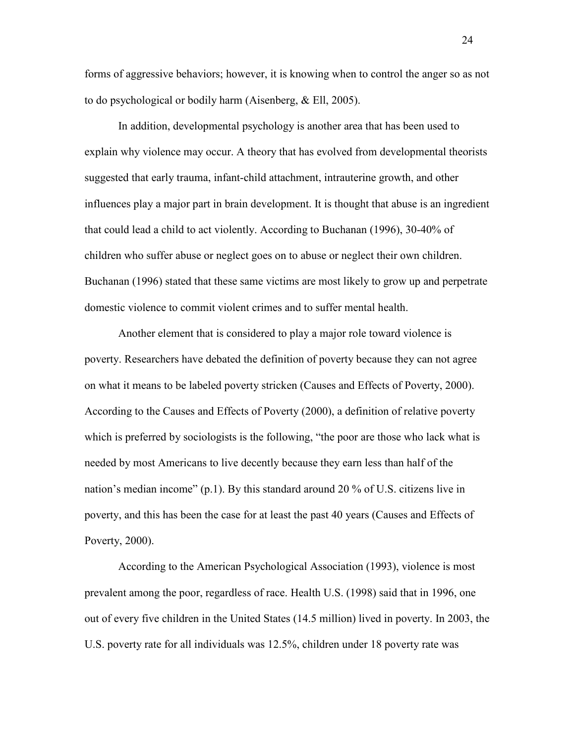forms of aggressive behaviors; however, it is knowing when to control the anger so as not to do psychological or bodily harm (Aisenberg, & Ell, 2005).

 In addition, developmental psychology is another area that has been used to explain why violence may occur. A theory that has evolved from developmental theorists suggested that early trauma, infant-child attachment, intrauterine growth, and other influences play a major part in brain development. It is thought that abuse is an ingredient that could lead a child to act violently. According to Buchanan (1996), 30-40% of children who suffer abuse or neglect goes on to abuse or neglect their own children. Buchanan (1996) stated that these same victims are most likely to grow up and perpetrate domestic violence to commit violent crimes and to suffer mental health.

 Another element that is considered to play a major role toward violence is poverty. Researchers have debated the definition of poverty because they can not agree on what it means to be labeled poverty stricken (Causes and Effects of Poverty, 2000). According to the Causes and Effects of Poverty (2000), a definition of relative poverty which is preferred by sociologists is the following, "the poor are those who lack what is needed by most Americans to live decently because they earn less than half of the nation's median income" (p.1). By this standard around 20 % of U.S. citizens live in poverty, and this has been the case for at least the past 40 years (Causes and Effects of Poverty, 2000).

 According to the American Psychological Association (1993), violence is most prevalent among the poor, regardless of race. Health U.S. (1998) said that in 1996, one out of every five children in the United States (14.5 million) lived in poverty. In 2003, the U.S. poverty rate for all individuals was 12.5%, children under 18 poverty rate was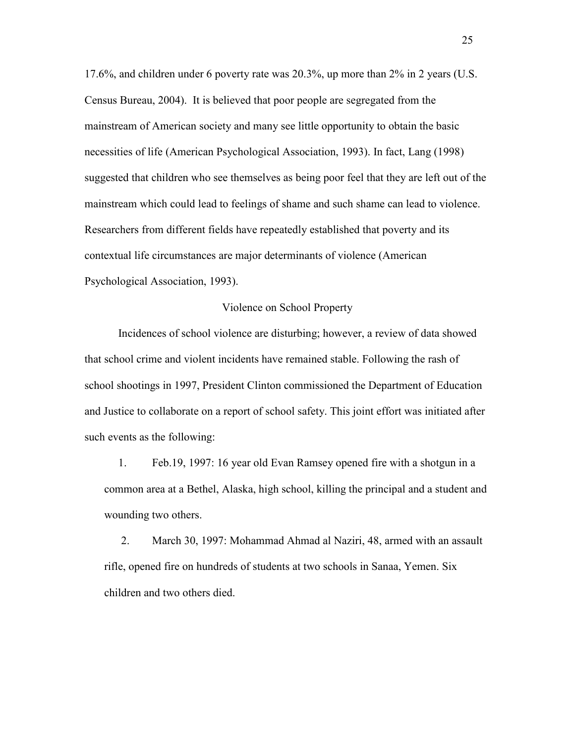17.6%, and children under 6 poverty rate was 20.3%, up more than 2% in 2 years (U.S. Census Bureau, 2004). It is believed that poor people are segregated from the mainstream of American society and many see little opportunity to obtain the basic necessities of life (American Psychological Association, 1993). In fact, Lang (1998) suggested that children who see themselves as being poor feel that they are left out of the mainstream which could lead to feelings of shame and such shame can lead to violence. Researchers from different fields have repeatedly established that poverty and its contextual life circumstances are major determinants of violence (American Psychological Association, 1993).

# Violence on School Property

Incidences of school violence are disturbing; however, a review of data showed that school crime and violent incidents have remained stable. Following the rash of school shootings in 1997, President Clinton commissioned the Department of Education and Justice to collaborate on a report of school safety. This joint effort was initiated after such events as the following:

 1. Feb.19, 1997: 16 year old Evan Ramsey opened fire with a shotgun in a common area at a Bethel, Alaska, high school, killing the principal and a student and wounding two others.

 2. March 30, 1997: Mohammad Ahmad al Naziri, 48, armed with an assault rifle, opened fire on hundreds of students at two schools in Sanaa, Yemen. Six children and two others died.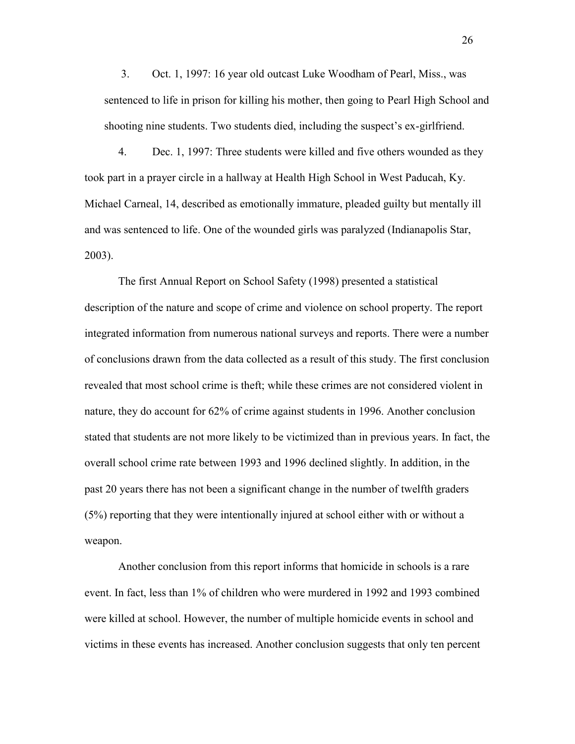3. Oct. 1, 1997: 16 year old outcast Luke Woodham of Pearl, Miss., was sentenced to life in prison for killing his mother, then going to Pearl High School and shooting nine students. Two students died, including the suspect's ex-girlfriend.

 4. Dec. 1, 1997: Three students were killed and five others wounded as they took part in a prayer circle in a hallway at Health High School in West Paducah, Ky. Michael Carneal, 14, described as emotionally immature, pleaded guilty but mentally ill and was sentenced to life. One of the wounded girls was paralyzed (Indianapolis Star, 2003).

 The first Annual Report on School Safety (1998) presented a statistical description of the nature and scope of crime and violence on school property. The report integrated information from numerous national surveys and reports. There were a number of conclusions drawn from the data collected as a result of this study. The first conclusion revealed that most school crime is theft; while these crimes are not considered violent in nature, they do account for 62% of crime against students in 1996. Another conclusion stated that students are not more likely to be victimized than in previous years. In fact, the overall school crime rate between 1993 and 1996 declined slightly. In addition, in the past 20 years there has not been a significant change in the number of twelfth graders (5%) reporting that they were intentionally injured at school either with or without a weapon.

 Another conclusion from this report informs that homicide in schools is a rare event. In fact, less than 1% of children who were murdered in 1992 and 1993 combined were killed at school. However, the number of multiple homicide events in school and victims in these events has increased. Another conclusion suggests that only ten percent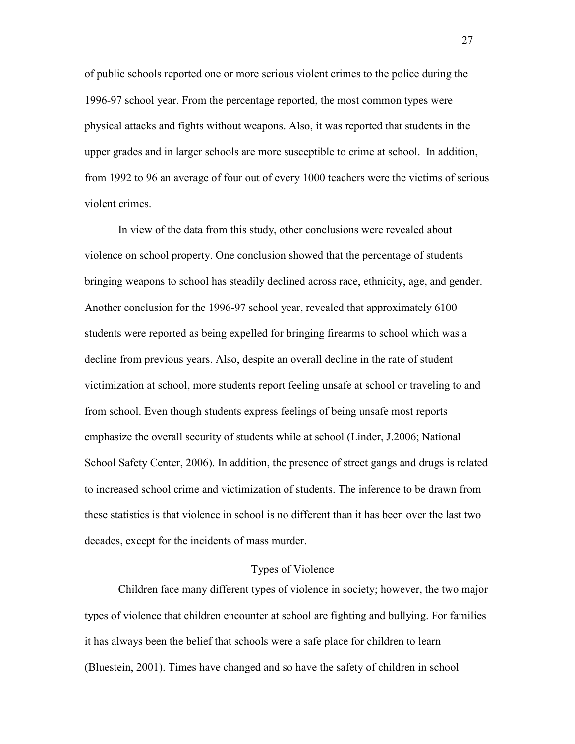of public schools reported one or more serious violent crimes to the police during the 1996-97 school year. From the percentage reported, the most common types were physical attacks and fights without weapons. Also, it was reported that students in the upper grades and in larger schools are more susceptible to crime at school. In addition, from 1992 to 96 an average of four out of every 1000 teachers were the victims of serious violent crimes.

 In view of the data from this study, other conclusions were revealed about violence on school property. One conclusion showed that the percentage of students bringing weapons to school has steadily declined across race, ethnicity, age, and gender. Another conclusion for the 1996-97 school year, revealed that approximately 6100 students were reported as being expelled for bringing firearms to school which was a decline from previous years. Also, despite an overall decline in the rate of student victimization at school, more students report feeling unsafe at school or traveling to and from school. Even though students express feelings of being unsafe most reports emphasize the overall security of students while at school (Linder, J.2006; National School Safety Center, 2006). In addition, the presence of street gangs and drugs is related to increased school crime and victimization of students. The inference to be drawn from these statistics is that violence in school is no different than it has been over the last two decades, except for the incidents of mass murder.

# Types of Violence

 Children face many different types of violence in society; however, the two major types of violence that children encounter at school are fighting and bullying. For families it has always been the belief that schools were a safe place for children to learn (Bluestein, 2001). Times have changed and so have the safety of children in school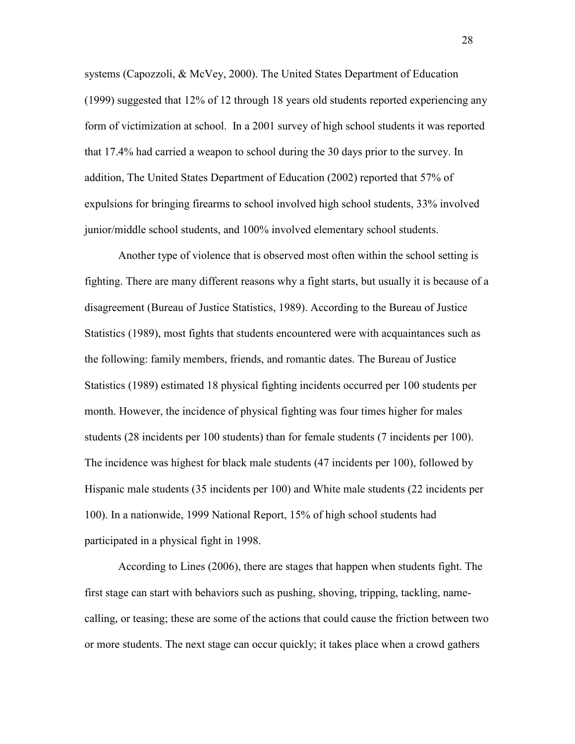systems (Capozzoli, & McVey, 2000). The United States Department of Education (1999) suggested that 12% of 12 through 18 years old students reported experiencing any form of victimization at school. In a 2001 survey of high school students it was reported that 17.4% had carried a weapon to school during the 30 days prior to the survey. In addition, The United States Department of Education (2002) reported that 57% of expulsions for bringing firearms to school involved high school students, 33% involved junior/middle school students, and 100% involved elementary school students.

 Another type of violence that is observed most often within the school setting is fighting. There are many different reasons why a fight starts, but usually it is because of a disagreement (Bureau of Justice Statistics, 1989). According to the Bureau of Justice Statistics (1989), most fights that students encountered were with acquaintances such as the following: family members, friends, and romantic dates. The Bureau of Justice Statistics (1989) estimated 18 physical fighting incidents occurred per 100 students per month. However, the incidence of physical fighting was four times higher for males students (28 incidents per 100 students) than for female students (7 incidents per 100). The incidence was highest for black male students (47 incidents per 100), followed by Hispanic male students (35 incidents per 100) and White male students (22 incidents per 100). In a nationwide, 1999 National Report, 15% of high school students had participated in a physical fight in 1998.

 According to Lines (2006), there are stages that happen when students fight. The first stage can start with behaviors such as pushing, shoving, tripping, tackling, namecalling, or teasing; these are some of the actions that could cause the friction between two or more students. The next stage can occur quickly; it takes place when a crowd gathers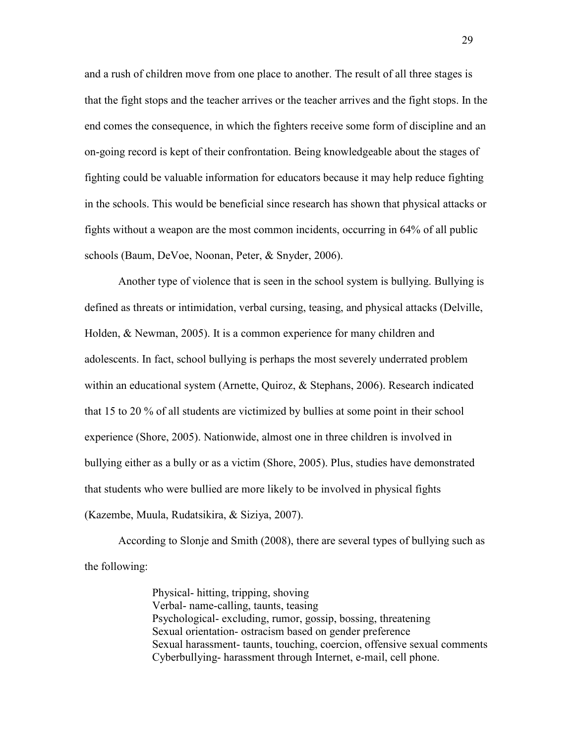and a rush of children move from one place to another. The result of all three stages is that the fight stops and the teacher arrives or the teacher arrives and the fight stops. In the end comes the consequence, in which the fighters receive some form of discipline and an on-going record is kept of their confrontation. Being knowledgeable about the stages of fighting could be valuable information for educators because it may help reduce fighting in the schools. This would be beneficial since research has shown that physical attacks or fights without a weapon are the most common incidents, occurring in 64% of all public schools (Baum, DeVoe, Noonan, Peter, & Snyder, 2006).

 Another type of violence that is seen in the school system is bullying. Bullying is defined as threats or intimidation, verbal cursing, teasing, and physical attacks (Delville, Holden, & Newman, 2005). It is a common experience for many children and adolescents. In fact, school bullying is perhaps the most severely underrated problem within an educational system (Arnette, Quiroz, & Stephans, 2006). Research indicated that 15 to 20 % of all students are victimized by bullies at some point in their school experience (Shore, 2005). Nationwide, almost one in three children is involved in bullying either as a bully or as a victim (Shore, 2005). Plus, studies have demonstrated that students who were bullied are more likely to be involved in physical fights (Kazembe, Muula, Rudatsikira, & Siziya, 2007).

 According to Slonje and Smith (2008), there are several types of bullying such as the following:

> Physical- hitting, tripping, shoving Verbal- name-calling, taunts, teasing Psychological- excluding, rumor, gossip, bossing, threatening Sexual orientation- ostracism based on gender preference Sexual harassment- taunts, touching, coercion, offensive sexual comments Cyberbullying- harassment through Internet, e-mail, cell phone.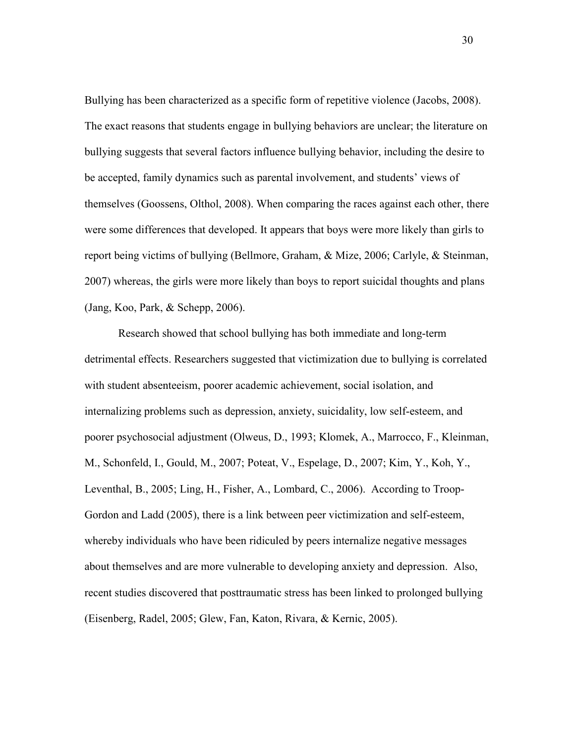Bullying has been characterized as a specific form of repetitive violence (Jacobs, 2008). The exact reasons that students engage in bullying behaviors are unclear; the literature on bullying suggests that several factors influence bullying behavior, including the desire to be accepted, family dynamics such as parental involvement, and students' views of themselves (Goossens, Olthol, 2008). When comparing the races against each other, there were some differences that developed. It appears that boys were more likely than girls to report being victims of bullying (Bellmore, Graham, & Mize, 2006; Carlyle, & Steinman, 2007) whereas, the girls were more likely than boys to report suicidal thoughts and plans (Jang, Koo, Park, & Schepp, 2006).

 Research showed that school bullying has both immediate and long-term detrimental effects. Researchers suggested that victimization due to bullying is correlated with student absenteeism, poorer academic achievement, social isolation, and internalizing problems such as depression, anxiety, suicidality, low self-esteem, and poorer psychosocial adjustment (Olweus, D., 1993; Klomek, A., Marrocco, F., Kleinman, M., Schonfeld, I., Gould, M., 2007; Poteat, V., Espelage, D., 2007; Kim, Y., Koh, Y., Leventhal, B., 2005; Ling, H., Fisher, A., Lombard, C., 2006). According to Troop-Gordon and Ladd (2005), there is a link between peer victimization and self-esteem, whereby individuals who have been ridiculed by peers internalize negative messages about themselves and are more vulnerable to developing anxiety and depression. Also, recent studies discovered that posttraumatic stress has been linked to prolonged bullying (Eisenberg, Radel, 2005; Glew, Fan, Katon, Rivara, & Kernic, 2005).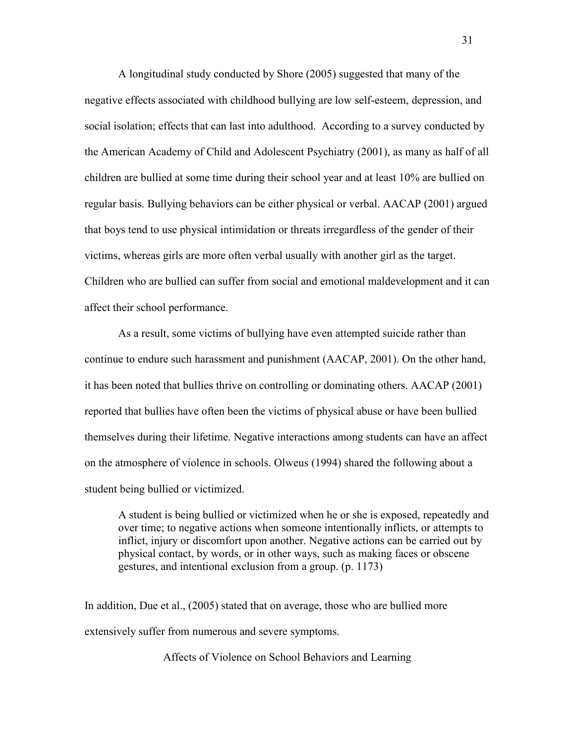A longitudinal study conducted by Shore (2005) suggested that many of the negative effects associated with childhood bullying are low self-esteem, depression, and social isolation; effects that can last into adulthood. According to a survey conducted by the American Academy of Child and Adolescent Psychiatry (2001), as many as half of all children are bullied at some time during their school year and at least 10% are bullied on regular basis. Bullying behaviors can be either physical or verbal. AACAP (2001) argued that boys tend to use physical intimidation or threats irregardless of the gender of their victims, whereas girls are more often verbal usually with another girl as the target. Children who are bullied can suffer from social and emotional maldevelopment and it can affect their school performance.

 As a result, some victims of bullying have even attempted suicide rather than continue to endure such harassment and punishment (AACAP, 2001). On the other hand, it has been noted that bullies thrive on controlling or dominating others. AACAP (2001) reported that bullies have often been the victims of physical abuse or have been bullied themselves during their lifetime. Negative interactions among students can have an affect on the atmosphere of violence in schools. Olweus (1994) shared the following about a student being bullied or victimized.

 A student is being bullied or victimized when he or she is exposed, repeatedly and over time; to negative actions when someone intentionally inflicts, or attempts to inflict, injury or discomfort upon another. Negative actions can be carried out by physical contact, by words, or in other ways, such as making faces or obscene gestures, and intentional exclusion from a group. (p. 1173)

In addition, Due et al., (2005) stated that on average, those who are bullied more extensively suffer from numerous and severe symptoms.

Affects of Violence on School Behaviors and Learning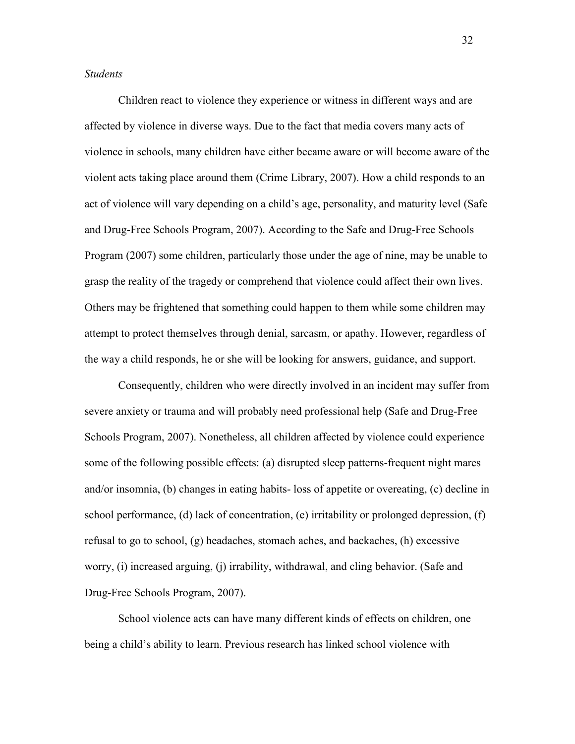### *Students*

 Children react to violence they experience or witness in different ways and are affected by violence in diverse ways. Due to the fact that media covers many acts of violence in schools, many children have either became aware or will become aware of the violent acts taking place around them (Crime Library, 2007). How a child responds to an act of violence will vary depending on a child's age, personality, and maturity level (Safe and Drug-Free Schools Program, 2007). According to the Safe and Drug-Free Schools Program (2007) some children, particularly those under the age of nine, may be unable to grasp the reality of the tragedy or comprehend that violence could affect their own lives. Others may be frightened that something could happen to them while some children may attempt to protect themselves through denial, sarcasm, or apathy. However, regardless of the way a child responds, he or she will be looking for answers, guidance, and support.

 Consequently, children who were directly involved in an incident may suffer from severe anxiety or trauma and will probably need professional help (Safe and Drug-Free Schools Program, 2007). Nonetheless, all children affected by violence could experience some of the following possible effects: (a) disrupted sleep patterns-frequent night mares and/or insomnia, (b) changes in eating habits- loss of appetite or overeating, (c) decline in school performance, (d) lack of concentration, (e) irritability or prolonged depression, (f) refusal to go to school, (g) headaches, stomach aches, and backaches, (h) excessive worry, (i) increased arguing, (j) irrability, withdrawal, and cling behavior. (Safe and Drug-Free Schools Program, 2007).

 School violence acts can have many different kinds of effects on children, one being a child's ability to learn. Previous research has linked school violence with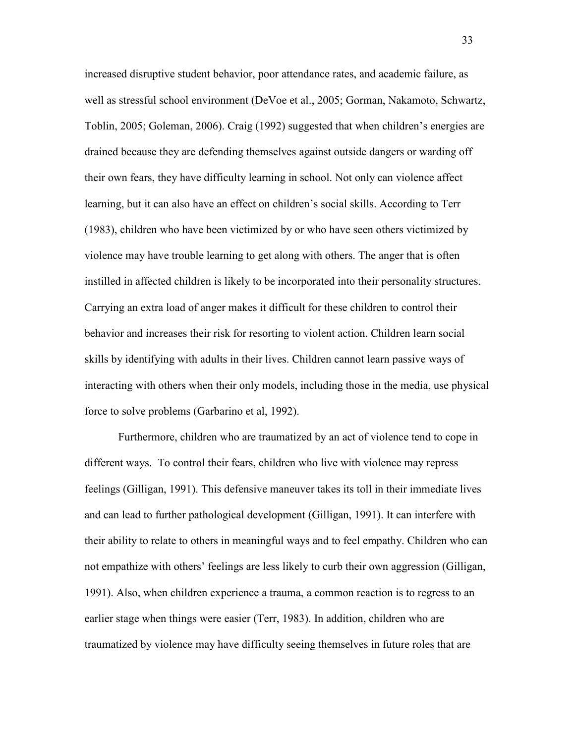increased disruptive student behavior, poor attendance rates, and academic failure, as well as stressful school environment (DeVoe et al., 2005; Gorman, Nakamoto, Schwartz, Toblin, 2005; Goleman, 2006). Craig (1992) suggested that when children's energies are drained because they are defending themselves against outside dangers or warding off their own fears, they have difficulty learning in school. Not only can violence affect learning, but it can also have an effect on children's social skills. According to Terr (1983), children who have been victimized by or who have seen others victimized by violence may have trouble learning to get along with others. The anger that is often instilled in affected children is likely to be incorporated into their personality structures. Carrying an extra load of anger makes it difficult for these children to control their behavior and increases their risk for resorting to violent action. Children learn social skills by identifying with adults in their lives. Children cannot learn passive ways of interacting with others when their only models, including those in the media, use physical force to solve problems (Garbarino et al, 1992).

 Furthermore, children who are traumatized by an act of violence tend to cope in different ways. To control their fears, children who live with violence may repress feelings (Gilligan, 1991). This defensive maneuver takes its toll in their immediate lives and can lead to further pathological development (Gilligan, 1991). It can interfere with their ability to relate to others in meaningful ways and to feel empathy. Children who can not empathize with others' feelings are less likely to curb their own aggression (Gilligan, 1991). Also, when children experience a trauma, a common reaction is to regress to an earlier stage when things were easier (Terr, 1983). In addition, children who are traumatized by violence may have difficulty seeing themselves in future roles that are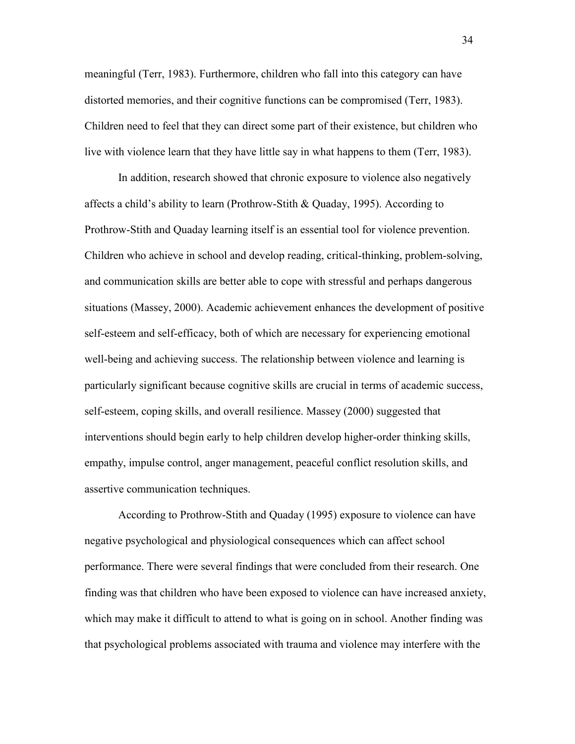meaningful (Terr, 1983). Furthermore, children who fall into this category can have distorted memories, and their cognitive functions can be compromised (Terr, 1983). Children need to feel that they can direct some part of their existence, but children who live with violence learn that they have little say in what happens to them (Terr, 1983).

 In addition, research showed that chronic exposure to violence also negatively affects a child's ability to learn (Prothrow-Stith & Quaday, 1995). According to Prothrow-Stith and Quaday learning itself is an essential tool for violence prevention. Children who achieve in school and develop reading, critical-thinking, problem-solving, and communication skills are better able to cope with stressful and perhaps dangerous situations (Massey, 2000). Academic achievement enhances the development of positive self-esteem and self-efficacy, both of which are necessary for experiencing emotional well-being and achieving success. The relationship between violence and learning is particularly significant because cognitive skills are crucial in terms of academic success, self-esteem, coping skills, and overall resilience. Massey (2000) suggested that interventions should begin early to help children develop higher-order thinking skills, empathy, impulse control, anger management, peaceful conflict resolution skills, and assertive communication techniques.

 According to Prothrow-Stith and Quaday (1995) exposure to violence can have negative psychological and physiological consequences which can affect school performance. There were several findings that were concluded from their research. One finding was that children who have been exposed to violence can have increased anxiety, which may make it difficult to attend to what is going on in school. Another finding was that psychological problems associated with trauma and violence may interfere with the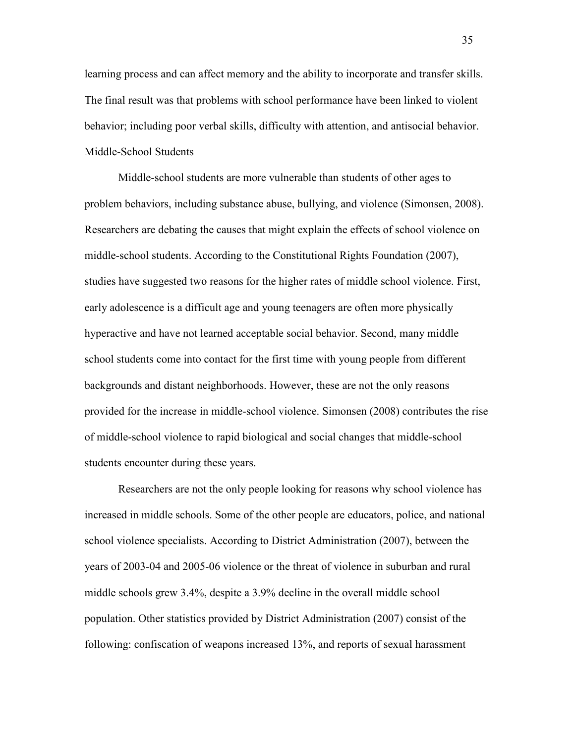learning process and can affect memory and the ability to incorporate and transfer skills. The final result was that problems with school performance have been linked to violent behavior; including poor verbal skills, difficulty with attention, and antisocial behavior. Middle-School Students

 Middle-school students are more vulnerable than students of other ages to problem behaviors, including substance abuse, bullying, and violence (Simonsen, 2008). Researchers are debating the causes that might explain the effects of school violence on middle-school students. According to the Constitutional Rights Foundation (2007), studies have suggested two reasons for the higher rates of middle school violence. First, early adolescence is a difficult age and young teenagers are often more physically hyperactive and have not learned acceptable social behavior. Second, many middle school students come into contact for the first time with young people from different backgrounds and distant neighborhoods. However, these are not the only reasons provided for the increase in middle-school violence. Simonsen (2008) contributes the rise of middle-school violence to rapid biological and social changes that middle-school students encounter during these years.

 Researchers are not the only people looking for reasons why school violence has increased in middle schools. Some of the other people are educators, police, and national school violence specialists. According to District Administration (2007), between the years of 2003-04 and 2005-06 violence or the threat of violence in suburban and rural middle schools grew 3.4%, despite a 3.9% decline in the overall middle school population. Other statistics provided by District Administration (2007) consist of the following: confiscation of weapons increased 13%, and reports of sexual harassment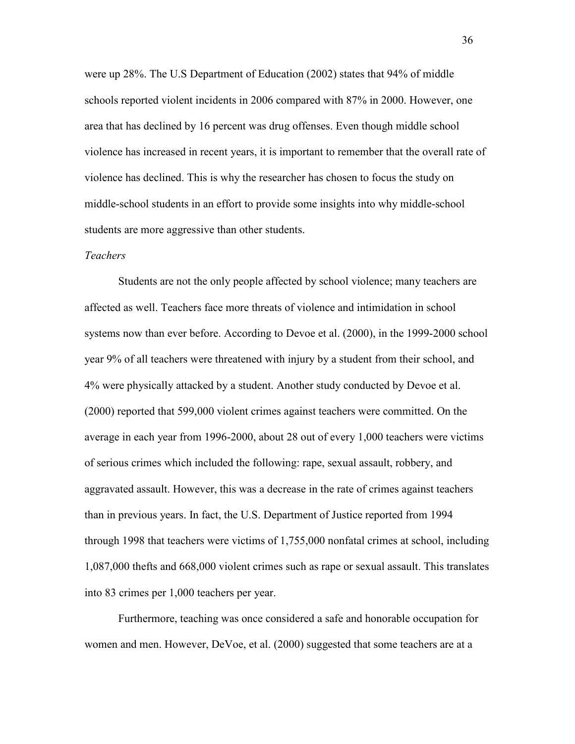were up 28%. The U.S Department of Education (2002) states that 94% of middle schools reported violent incidents in 2006 compared with 87% in 2000. However, one area that has declined by 16 percent was drug offenses. Even though middle school violence has increased in recent years, it is important to remember that the overall rate of violence has declined. This is why the researcher has chosen to focus the study on middle-school students in an effort to provide some insights into why middle-school students are more aggressive than other students.

# *Teachers*

 Students are not the only people affected by school violence; many teachers are affected as well. Teachers face more threats of violence and intimidation in school systems now than ever before. According to Devoe et al. (2000), in the 1999-2000 school year 9% of all teachers were threatened with injury by a student from their school, and 4% were physically attacked by a student. Another study conducted by Devoe et al. (2000) reported that 599,000 violent crimes against teachers were committed. On the average in each year from 1996-2000, about 28 out of every 1,000 teachers were victims of serious crimes which included the following: rape, sexual assault, robbery, and aggravated assault. However, this was a decrease in the rate of crimes against teachers than in previous years. In fact, the U.S. Department of Justice reported from 1994 through 1998 that teachers were victims of 1,755,000 nonfatal crimes at school, including 1,087,000 thefts and 668,000 violent crimes such as rape or sexual assault. This translates into 83 crimes per 1,000 teachers per year.

 Furthermore, teaching was once considered a safe and honorable occupation for women and men. However, DeVoe, et al. (2000) suggested that some teachers are at a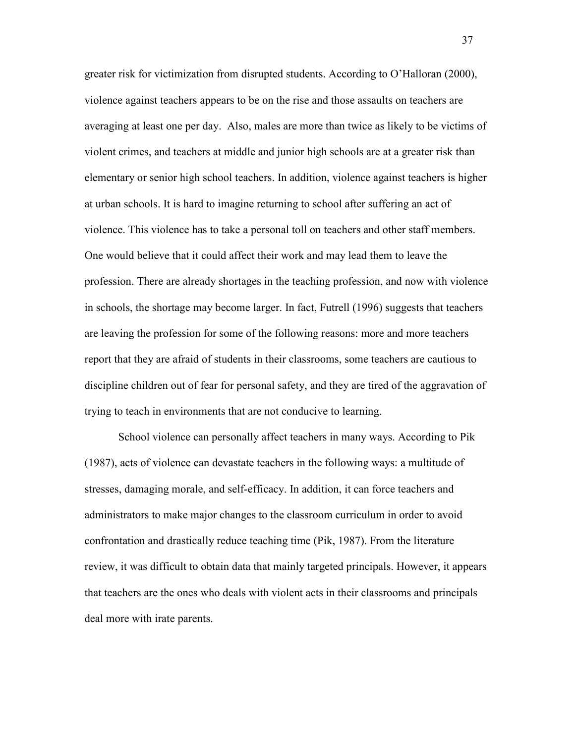greater risk for victimization from disrupted students. According to O'Halloran (2000), violence against teachers appears to be on the rise and those assaults on teachers are averaging at least one per day. Also, males are more than twice as likely to be victims of violent crimes, and teachers at middle and junior high schools are at a greater risk than elementary or senior high school teachers. In addition, violence against teachers is higher at urban schools. It is hard to imagine returning to school after suffering an act of violence. This violence has to take a personal toll on teachers and other staff members. One would believe that it could affect their work and may lead them to leave the profession. There are already shortages in the teaching profession, and now with violence in schools, the shortage may become larger. In fact, Futrell (1996) suggests that teachers are leaving the profession for some of the following reasons: more and more teachers report that they are afraid of students in their classrooms, some teachers are cautious to discipline children out of fear for personal safety, and they are tired of the aggravation of trying to teach in environments that are not conducive to learning.

 School violence can personally affect teachers in many ways. According to Pik (1987), acts of violence can devastate teachers in the following ways: a multitude of stresses, damaging morale, and self-efficacy. In addition, it can force teachers and administrators to make major changes to the classroom curriculum in order to avoid confrontation and drastically reduce teaching time (Pik, 1987). From the literature review, it was difficult to obtain data that mainly targeted principals. However, it appears that teachers are the ones who deals with violent acts in their classrooms and principals deal more with irate parents.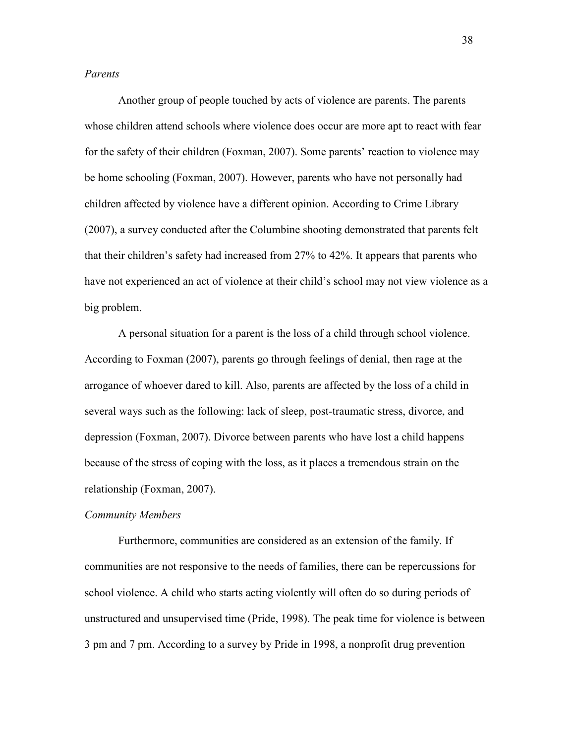### *Parents*

Another group of people touched by acts of violence are parents. The parents whose children attend schools where violence does occur are more apt to react with fear for the safety of their children (Foxman, 2007). Some parents' reaction to violence may be home schooling (Foxman, 2007). However, parents who have not personally had children affected by violence have a different opinion. According to Crime Library (2007), a survey conducted after the Columbine shooting demonstrated that parents felt that their children's safety had increased from 27% to 42%. It appears that parents who have not experienced an act of violence at their child's school may not view violence as a big problem.

 A personal situation for a parent is the loss of a child through school violence. According to Foxman (2007), parents go through feelings of denial, then rage at the arrogance of whoever dared to kill. Also, parents are affected by the loss of a child in several ways such as the following: lack of sleep, post-traumatic stress, divorce, and depression (Foxman, 2007). Divorce between parents who have lost a child happens because of the stress of coping with the loss, as it places a tremendous strain on the relationship (Foxman, 2007).

### *Community Members*

Furthermore, communities are considered as an extension of the family. If communities are not responsive to the needs of families, there can be repercussions for school violence. A child who starts acting violently will often do so during periods of unstructured and unsupervised time (Pride, 1998). The peak time for violence is between 3 pm and 7 pm. According to a survey by Pride in 1998, a nonprofit drug prevention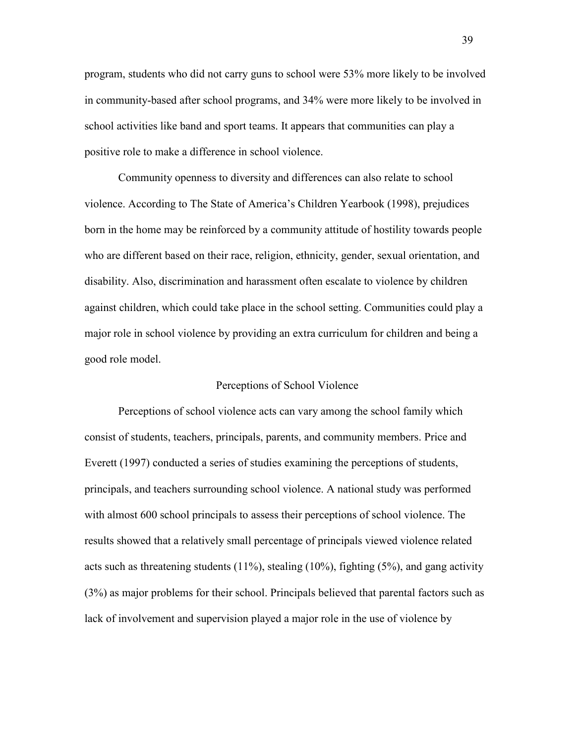program, students who did not carry guns to school were 53% more likely to be involved in community-based after school programs, and 34% were more likely to be involved in school activities like band and sport teams. It appears that communities can play a positive role to make a difference in school violence.

 Community openness to diversity and differences can also relate to school violence. According to The State of America's Children Yearbook (1998), prejudices born in the home may be reinforced by a community attitude of hostility towards people who are different based on their race, religion, ethnicity, gender, sexual orientation, and disability. Also, discrimination and harassment often escalate to violence by children against children, which could take place in the school setting. Communities could play a major role in school violence by providing an extra curriculum for children and being a good role model.

### Perceptions of School Violence

 Perceptions of school violence acts can vary among the school family which consist of students, teachers, principals, parents, and community members. Price and Everett (1997) conducted a series of studies examining the perceptions of students, principals, and teachers surrounding school violence. A national study was performed with almost 600 school principals to assess their perceptions of school violence. The results showed that a relatively small percentage of principals viewed violence related acts such as threatening students  $(11\%)$ , stealing  $(10\%)$ , fighting  $(5\%)$ , and gang activity (3%) as major problems for their school. Principals believed that parental factors such as lack of involvement and supervision played a major role in the use of violence by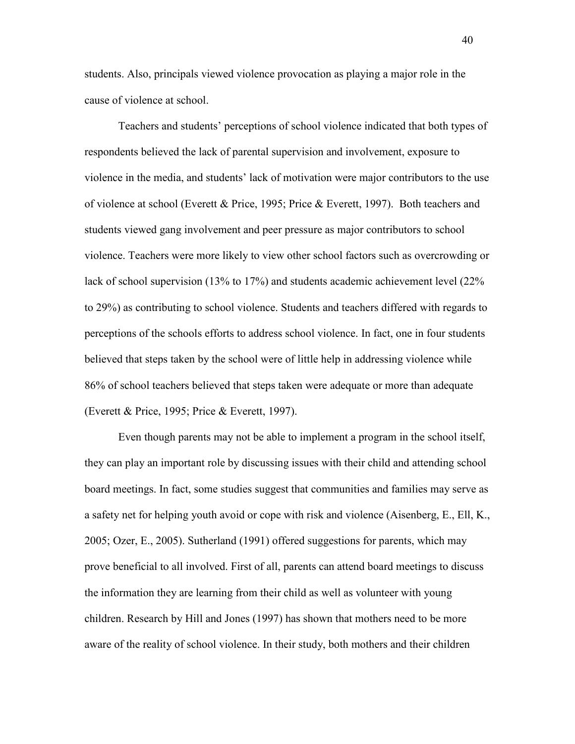students. Also, principals viewed violence provocation as playing a major role in the cause of violence at school.

 Teachers and students' perceptions of school violence indicated that both types of respondents believed the lack of parental supervision and involvement, exposure to violence in the media, and students' lack of motivation were major contributors to the use of violence at school (Everett & Price, 1995; Price & Everett, 1997). Both teachers and students viewed gang involvement and peer pressure as major contributors to school violence. Teachers were more likely to view other school factors such as overcrowding or lack of school supervision (13% to 17%) and students academic achievement level (22% to 29%) as contributing to school violence. Students and teachers differed with regards to perceptions of the schools efforts to address school violence. In fact, one in four students believed that steps taken by the school were of little help in addressing violence while 86% of school teachers believed that steps taken were adequate or more than adequate (Everett & Price, 1995; Price & Everett, 1997).

 Even though parents may not be able to implement a program in the school itself, they can play an important role by discussing issues with their child and attending school board meetings. In fact, some studies suggest that communities and families may serve as a safety net for helping youth avoid or cope with risk and violence (Aisenberg, E., Ell, K., 2005; Ozer, E., 2005). Sutherland (1991) offered suggestions for parents, which may prove beneficial to all involved. First of all, parents can attend board meetings to discuss the information they are learning from their child as well as volunteer with young children. Research by Hill and Jones (1997) has shown that mothers need to be more aware of the reality of school violence. In their study, both mothers and their children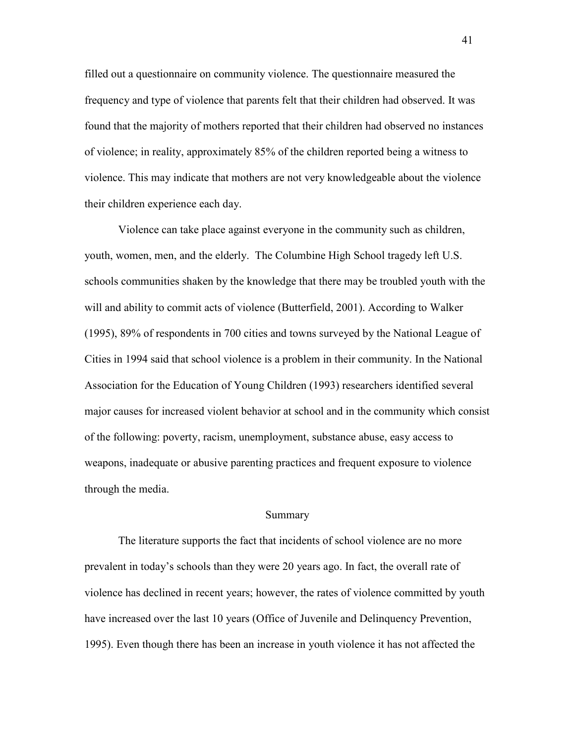filled out a questionnaire on community violence. The questionnaire measured the frequency and type of violence that parents felt that their children had observed. It was found that the majority of mothers reported that their children had observed no instances of violence; in reality, approximately 85% of the children reported being a witness to violence. This may indicate that mothers are not very knowledgeable about the violence their children experience each day.

 Violence can take place against everyone in the community such as children, youth, women, men, and the elderly. The Columbine High School tragedy left U.S. schools communities shaken by the knowledge that there may be troubled youth with the will and ability to commit acts of violence (Butterfield, 2001). According to Walker (1995), 89% of respondents in 700 cities and towns surveyed by the National League of Cities in 1994 said that school violence is a problem in their community. In the National Association for the Education of Young Children (1993) researchers identified several major causes for increased violent behavior at school and in the community which consist of the following: poverty, racism, unemployment, substance abuse, easy access to weapons, inadequate or abusive parenting practices and frequent exposure to violence through the media.

#### Summary

The literature supports the fact that incidents of school violence are no more prevalent in today's schools than they were 20 years ago. In fact, the overall rate of violence has declined in recent years; however, the rates of violence committed by youth have increased over the last 10 years (Office of Juvenile and Delinquency Prevention, 1995). Even though there has been an increase in youth violence it has not affected the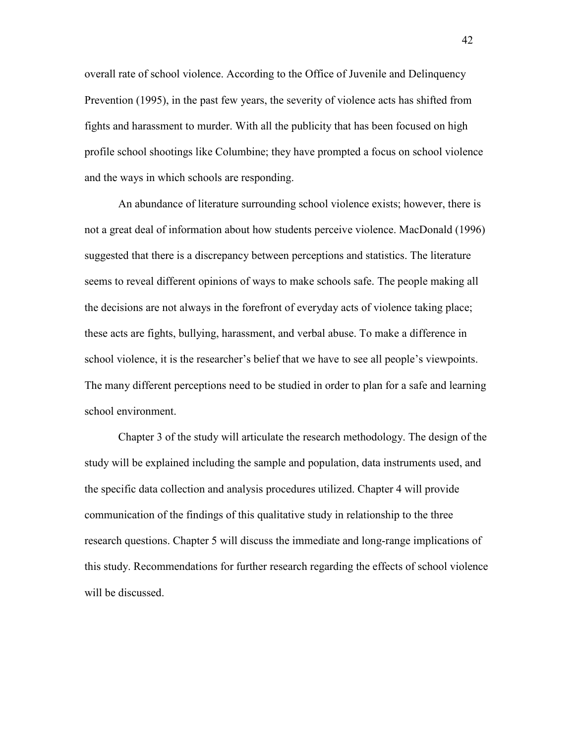overall rate of school violence. According to the Office of Juvenile and Delinquency Prevention (1995), in the past few years, the severity of violence acts has shifted from fights and harassment to murder. With all the publicity that has been focused on high profile school shootings like Columbine; they have prompted a focus on school violence and the ways in which schools are responding.

 An abundance of literature surrounding school violence exists; however, there is not a great deal of information about how students perceive violence. MacDonald (1996) suggested that there is a discrepancy between perceptions and statistics. The literature seems to reveal different opinions of ways to make schools safe. The people making all the decisions are not always in the forefront of everyday acts of violence taking place; these acts are fights, bullying, harassment, and verbal abuse. To make a difference in school violence, it is the researcher's belief that we have to see all people's viewpoints. The many different perceptions need to be studied in order to plan for a safe and learning school environment.

 Chapter 3 of the study will articulate the research methodology. The design of the study will be explained including the sample and population, data instruments used, and the specific data collection and analysis procedures utilized. Chapter 4 will provide communication of the findings of this qualitative study in relationship to the three research questions. Chapter 5 will discuss the immediate and long-range implications of this study. Recommendations for further research regarding the effects of school violence will be discussed.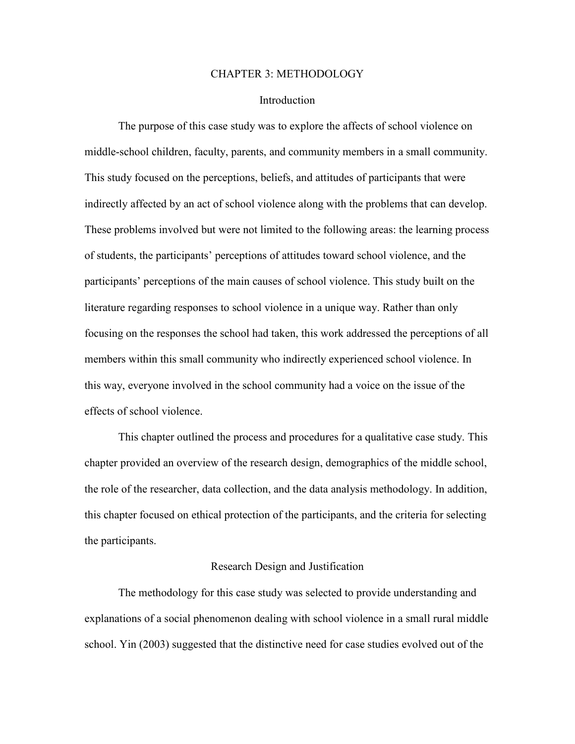#### CHAPTER 3: METHODOLOGY

# **Introduction**

 The purpose of this case study was to explore the affects of school violence on middle-school children, faculty, parents, and community members in a small community. This study focused on the perceptions, beliefs, and attitudes of participants that were indirectly affected by an act of school violence along with the problems that can develop. These problems involved but were not limited to the following areas: the learning process of students, the participants' perceptions of attitudes toward school violence, and the participants' perceptions of the main causes of school violence. This study built on the literature regarding responses to school violence in a unique way. Rather than only focusing on the responses the school had taken, this work addressed the perceptions of all members within this small community who indirectly experienced school violence. In this way, everyone involved in the school community had a voice on the issue of the effects of school violence.

 This chapter outlined the process and procedures for a qualitative case study. This chapter provided an overview of the research design, demographics of the middle school, the role of the researcher, data collection, and the data analysis methodology. In addition, this chapter focused on ethical protection of the participants, and the criteria for selecting the participants.

# Research Design and Justification

 The methodology for this case study was selected to provide understanding and explanations of a social phenomenon dealing with school violence in a small rural middle school. Yin (2003) suggested that the distinctive need for case studies evolved out of the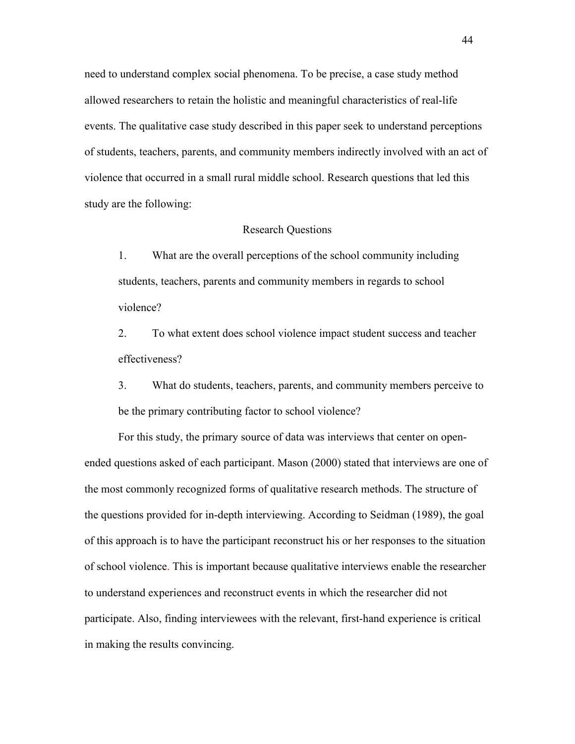need to understand complex social phenomena. To be precise, a case study method allowed researchers to retain the holistic and meaningful characteristics of real-life events. The qualitative case study described in this paper seek to understand perceptions of students, teachers, parents, and community members indirectly involved with an act of violence that occurred in a small rural middle school. Research questions that led this study are the following:

### Research Questions

1. What are the overall perceptions of the school community including students, teachers, parents and community members in regards to school violence?

2. To what extent does school violence impact student success and teacher effectiveness?

3. What do students, teachers, parents, and community members perceive to be the primary contributing factor to school violence?

 For this study, the primary source of data was interviews that center on openended questions asked of each participant. Mason (2000) stated that interviews are one of the most commonly recognized forms of qualitative research methods. The structure of the questions provided for in-depth interviewing. According to Seidman (1989), the goal of this approach is to have the participant reconstruct his or her responses to the situation of school violence. This is important because qualitative interviews enable the researcher to understand experiences and reconstruct events in which the researcher did not participate. Also, finding interviewees with the relevant, first-hand experience is critical in making the results convincing.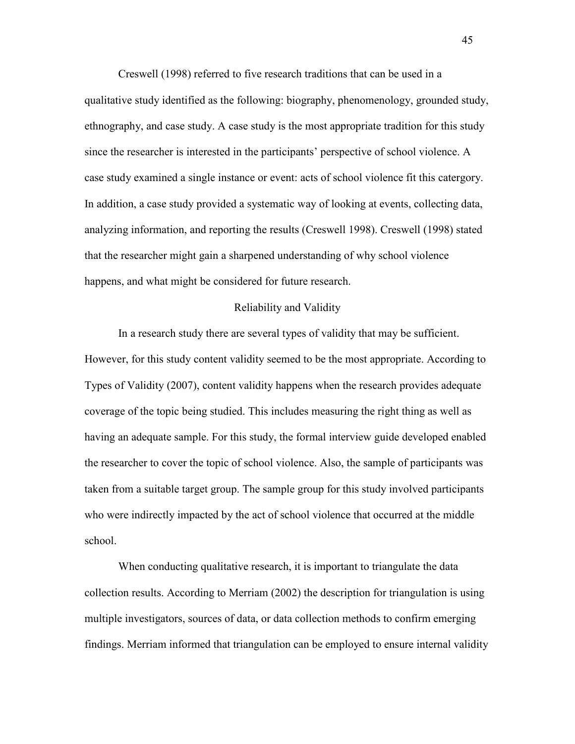Creswell (1998) referred to five research traditions that can be used in a qualitative study identified as the following: biography, phenomenology, grounded study, ethnography, and case study. A case study is the most appropriate tradition for this study since the researcher is interested in the participants' perspective of school violence. A case study examined a single instance or event: acts of school violence fit this catergory. In addition, a case study provided a systematic way of looking at events, collecting data, analyzing information, and reporting the results (Creswell 1998). Creswell (1998) stated that the researcher might gain a sharpened understanding of why school violence happens, and what might be considered for future research.

# Reliability and Validity

 In a research study there are several types of validity that may be sufficient. However, for this study content validity seemed to be the most appropriate. According to Types of Validity (2007), content validity happens when the research provides adequate coverage of the topic being studied. This includes measuring the right thing as well as having an adequate sample. For this study, the formal interview guide developed enabled the researcher to cover the topic of school violence. Also, the sample of participants was taken from a suitable target group. The sample group for this study involved participants who were indirectly impacted by the act of school violence that occurred at the middle school.

 When conducting qualitative research, it is important to triangulate the data collection results. According to Merriam (2002) the description for triangulation is using multiple investigators, sources of data, or data collection methods to confirm emerging findings. Merriam informed that triangulation can be employed to ensure internal validity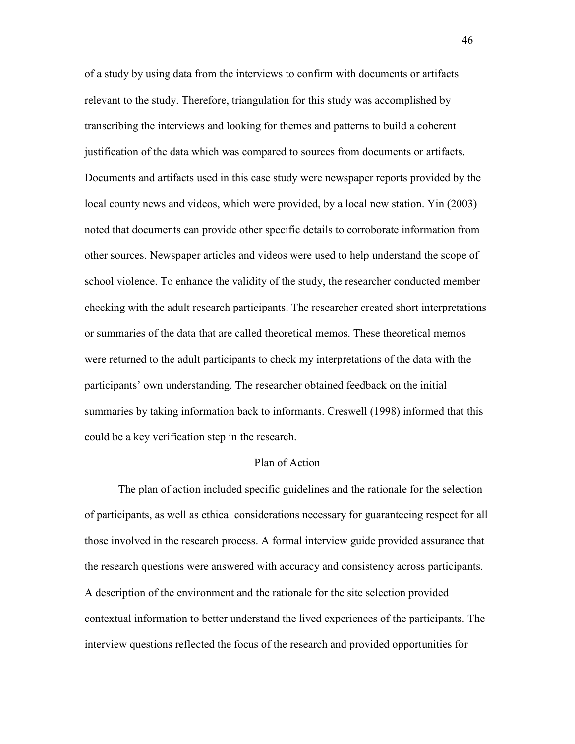of a study by using data from the interviews to confirm with documents or artifacts relevant to the study. Therefore, triangulation for this study was accomplished by transcribing the interviews and looking for themes and patterns to build a coherent justification of the data which was compared to sources from documents or artifacts. Documents and artifacts used in this case study were newspaper reports provided by the local county news and videos, which were provided, by a local new station. Yin (2003) noted that documents can provide other specific details to corroborate information from other sources. Newspaper articles and videos were used to help understand the scope of school violence. To enhance the validity of the study, the researcher conducted member checking with the adult research participants. The researcher created short interpretations or summaries of the data that are called theoretical memos. These theoretical memos were returned to the adult participants to check my interpretations of the data with the participants' own understanding. The researcher obtained feedback on the initial summaries by taking information back to informants. Creswell (1998) informed that this could be a key verification step in the research.

# Plan of Action

 The plan of action included specific guidelines and the rationale for the selection of participants, as well as ethical considerations necessary for guaranteeing respect for all those involved in the research process. A formal interview guide provided assurance that the research questions were answered with accuracy and consistency across participants. A description of the environment and the rationale for the site selection provided contextual information to better understand the lived experiences of the participants. The interview questions reflected the focus of the research and provided opportunities for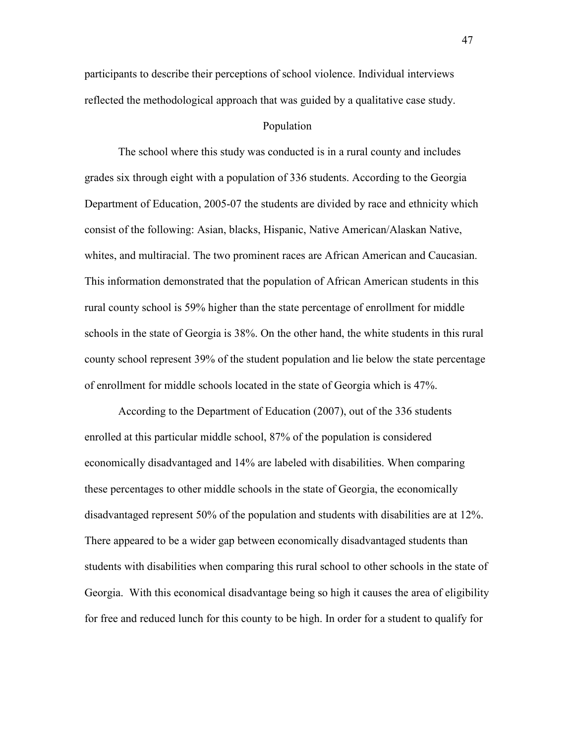participants to describe their perceptions of school violence. Individual interviews reflected the methodological approach that was guided by a qualitative case study.

# Population

 The school where this study was conducted is in a rural county and includes grades six through eight with a population of 336 students. According to the Georgia Department of Education, 2005-07 the students are divided by race and ethnicity which consist of the following: Asian, blacks, Hispanic, Native American/Alaskan Native, whites, and multiracial. The two prominent races are African American and Caucasian. This information demonstrated that the population of African American students in this rural county school is 59% higher than the state percentage of enrollment for middle schools in the state of Georgia is 38%. On the other hand, the white students in this rural county school represent 39% of the student population and lie below the state percentage of enrollment for middle schools located in the state of Georgia which is 47%.

 According to the Department of Education (2007), out of the 336 students enrolled at this particular middle school, 87% of the population is considered economically disadvantaged and 14% are labeled with disabilities. When comparing these percentages to other middle schools in the state of Georgia, the economically disadvantaged represent 50% of the population and students with disabilities are at 12%. There appeared to be a wider gap between economically disadvantaged students than students with disabilities when comparing this rural school to other schools in the state of Georgia. With this economical disadvantage being so high it causes the area of eligibility for free and reduced lunch for this county to be high. In order for a student to qualify for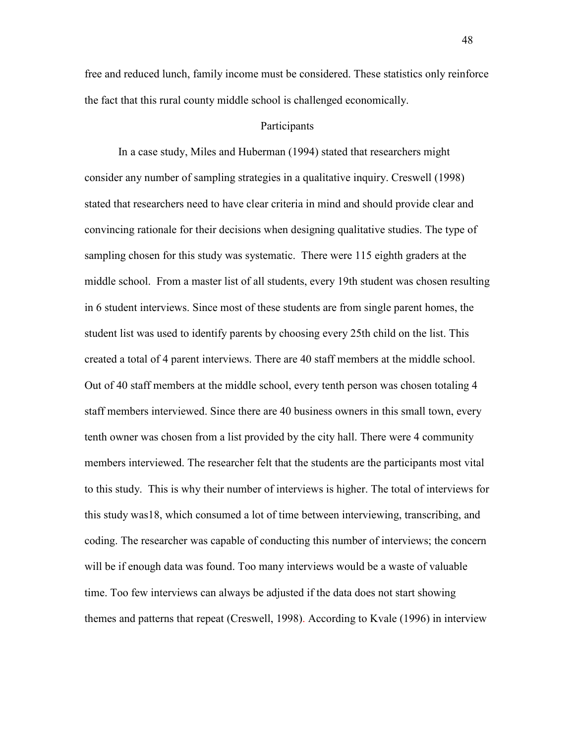free and reduced lunch, family income must be considered. These statistics only reinforce the fact that this rural county middle school is challenged economically.

# Participants

 In a case study, Miles and Huberman (1994) stated that researchers might consider any number of sampling strategies in a qualitative inquiry. Creswell (1998) stated that researchers need to have clear criteria in mind and should provide clear and convincing rationale for their decisions when designing qualitative studies. The type of sampling chosen for this study was systematic. There were 115 eighth graders at the middle school. From a master list of all students, every 19th student was chosen resulting in 6 student interviews. Since most of these students are from single parent homes, the student list was used to identify parents by choosing every 25th child on the list. This created a total of 4 parent interviews. There are 40 staff members at the middle school. Out of 40 staff members at the middle school, every tenth person was chosen totaling 4 staff members interviewed. Since there are 40 business owners in this small town, every tenth owner was chosen from a list provided by the city hall. There were 4 community members interviewed. The researcher felt that the students are the participants most vital to this study. This is why their number of interviews is higher. The total of interviews for this study was18, which consumed a lot of time between interviewing, transcribing, and coding. The researcher was capable of conducting this number of interviews; the concern will be if enough data was found. Too many interviews would be a waste of valuable time. Too few interviews can always be adjusted if the data does not start showing themes and patterns that repeat (Creswell, 1998). According to Kvale (1996) in interview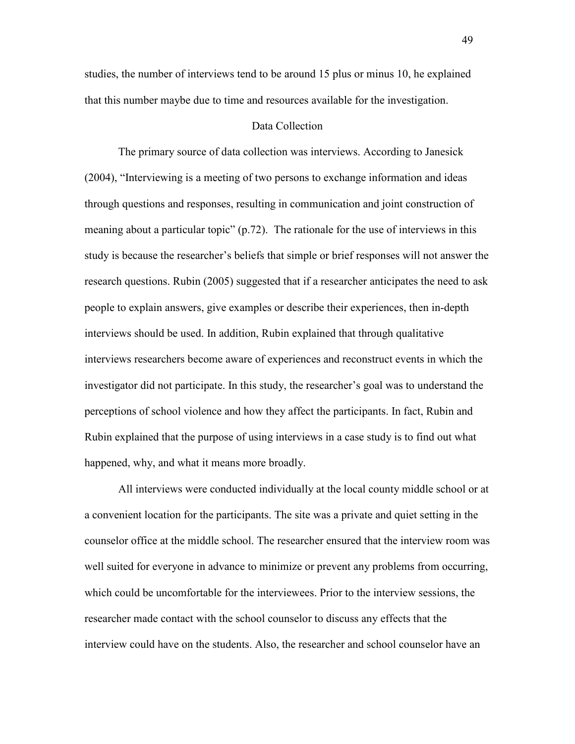studies, the number of interviews tend to be around 15 plus or minus 10, he explained that this number maybe due to time and resources available for the investigation.

# Data Collection

 The primary source of data collection was interviews. According to Janesick (2004), "Interviewing is a meeting of two persons to exchange information and ideas through questions and responses, resulting in communication and joint construction of meaning about a particular topic" (p.72). The rationale for the use of interviews in this study is because the researcher's beliefs that simple or brief responses will not answer the research questions. Rubin (2005) suggested that if a researcher anticipates the need to ask people to explain answers, give examples or describe their experiences, then in-depth interviews should be used. In addition, Rubin explained that through qualitative interviews researchers become aware of experiences and reconstruct events in which the investigator did not participate. In this study, the researcher's goal was to understand the perceptions of school violence and how they affect the participants. In fact, Rubin and Rubin explained that the purpose of using interviews in a case study is to find out what happened, why, and what it means more broadly.

 All interviews were conducted individually at the local county middle school or at a convenient location for the participants. The site was a private and quiet setting in the counselor office at the middle school. The researcher ensured that the interview room was well suited for everyone in advance to minimize or prevent any problems from occurring, which could be uncomfortable for the interviewees. Prior to the interview sessions, the researcher made contact with the school counselor to discuss any effects that the interview could have on the students. Also, the researcher and school counselor have an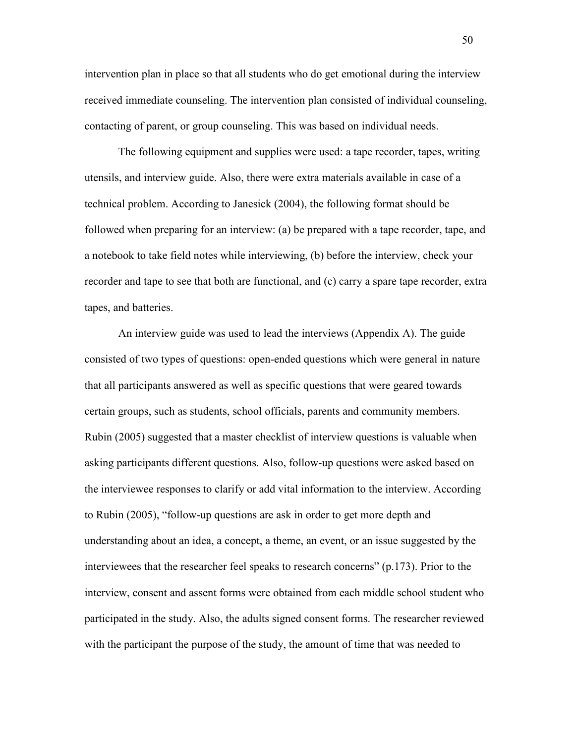intervention plan in place so that all students who do get emotional during the interview received immediate counseling. The intervention plan consisted of individual counseling, contacting of parent, or group counseling. This was based on individual needs.

 The following equipment and supplies were used: a tape recorder, tapes, writing utensils, and interview guide. Also, there were extra materials available in case of a technical problem. According to Janesick (2004), the following format should be followed when preparing for an interview: (a) be prepared with a tape recorder, tape, and a notebook to take field notes while interviewing, (b) before the interview, check your recorder and tape to see that both are functional, and (c) carry a spare tape recorder, extra tapes, and batteries.

 An interview guide was used to lead the interviews (Appendix A). The guide consisted of two types of questions: open-ended questions which were general in nature that all participants answered as well as specific questions that were geared towards certain groups, such as students, school officials, parents and community members. Rubin (2005) suggested that a master checklist of interview questions is valuable when asking participants different questions. Also, follow-up questions were asked based on the interviewee responses to clarify or add vital information to the interview. According to Rubin (2005), "follow-up questions are ask in order to get more depth and understanding about an idea, a concept, a theme, an event, or an issue suggested by the interviewees that the researcher feel speaks to research concerns" (p.173). Prior to the interview, consent and assent forms were obtained from each middle school student who participated in the study. Also, the adults signed consent forms. The researcher reviewed with the participant the purpose of the study, the amount of time that was needed to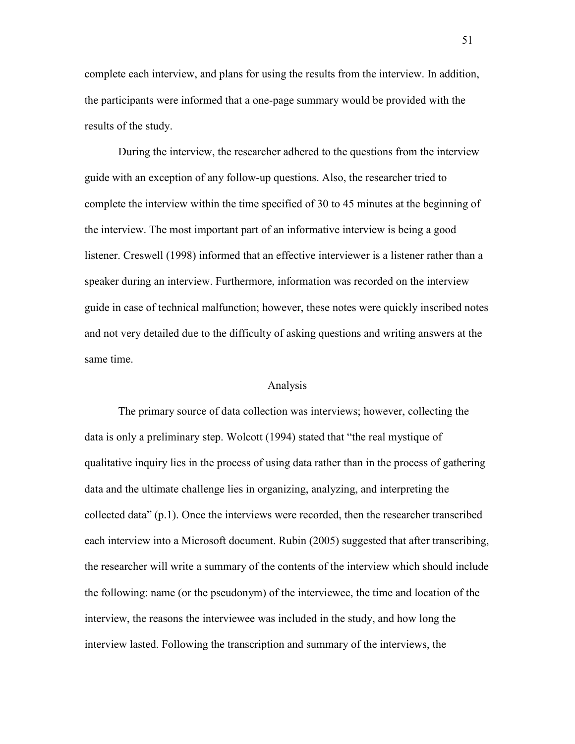complete each interview, and plans for using the results from the interview. In addition, the participants were informed that a one-page summary would be provided with the results of the study.

 During the interview, the researcher adhered to the questions from the interview guide with an exception of any follow-up questions. Also, the researcher tried to complete the interview within the time specified of 30 to 45 minutes at the beginning of the interview. The most important part of an informative interview is being a good listener. Creswell (1998) informed that an effective interviewer is a listener rather than a speaker during an interview. Furthermore, information was recorded on the interview guide in case of technical malfunction; however, these notes were quickly inscribed notes and not very detailed due to the difficulty of asking questions and writing answers at the same time.

### Analysis

 The primary source of data collection was interviews; however, collecting the data is only a preliminary step. Wolcott (1994) stated that "the real mystique of qualitative inquiry lies in the process of using data rather than in the process of gathering data and the ultimate challenge lies in organizing, analyzing, and interpreting the collected data" (p.1). Once the interviews were recorded, then the researcher transcribed each interview into a Microsoft document. Rubin (2005) suggested that after transcribing, the researcher will write a summary of the contents of the interview which should include the following: name (or the pseudonym) of the interviewee, the time and location of the interview, the reasons the interviewee was included in the study, and how long the interview lasted. Following the transcription and summary of the interviews, the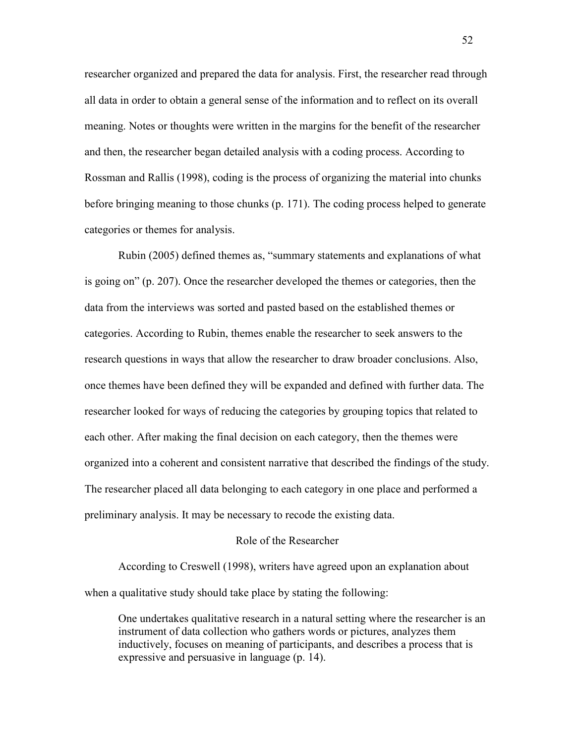researcher organized and prepared the data for analysis. First, the researcher read through all data in order to obtain a general sense of the information and to reflect on its overall meaning. Notes or thoughts were written in the margins for the benefit of the researcher and then, the researcher began detailed analysis with a coding process. According to Rossman and Rallis (1998), coding is the process of organizing the material into chunks before bringing meaning to those chunks (p. 171). The coding process helped to generate categories or themes for analysis.

 Rubin (2005) defined themes as, "summary statements and explanations of what is going on" (p. 207). Once the researcher developed the themes or categories, then the data from the interviews was sorted and pasted based on the established themes or categories. According to Rubin, themes enable the researcher to seek answers to the research questions in ways that allow the researcher to draw broader conclusions. Also, once themes have been defined they will be expanded and defined with further data. The researcher looked for ways of reducing the categories by grouping topics that related to each other. After making the final decision on each category, then the themes were organized into a coherent and consistent narrative that described the findings of the study. The researcher placed all data belonging to each category in one place and performed a preliminary analysis. It may be necessary to recode the existing data.

### Role of the Researcher

 According to Creswell (1998), writers have agreed upon an explanation about when a qualitative study should take place by stating the following:

 One undertakes qualitative research in a natural setting where the researcher is an instrument of data collection who gathers words or pictures, analyzes them inductively, focuses on meaning of participants, and describes a process that is expressive and persuasive in language (p. 14).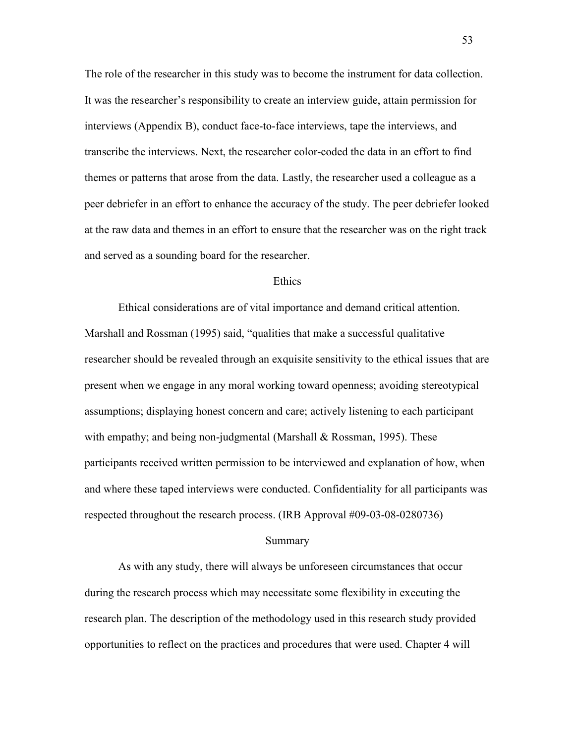The role of the researcher in this study was to become the instrument for data collection. It was the researcher's responsibility to create an interview guide, attain permission for interviews (Appendix B), conduct face-to-face interviews, tape the interviews, and transcribe the interviews. Next, the researcher color-coded the data in an effort to find themes or patterns that arose from the data. Lastly, the researcher used a colleague as a peer debriefer in an effort to enhance the accuracy of the study. The peer debriefer looked at the raw data and themes in an effort to ensure that the researcher was on the right track and served as a sounding board for the researcher.

### **Ethics**

 Ethical considerations are of vital importance and demand critical attention. Marshall and Rossman (1995) said, "qualities that make a successful qualitative researcher should be revealed through an exquisite sensitivity to the ethical issues that are present when we engage in any moral working toward openness; avoiding stereotypical assumptions; displaying honest concern and care; actively listening to each participant with empathy; and being non-judgmental (Marshall & Rossman, 1995). These participants received written permission to be interviewed and explanation of how, when and where these taped interviews were conducted. Confidentiality for all participants was respected throughout the research process. (IRB Approval #09-03-08-0280736)

#### Summary

 As with any study, there will always be unforeseen circumstances that occur during the research process which may necessitate some flexibility in executing the research plan. The description of the methodology used in this research study provided opportunities to reflect on the practices and procedures that were used. Chapter 4 will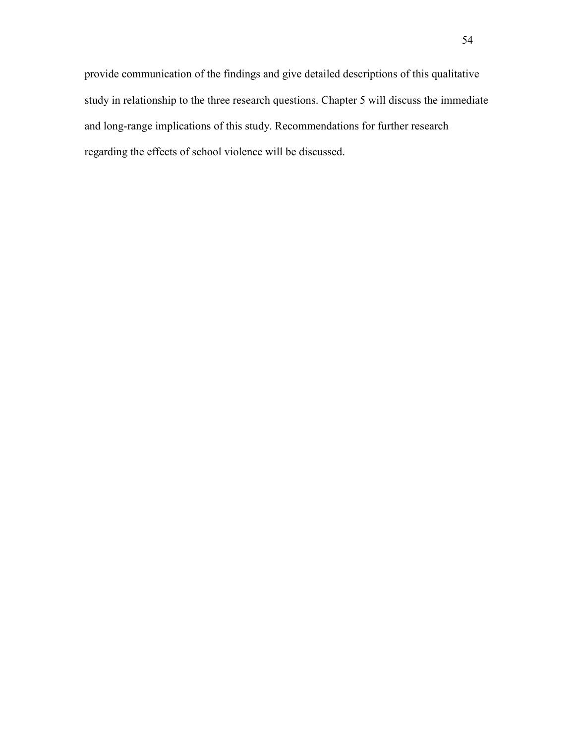provide communication of the findings and give detailed descriptions of this qualitative study in relationship to the three research questions. Chapter 5 will discuss the immediate and long-range implications of this study. Recommendations for further research regarding the effects of school violence will be discussed.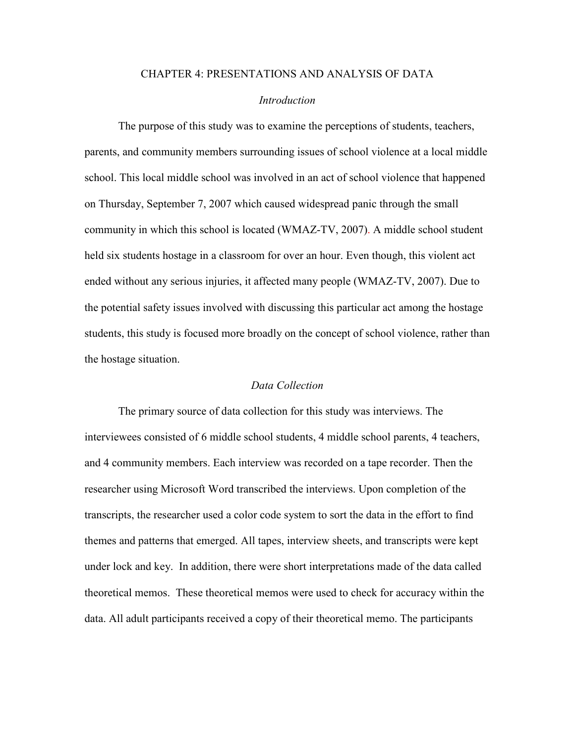# CHAPTER 4: PRESENTATIONS AND ANALYSIS OF DATA

# *Introduction*

 The purpose of this study was to examine the perceptions of students, teachers, parents, and community members surrounding issues of school violence at a local middle school. This local middle school was involved in an act of school violence that happened on Thursday, September 7, 2007 which caused widespread panic through the small community in which this school is located (WMAZ-TV, 2007). A middle school student held six students hostage in a classroom for over an hour. Even though, this violent act ended without any serious injuries, it affected many people (WMAZ-TV, 2007). Due to the potential safety issues involved with discussing this particular act among the hostage students, this study is focused more broadly on the concept of school violence, rather than the hostage situation.

# *Data Collection*

The primary source of data collection for this study was interviews. The interviewees consisted of 6 middle school students, 4 middle school parents, 4 teachers, and 4 community members. Each interview was recorded on a tape recorder. Then the researcher using Microsoft Word transcribed the interviews. Upon completion of the transcripts, the researcher used a color code system to sort the data in the effort to find themes and patterns that emerged. All tapes, interview sheets, and transcripts were kept under lock and key. In addition, there were short interpretations made of the data called theoretical memos. These theoretical memos were used to check for accuracy within the data. All adult participants received a copy of their theoretical memo. The participants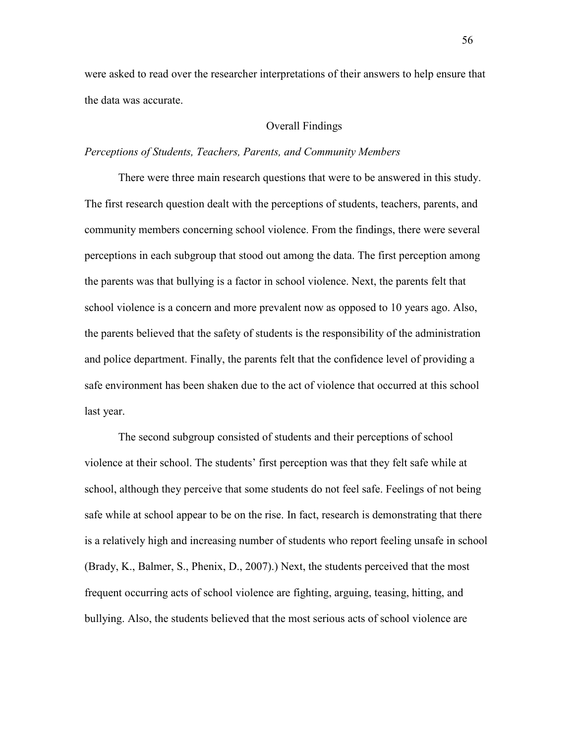were asked to read over the researcher interpretations of their answers to help ensure that the data was accurate.

# Overall Findings

# *Perceptions of Students, Teachers, Parents, and Community Members*

There were three main research questions that were to be answered in this study. The first research question dealt with the perceptions of students, teachers, parents, and community members concerning school violence. From the findings, there were several perceptions in each subgroup that stood out among the data. The first perception among the parents was that bullying is a factor in school violence. Next, the parents felt that school violence is a concern and more prevalent now as opposed to 10 years ago. Also, the parents believed that the safety of students is the responsibility of the administration and police department. Finally, the parents felt that the confidence level of providing a safe environment has been shaken due to the act of violence that occurred at this school last year.

The second subgroup consisted of students and their perceptions of school violence at their school. The students' first perception was that they felt safe while at school, although they perceive that some students do not feel safe. Feelings of not being safe while at school appear to be on the rise. In fact, research is demonstrating that there is a relatively high and increasing number of students who report feeling unsafe in school (Brady, K., Balmer, S., Phenix, D., 2007).) Next, the students perceived that the most frequent occurring acts of school violence are fighting, arguing, teasing, hitting, and bullying. Also, the students believed that the most serious acts of school violence are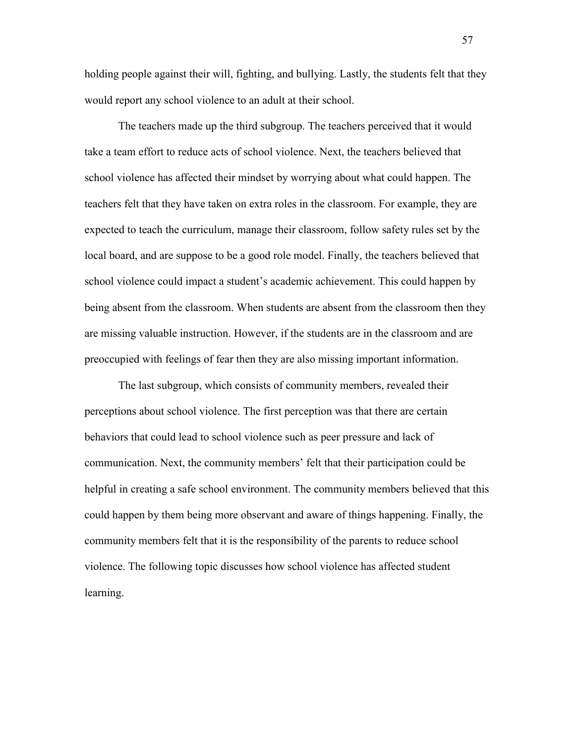holding people against their will, fighting, and bullying. Lastly, the students felt that they would report any school violence to an adult at their school.

The teachers made up the third subgroup. The teachers perceived that it would take a team effort to reduce acts of school violence. Next, the teachers believed that school violence has affected their mindset by worrying about what could happen. The teachers felt that they have taken on extra roles in the classroom. For example, they are expected to teach the curriculum, manage their classroom, follow safety rules set by the local board, and are suppose to be a good role model. Finally, the teachers believed that school violence could impact a student's academic achievement. This could happen by being absent from the classroom. When students are absent from the classroom then they are missing valuable instruction. However, if the students are in the classroom and are preoccupied with feelings of fear then they are also missing important information.

The last subgroup, which consists of community members, revealed their perceptions about school violence. The first perception was that there are certain behaviors that could lead to school violence such as peer pressure and lack of communication. Next, the community members' felt that their participation could be helpful in creating a safe school environment. The community members believed that this could happen by them being more observant and aware of things happening. Finally, the community members felt that it is the responsibility of the parents to reduce school violence. The following topic discusses how school violence has affected student learning.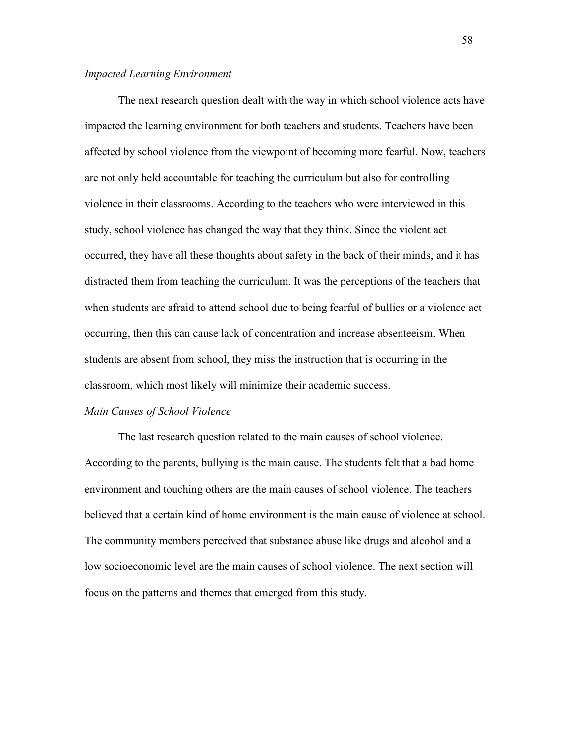### *Impacted Learning Environment*

The next research question dealt with the way in which school violence acts have impacted the learning environment for both teachers and students. Teachers have been affected by school violence from the viewpoint of becoming more fearful. Now, teachers are not only held accountable for teaching the curriculum but also for controlling violence in their classrooms. According to the teachers who were interviewed in this study, school violence has changed the way that they think. Since the violent act occurred, they have all these thoughts about safety in the back of their minds, and it has distracted them from teaching the curriculum. It was the perceptions of the teachers that when students are afraid to attend school due to being fearful of bullies or a violence act occurring, then this can cause lack of concentration and increase absenteeism. When students are absent from school, they miss the instruction that is occurring in the classroom, which most likely will minimize their academic success.

# *Main Causes of School Violence*

The last research question related to the main causes of school violence. According to the parents, bullying is the main cause. The students felt that a bad home environment and touching others are the main causes of school violence. The teachers believed that a certain kind of home environment is the main cause of violence at school. The community members perceived that substance abuse like drugs and alcohol and a low socioeconomic level are the main causes of school violence. The next section will focus on the patterns and themes that emerged from this study.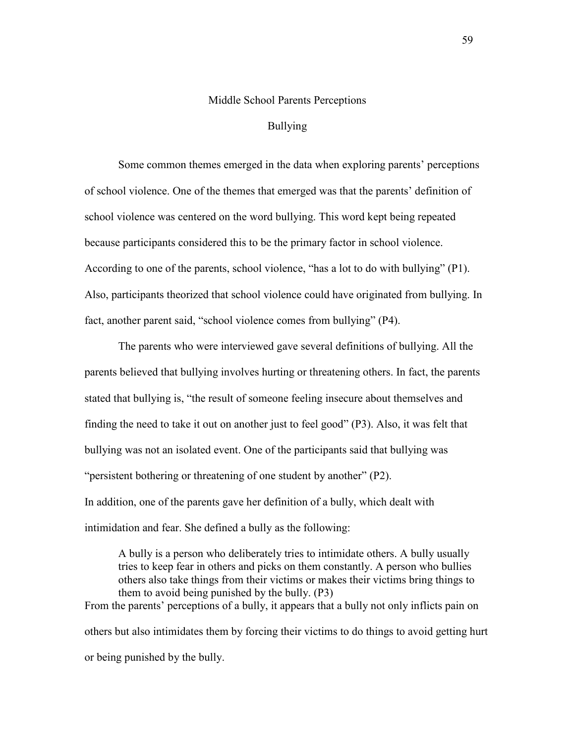### Middle School Parents Perceptions

# Bullying

Some common themes emerged in the data when exploring parents' perceptions of school violence. One of the themes that emerged was that the parents' definition of school violence was centered on the word bullying. This word kept being repeated because participants considered this to be the primary factor in school violence. According to one of the parents, school violence, "has a lot to do with bullying" (P1). Also, participants theorized that school violence could have originated from bullying. In fact, another parent said, "school violence comes from bullying" (P4).

The parents who were interviewed gave several definitions of bullying. All the parents believed that bullying involves hurting or threatening others. In fact, the parents stated that bullying is, "the result of someone feeling insecure about themselves and finding the need to take it out on another just to feel good" (P3). Also, it was felt that bullying was not an isolated event. One of the participants said that bullying was "persistent bothering or threatening of one student by another" (P2). In addition, one of the parents gave her definition of a bully, which dealt with intimidation and fear. She defined a bully as the following:

A bully is a person who deliberately tries to intimidate others. A bully usually tries to keep fear in others and picks on them constantly. A person who bullies others also take things from their victims or makes their victims bring things to them to avoid being punished by the bully. (P3) From the parents' perceptions of a bully, it appears that a bully not only inflicts pain on others but also intimidates them by forcing their victims to do things to avoid getting hurt or being punished by the bully.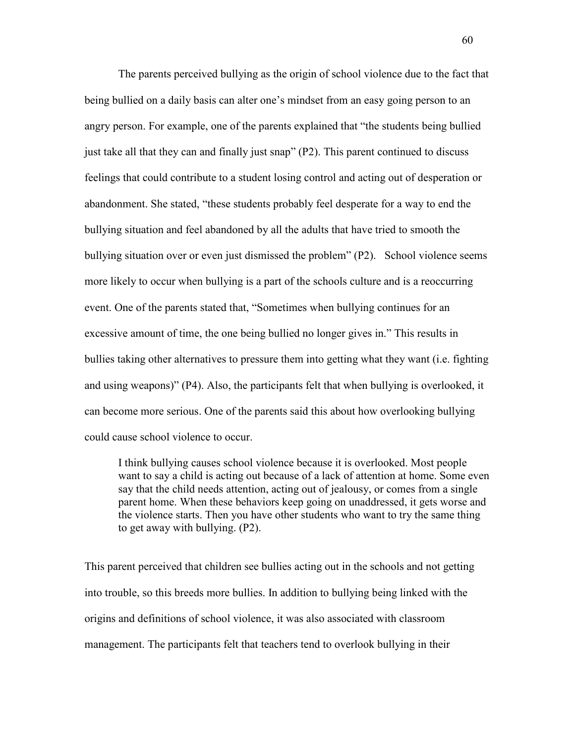The parents perceived bullying as the origin of school violence due to the fact that being bullied on a daily basis can alter one's mindset from an easy going person to an angry person. For example, one of the parents explained that "the students being bullied just take all that they can and finally just snap" (P2). This parent continued to discuss feelings that could contribute to a student losing control and acting out of desperation or abandonment. She stated, "these students probably feel desperate for a way to end the bullying situation and feel abandoned by all the adults that have tried to smooth the bullying situation over or even just dismissed the problem" (P2). School violence seems more likely to occur when bullying is a part of the schools culture and is a reoccurring event. One of the parents stated that, "Sometimes when bullying continues for an excessive amount of time, the one being bullied no longer gives in." This results in bullies taking other alternatives to pressure them into getting what they want (i.e. fighting and using weapons)" (P4). Also, the participants felt that when bullying is overlooked, it can become more serious. One of the parents said this about how overlooking bullying could cause school violence to occur.

I think bullying causes school violence because it is overlooked. Most people want to say a child is acting out because of a lack of attention at home. Some even say that the child needs attention, acting out of jealousy, or comes from a single parent home. When these behaviors keep going on unaddressed, it gets worse and the violence starts. Then you have other students who want to try the same thing to get away with bullying. (P2).

This parent perceived that children see bullies acting out in the schools and not getting into trouble, so this breeds more bullies. In addition to bullying being linked with the origins and definitions of school violence, it was also associated with classroom management. The participants felt that teachers tend to overlook bullying in their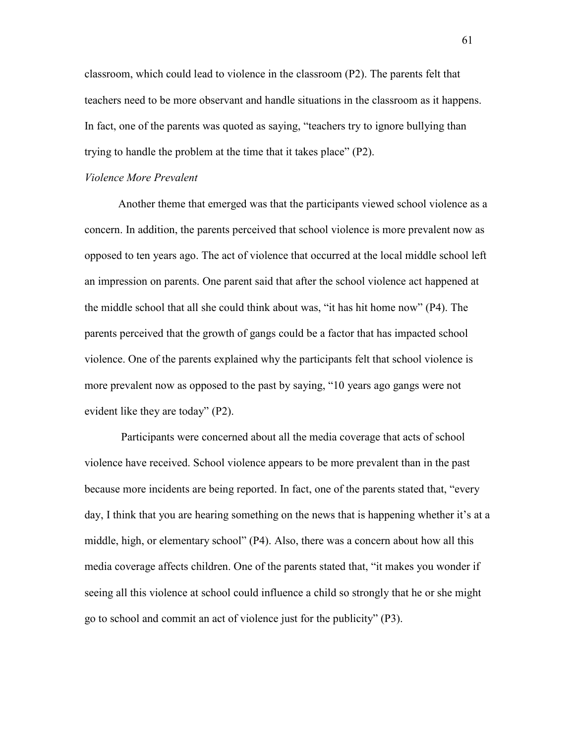classroom, which could lead to violence in the classroom (P2). The parents felt that teachers need to be more observant and handle situations in the classroom as it happens. In fact, one of the parents was quoted as saying, "teachers try to ignore bullying than trying to handle the problem at the time that it takes place" (P2).

#### *Violence More Prevalent*

Another theme that emerged was that the participants viewed school violence as a concern. In addition, the parents perceived that school violence is more prevalent now as opposed to ten years ago. The act of violence that occurred at the local middle school left an impression on parents. One parent said that after the school violence act happened at the middle school that all she could think about was, "it has hit home now" (P4). The parents perceived that the growth of gangs could be a factor that has impacted school violence. One of the parents explained why the participants felt that school violence is more prevalent now as opposed to the past by saying, "10 years ago gangs were not evident like they are today" (P2).

 Participants were concerned about all the media coverage that acts of school violence have received. School violence appears to be more prevalent than in the past because more incidents are being reported. In fact, one of the parents stated that, "every day, I think that you are hearing something on the news that is happening whether it's at a middle, high, or elementary school" (P4). Also, there was a concern about how all this media coverage affects children. One of the parents stated that, "it makes you wonder if seeing all this violence at school could influence a child so strongly that he or she might go to school and commit an act of violence just for the publicity" (P3).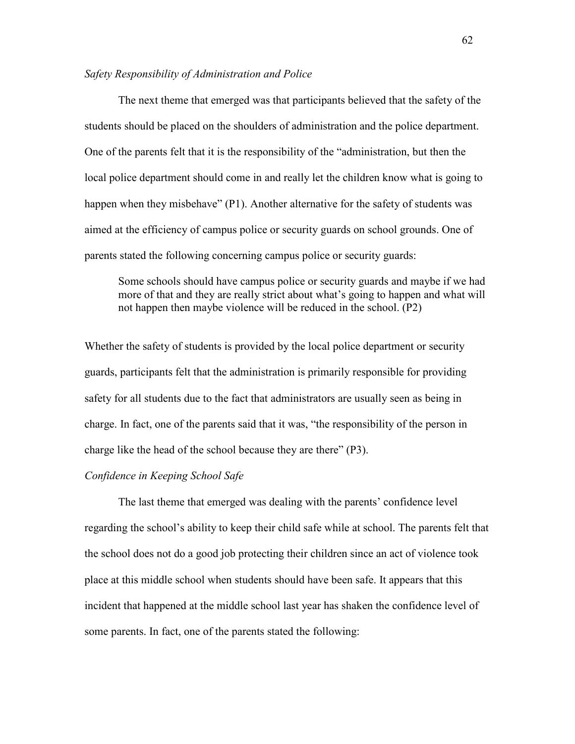# *Safety Responsibility of Administration and Police*

The next theme that emerged was that participants believed that the safety of the students should be placed on the shoulders of administration and the police department. One of the parents felt that it is the responsibility of the "administration, but then the local police department should come in and really let the children know what is going to happen when they misbehave" (P1). Another alternative for the safety of students was aimed at the efficiency of campus police or security guards on school grounds. One of parents stated the following concerning campus police or security guards:

Some schools should have campus police or security guards and maybe if we had more of that and they are really strict about what's going to happen and what will not happen then maybe violence will be reduced in the school. (P2)

Whether the safety of students is provided by the local police department or security guards, participants felt that the administration is primarily responsible for providing safety for all students due to the fact that administrators are usually seen as being in charge. In fact, one of the parents said that it was, "the responsibility of the person in charge like the head of the school because they are there" (P3).

# *Confidence in Keeping School Safe*

The last theme that emerged was dealing with the parents' confidence level regarding the school's ability to keep their child safe while at school. The parents felt that the school does not do a good job protecting their children since an act of violence took place at this middle school when students should have been safe. It appears that this incident that happened at the middle school last year has shaken the confidence level of some parents. In fact, one of the parents stated the following: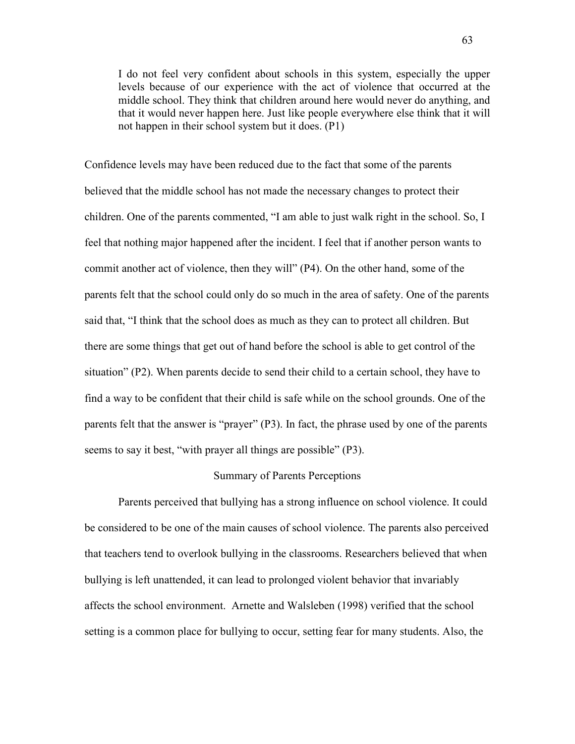I do not feel very confident about schools in this system, especially the upper levels because of our experience with the act of violence that occurred at the middle school. They think that children around here would never do anything, and that it would never happen here. Just like people everywhere else think that it will not happen in their school system but it does. (P1)

Confidence levels may have been reduced due to the fact that some of the parents believed that the middle school has not made the necessary changes to protect their children. One of the parents commented, "I am able to just walk right in the school. So, I feel that nothing major happened after the incident. I feel that if another person wants to commit another act of violence, then they will" (P4). On the other hand, some of the parents felt that the school could only do so much in the area of safety. One of the parents said that, "I think that the school does as much as they can to protect all children. But there are some things that get out of hand before the school is able to get control of the situation" (P2). When parents decide to send their child to a certain school, they have to find a way to be confident that their child is safe while on the school grounds. One of the parents felt that the answer is "prayer" (P3). In fact, the phrase used by one of the parents seems to say it best, "with prayer all things are possible" (P3).

### Summary of Parents Perceptions

 Parents perceived that bullying has a strong influence on school violence. It could be considered to be one of the main causes of school violence. The parents also perceived that teachers tend to overlook bullying in the classrooms. Researchers believed that when bullying is left unattended, it can lead to prolonged violent behavior that invariably affects the school environment. Arnette and Walsleben (1998) verified that the school setting is a common place for bullying to occur, setting fear for many students. Also, the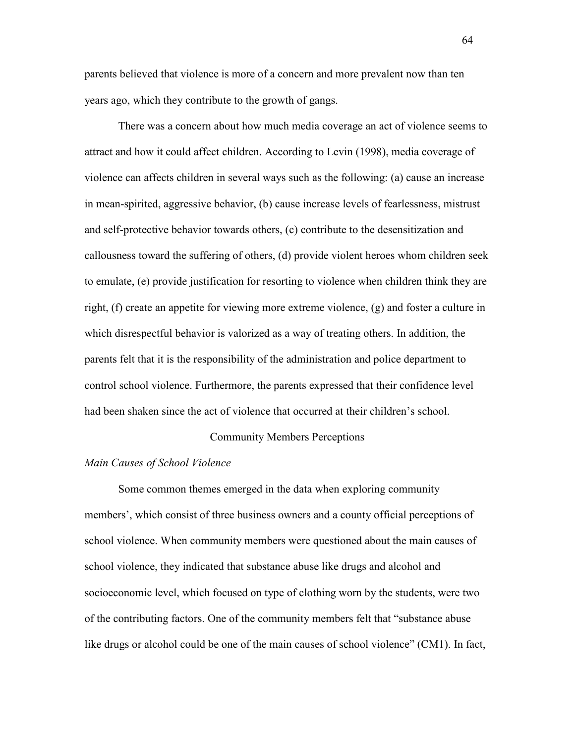parents believed that violence is more of a concern and more prevalent now than ten years ago, which they contribute to the growth of gangs.

There was a concern about how much media coverage an act of violence seems to attract and how it could affect children. According to Levin (1998), media coverage of violence can affects children in several ways such as the following: (a) cause an increase in mean-spirited, aggressive behavior, (b) cause increase levels of fearlessness, mistrust and self-protective behavior towards others, (c) contribute to the desensitization and callousness toward the suffering of others, (d) provide violent heroes whom children seek to emulate, (e) provide justification for resorting to violence when children think they are right, (f) create an appetite for viewing more extreme violence, (g) and foster a culture in which disrespectful behavior is valorized as a way of treating others. In addition, the parents felt that it is the responsibility of the administration and police department to control school violence. Furthermore, the parents expressed that their confidence level had been shaken since the act of violence that occurred at their children's school.

### Community Members Perceptions

### *Main Causes of School Violence*

Some common themes emerged in the data when exploring community members', which consist of three business owners and a county official perceptions of school violence. When community members were questioned about the main causes of school violence, they indicated that substance abuse like drugs and alcohol and socioeconomic level, which focused on type of clothing worn by the students, were two of the contributing factors. One of the community members felt that "substance abuse like drugs or alcohol could be one of the main causes of school violence" (CM1). In fact,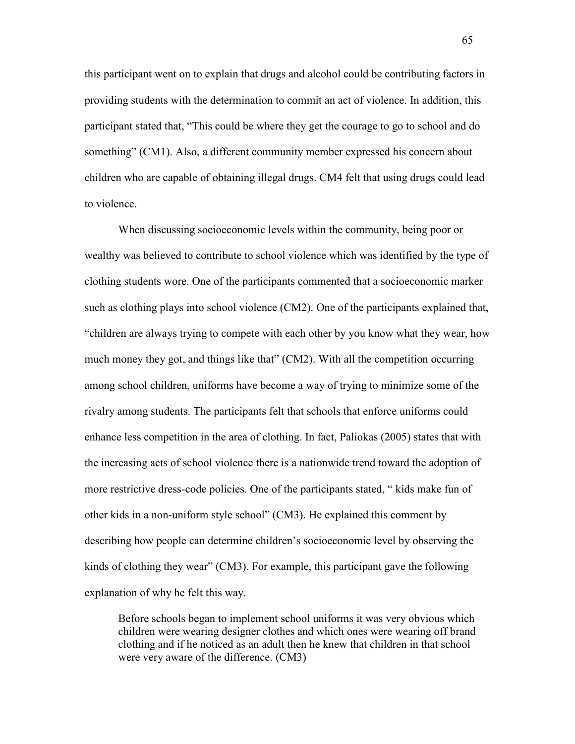this participant went on to explain that drugs and alcohol could be contributing factors in providing students with the determination to commit an act of violence. In addition, this participant stated that, "This could be where they get the courage to go to school and do something" (CM1). Also, a different community member expressed his concern about children who are capable of obtaining illegal drugs. CM4 felt that using drugs could lead to violence.

When discussing socioeconomic levels within the community, being poor or wealthy was believed to contribute to school violence which was identified by the type of clothing students wore. One of the participants commented that a socioeconomic marker such as clothing plays into school violence (CM2). One of the participants explained that, "children are always trying to compete with each other by you know what they wear, how much money they got, and things like that" (CM2). With all the competition occurring among school children, uniforms have become a way of trying to minimize some of the rivalry among students. The participants felt that schools that enforce uniforms could enhance less competition in the area of clothing. In fact, Paliokas (2005) states that with the increasing acts of school violence there is a nationwide trend toward the adoption of more restrictive dress-code policies. One of the participants stated, " kids make fun of other kids in a non-uniform style school" (CM3). He explained this comment by describing how people can determine children's socioeconomic level by observing the kinds of clothing they wear" (CM3). For example, this participant gave the following explanation of why he felt this way.

Before schools began to implement school uniforms it was very obvious which children were wearing designer clothes and which ones were wearing off brand clothing and if he noticed as an adult then he knew that children in that school were very aware of the difference. (CM3)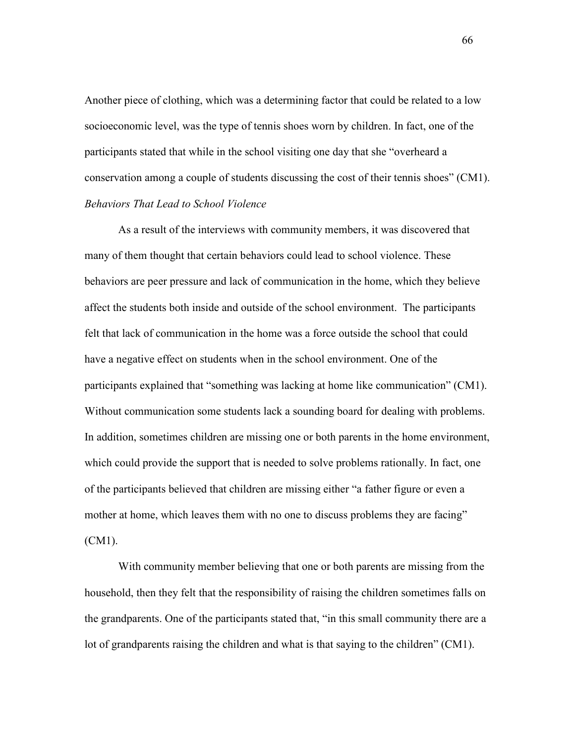Another piece of clothing, which was a determining factor that could be related to a low socioeconomic level, was the type of tennis shoes worn by children. In fact, one of the participants stated that while in the school visiting one day that she "overheard a conservation among a couple of students discussing the cost of their tennis shoes" (CM1). *Behaviors That Lead to School Violence* 

As a result of the interviews with community members, it was discovered that many of them thought that certain behaviors could lead to school violence. These behaviors are peer pressure and lack of communication in the home, which they believe affect the students both inside and outside of the school environment. The participants felt that lack of communication in the home was a force outside the school that could have a negative effect on students when in the school environment. One of the participants explained that "something was lacking at home like communication" (CM1). Without communication some students lack a sounding board for dealing with problems. In addition, sometimes children are missing one or both parents in the home environment, which could provide the support that is needed to solve problems rationally. In fact, one of the participants believed that children are missing either "a father figure or even a mother at home, which leaves them with no one to discuss problems they are facing" (CM1).

With community member believing that one or both parents are missing from the household, then they felt that the responsibility of raising the children sometimes falls on the grandparents. One of the participants stated that, "in this small community there are a lot of grandparents raising the children and what is that saying to the children" (CM1).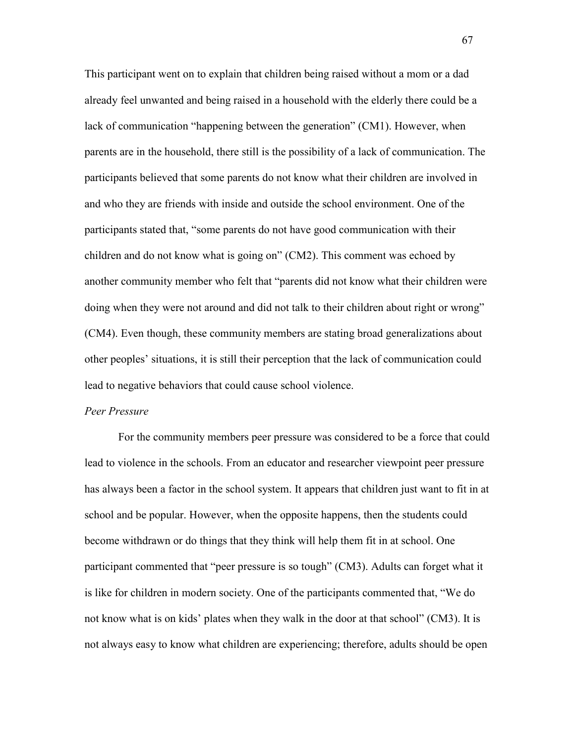This participant went on to explain that children being raised without a mom or a dad already feel unwanted and being raised in a household with the elderly there could be a lack of communication "happening between the generation" (CM1). However, when parents are in the household, there still is the possibility of a lack of communication. The participants believed that some parents do not know what their children are involved in and who they are friends with inside and outside the school environment. One of the participants stated that, "some parents do not have good communication with their children and do not know what is going on" (CM2). This comment was echoed by another community member who felt that "parents did not know what their children were doing when they were not around and did not talk to their children about right or wrong" (CM4). Even though, these community members are stating broad generalizations about other peoples' situations, it is still their perception that the lack of communication could lead to negative behaviors that could cause school violence.

### *Peer Pressure*

For the community members peer pressure was considered to be a force that could lead to violence in the schools. From an educator and researcher viewpoint peer pressure has always been a factor in the school system. It appears that children just want to fit in at school and be popular. However, when the opposite happens, then the students could become withdrawn or do things that they think will help them fit in at school. One participant commented that "peer pressure is so tough" (CM3). Adults can forget what it is like for children in modern society. One of the participants commented that, "We do not know what is on kids' plates when they walk in the door at that school" (CM3). It is not always easy to know what children are experiencing; therefore, adults should be open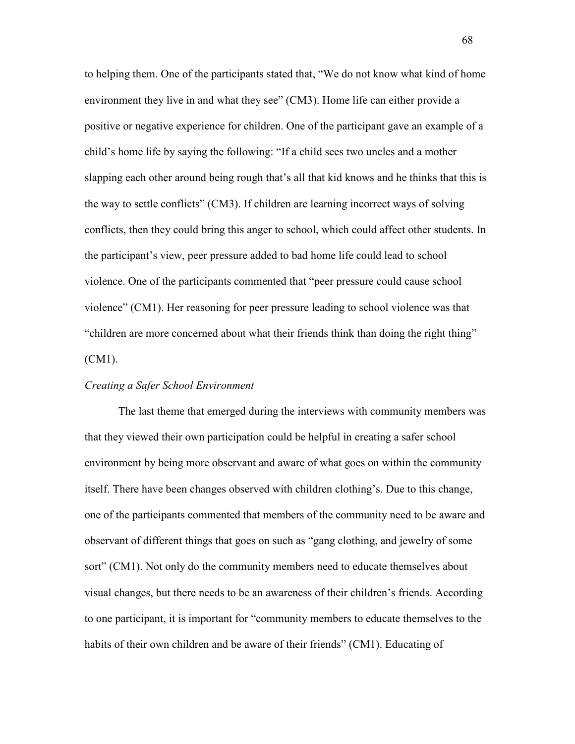to helping them. One of the participants stated that, "We do not know what kind of home environment they live in and what they see" (CM3). Home life can either provide a positive or negative experience for children. One of the participant gave an example of a child's home life by saying the following: "If a child sees two uncles and a mother slapping each other around being rough that's all that kid knows and he thinks that this is the way to settle conflicts" (CM3). If children are learning incorrect ways of solving conflicts, then they could bring this anger to school, which could affect other students. In the participant's view, peer pressure added to bad home life could lead to school violence. One of the participants commented that "peer pressure could cause school violence" (CM1). Her reasoning for peer pressure leading to school violence was that "children are more concerned about what their friends think than doing the right thing" (CM1).

# *Creating a Safer School Environment*

The last theme that emerged during the interviews with community members was that they viewed their own participation could be helpful in creating a safer school environment by being more observant and aware of what goes on within the community itself. There have been changes observed with children clothing's. Due to this change, one of the participants commented that members of the community need to be aware and observant of different things that goes on such as "gang clothing, and jewelry of some sort" (CM1). Not only do the community members need to educate themselves about visual changes, but there needs to be an awareness of their children's friends. According to one participant, it is important for "community members to educate themselves to the habits of their own children and be aware of their friends" (CM1). Educating of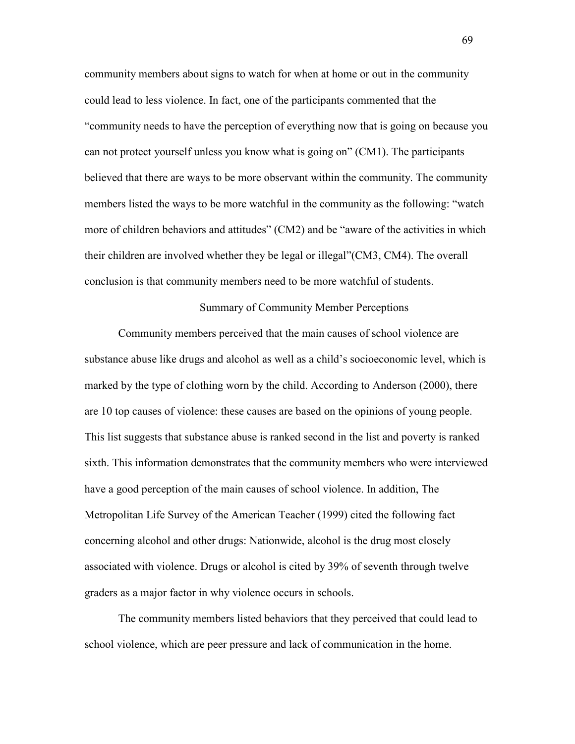community members about signs to watch for when at home or out in the community could lead to less violence. In fact, one of the participants commented that the "community needs to have the perception of everything now that is going on because you can not protect yourself unless you know what is going on" (CM1). The participants believed that there are ways to be more observant within the community. The community members listed the ways to be more watchful in the community as the following: "watch more of children behaviors and attitudes" (CM2) and be "aware of the activities in which their children are involved whether they be legal or illegal"(CM3, CM4). The overall conclusion is that community members need to be more watchful of students.

Summary of Community Member Perceptions

Community members perceived that the main causes of school violence are substance abuse like drugs and alcohol as well as a child's socioeconomic level, which is marked by the type of clothing worn by the child. According to Anderson (2000), there are 10 top causes of violence: these causes are based on the opinions of young people. This list suggests that substance abuse is ranked second in the list and poverty is ranked sixth. This information demonstrates that the community members who were interviewed have a good perception of the main causes of school violence. In addition, The Metropolitan Life Survey of the American Teacher (1999) cited the following fact concerning alcohol and other drugs: Nationwide, alcohol is the drug most closely associated with violence. Drugs or alcohol is cited by 39% of seventh through twelve graders as a major factor in why violence occurs in schools.

The community members listed behaviors that they perceived that could lead to school violence, which are peer pressure and lack of communication in the home.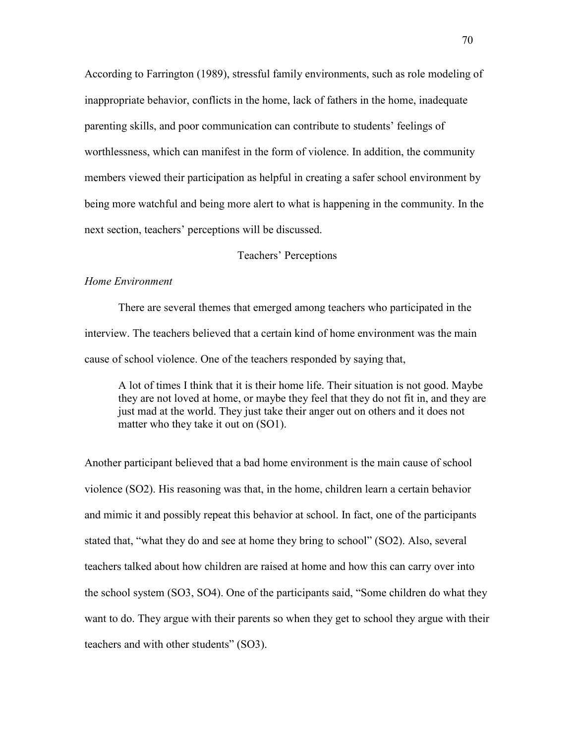According to Farrington (1989), stressful family environments, such as role modeling of inappropriate behavior, conflicts in the home, lack of fathers in the home, inadequate parenting skills, and poor communication can contribute to students' feelings of worthlessness, which can manifest in the form of violence. In addition, the community members viewed their participation as helpful in creating a safer school environment by being more watchful and being more alert to what is happening in the community. In the next section, teachers' perceptions will be discussed.

# Teachers' Perceptions

# *Home Environment*

 There are several themes that emerged among teachers who participated in the interview. The teachers believed that a certain kind of home environment was the main cause of school violence. One of the teachers responded by saying that,

A lot of times I think that it is their home life. Their situation is not good. Maybe they are not loved at home, or maybe they feel that they do not fit in, and they are just mad at the world. They just take their anger out on others and it does not matter who they take it out on (SO1).

Another participant believed that a bad home environment is the main cause of school violence (SO2). His reasoning was that, in the home, children learn a certain behavior and mimic it and possibly repeat this behavior at school. In fact, one of the participants stated that, "what they do and see at home they bring to school" (SO2). Also, several teachers talked about how children are raised at home and how this can carry over into the school system (SO3, SO4). One of the participants said, "Some children do what they want to do. They argue with their parents so when they get to school they argue with their teachers and with other students" (SO3).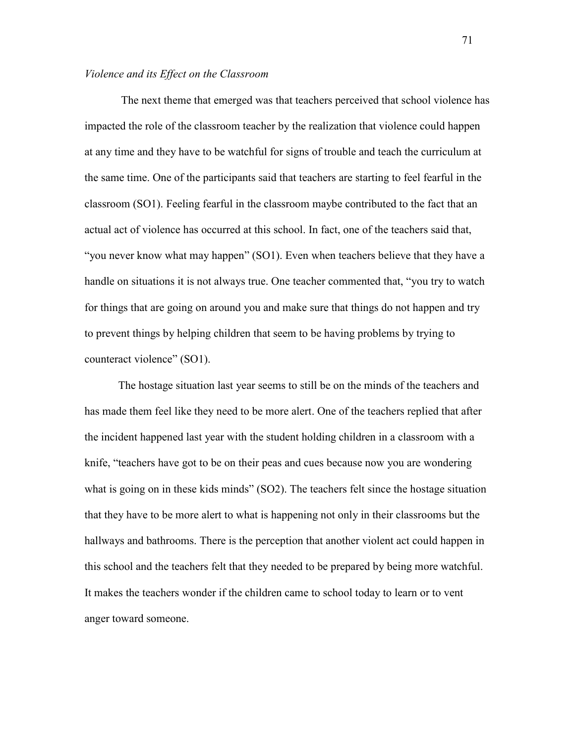#### *Violence and its Effect on the Classroom*

 The next theme that emerged was that teachers perceived that school violence has impacted the role of the classroom teacher by the realization that violence could happen at any time and they have to be watchful for signs of trouble and teach the curriculum at the same time. One of the participants said that teachers are starting to feel fearful in the classroom (SO1). Feeling fearful in the classroom maybe contributed to the fact that an actual act of violence has occurred at this school. In fact, one of the teachers said that, "you never know what may happen" (SO1). Even when teachers believe that they have a handle on situations it is not always true. One teacher commented that, "you try to watch for things that are going on around you and make sure that things do not happen and try to prevent things by helping children that seem to be having problems by trying to counteract violence" (SO1).

The hostage situation last year seems to still be on the minds of the teachers and has made them feel like they need to be more alert. One of the teachers replied that after the incident happened last year with the student holding children in a classroom with a knife, "teachers have got to be on their peas and cues because now you are wondering what is going on in these kids minds" (SO2). The teachers felt since the hostage situation that they have to be more alert to what is happening not only in their classrooms but the hallways and bathrooms. There is the perception that another violent act could happen in this school and the teachers felt that they needed to be prepared by being more watchful. It makes the teachers wonder if the children came to school today to learn or to vent anger toward someone.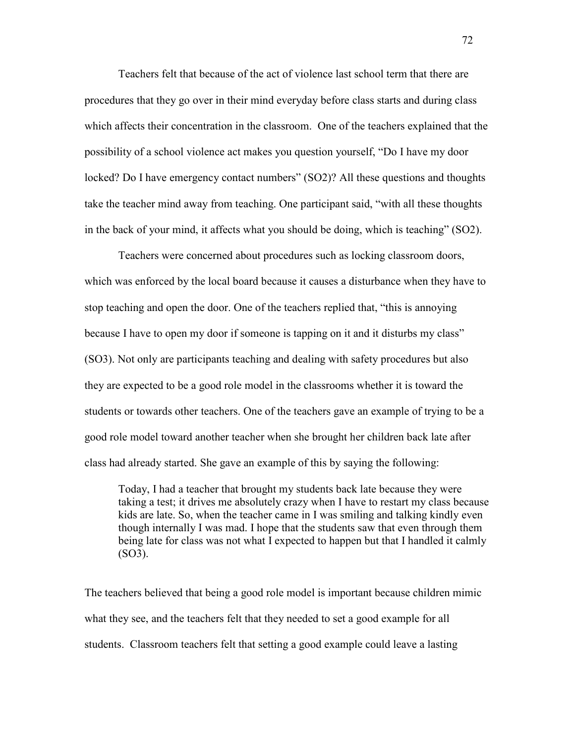Teachers felt that because of the act of violence last school term that there are procedures that they go over in their mind everyday before class starts and during class which affects their concentration in the classroom. One of the teachers explained that the possibility of a school violence act makes you question yourself, "Do I have my door locked? Do I have emergency contact numbers" (SO2)? All these questions and thoughts take the teacher mind away from teaching. One participant said, "with all these thoughts in the back of your mind, it affects what you should be doing, which is teaching" (SO2).

Teachers were concerned about procedures such as locking classroom doors, which was enforced by the local board because it causes a disturbance when they have to stop teaching and open the door. One of the teachers replied that, "this is annoying because I have to open my door if someone is tapping on it and it disturbs my class" (SO3). Not only are participants teaching and dealing with safety procedures but also they are expected to be a good role model in the classrooms whether it is toward the students or towards other teachers. One of the teachers gave an example of trying to be a good role model toward another teacher when she brought her children back late after class had already started. She gave an example of this by saying the following:

Today, I had a teacher that brought my students back late because they were taking a test; it drives me absolutely crazy when I have to restart my class because kids are late. So, when the teacher came in I was smiling and talking kindly even though internally I was mad. I hope that the students saw that even through them being late for class was not what I expected to happen but that I handled it calmly (SO3).

The teachers believed that being a good role model is important because children mimic what they see, and the teachers felt that they needed to set a good example for all students. Classroom teachers felt that setting a good example could leave a lasting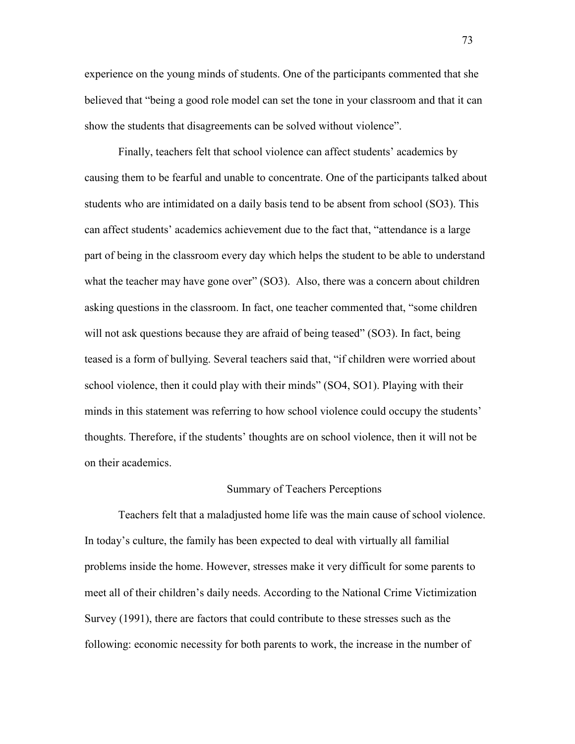experience on the young minds of students. One of the participants commented that she believed that "being a good role model can set the tone in your classroom and that it can show the students that disagreements can be solved without violence".

Finally, teachers felt that school violence can affect students' academics by causing them to be fearful and unable to concentrate. One of the participants talked about students who are intimidated on a daily basis tend to be absent from school (SO3). This can affect students' academics achievement due to the fact that, "attendance is a large part of being in the classroom every day which helps the student to be able to understand what the teacher may have gone over" (SO3). Also, there was a concern about children asking questions in the classroom. In fact, one teacher commented that, "some children will not ask questions because they are afraid of being teased" (SO3). In fact, being teased is a form of bullying. Several teachers said that, "if children were worried about school violence, then it could play with their minds" (SO4, SO1). Playing with their minds in this statement was referring to how school violence could occupy the students' thoughts. Therefore, if the students' thoughts are on school violence, then it will not be on their academics.

#### Summary of Teachers Perceptions

Teachers felt that a maladjusted home life was the main cause of school violence. In today's culture, the family has been expected to deal with virtually all familial problems inside the home. However, stresses make it very difficult for some parents to meet all of their children's daily needs. According to the National Crime Victimization Survey (1991), there are factors that could contribute to these stresses such as the following: economic necessity for both parents to work, the increase in the number of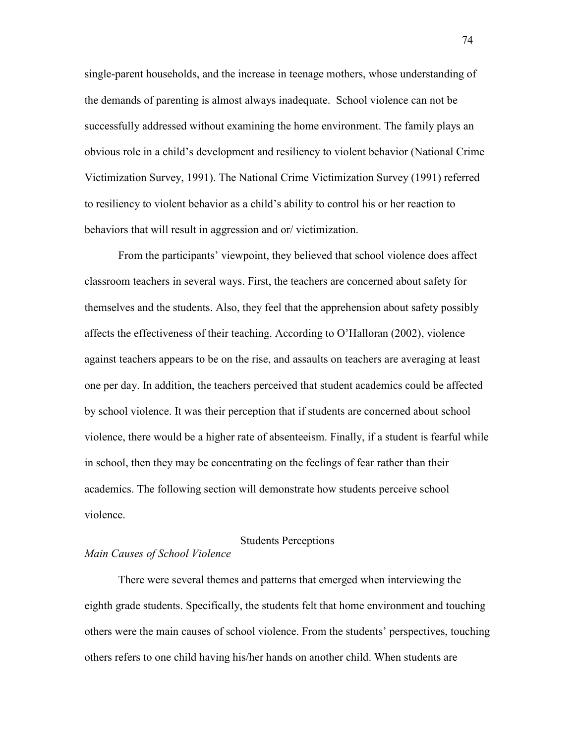single-parent households, and the increase in teenage mothers, whose understanding of the demands of parenting is almost always inadequate. School violence can not be successfully addressed without examining the home environment. The family plays an obvious role in a child's development and resiliency to violent behavior (National Crime Victimization Survey, 1991). The National Crime Victimization Survey (1991) referred to resiliency to violent behavior as a child's ability to control his or her reaction to behaviors that will result in aggression and or/ victimization.

From the participants' viewpoint, they believed that school violence does affect classroom teachers in several ways. First, the teachers are concerned about safety for themselves and the students. Also, they feel that the apprehension about safety possibly affects the effectiveness of their teaching. According to O'Halloran (2002), violence against teachers appears to be on the rise, and assaults on teachers are averaging at least one per day. In addition, the teachers perceived that student academics could be affected by school violence. It was their perception that if students are concerned about school violence, there would be a higher rate of absenteeism. Finally, if a student is fearful while in school, then they may be concentrating on the feelings of fear rather than their academics. The following section will demonstrate how students perceive school violence.

# Students Perceptions

# *Main Causes of School Violence*

 There were several themes and patterns that emerged when interviewing the eighth grade students. Specifically, the students felt that home environment and touching others were the main causes of school violence. From the students' perspectives, touching others refers to one child having his/her hands on another child. When students are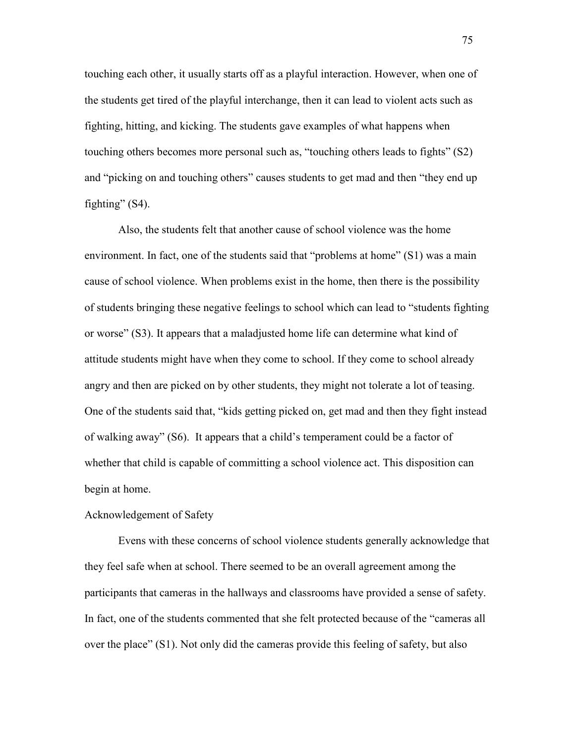touching each other, it usually starts off as a playful interaction. However, when one of the students get tired of the playful interchange, then it can lead to violent acts such as fighting, hitting, and kicking. The students gave examples of what happens when touching others becomes more personal such as, "touching others leads to fights" (S2) and "picking on and touching others" causes students to get mad and then "they end up fighting"  $(S4)$ .

 Also, the students felt that another cause of school violence was the home environment. In fact, one of the students said that "problems at home" (S1) was a main cause of school violence. When problems exist in the home, then there is the possibility of students bringing these negative feelings to school which can lead to "students fighting or worse" (S3). It appears that a maladjusted home life can determine what kind of attitude students might have when they come to school. If they come to school already angry and then are picked on by other students, they might not tolerate a lot of teasing. One of the students said that, "kids getting picked on, get mad and then they fight instead of walking away" (S6). It appears that a child's temperament could be a factor of whether that child is capable of committing a school violence act. This disposition can begin at home.

### Acknowledgement of Safety

 Evens with these concerns of school violence students generally acknowledge that they feel safe when at school. There seemed to be an overall agreement among the participants that cameras in the hallways and classrooms have provided a sense of safety. In fact, one of the students commented that she felt protected because of the "cameras all over the place" (S1). Not only did the cameras provide this feeling of safety, but also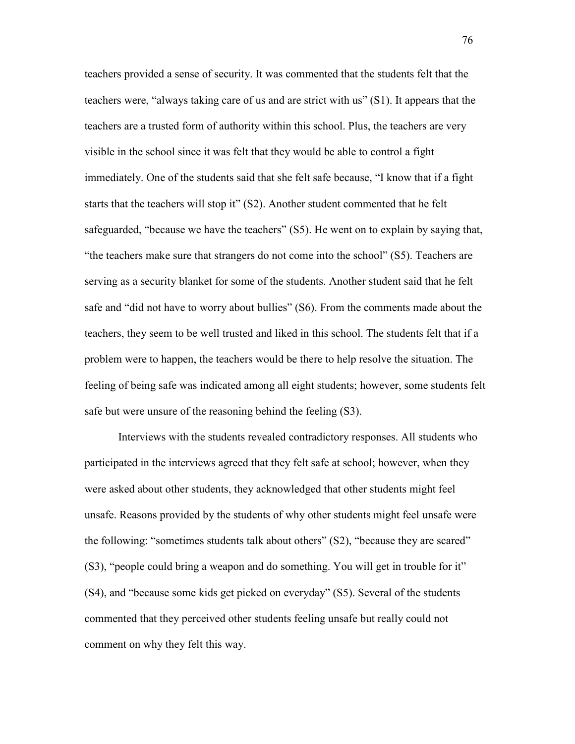teachers provided a sense of security. It was commented that the students felt that the teachers were, "always taking care of us and are strict with us" (S1). It appears that the teachers are a trusted form of authority within this school. Plus, the teachers are very visible in the school since it was felt that they would be able to control a fight immediately. One of the students said that she felt safe because, "I know that if a fight starts that the teachers will stop it" (S2). Another student commented that he felt safeguarded, "because we have the teachers" (S5). He went on to explain by saying that, "the teachers make sure that strangers do not come into the school" (S5). Teachers are serving as a security blanket for some of the students. Another student said that he felt safe and "did not have to worry about bullies" (S6). From the comments made about the teachers, they seem to be well trusted and liked in this school. The students felt that if a problem were to happen, the teachers would be there to help resolve the situation. The feeling of being safe was indicated among all eight students; however, some students felt safe but were unsure of the reasoning behind the feeling (S3).

Interviews with the students revealed contradictory responses. All students who participated in the interviews agreed that they felt safe at school; however, when they were asked about other students, they acknowledged that other students might feel unsafe. Reasons provided by the students of why other students might feel unsafe were the following: "sometimes students talk about others" (S2), "because they are scared" (S3), "people could bring a weapon and do something. You will get in trouble for it" (S4), and "because some kids get picked on everyday" (S5). Several of the students commented that they perceived other students feeling unsafe but really could not comment on why they felt this way.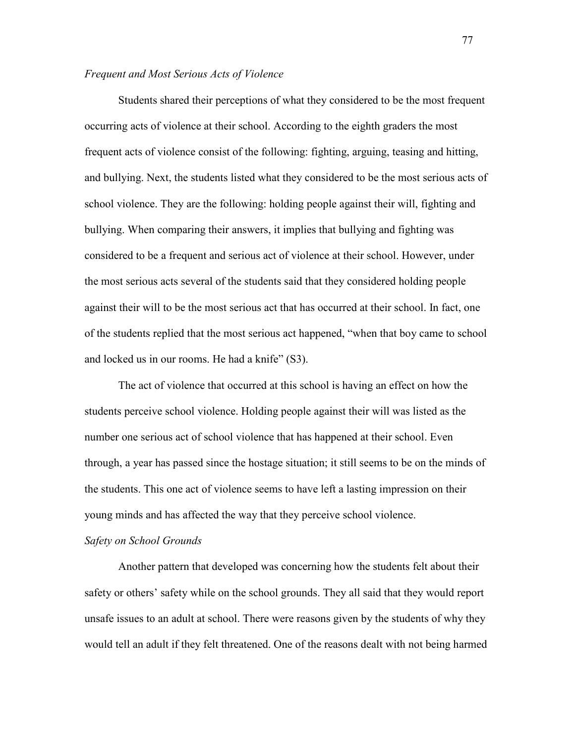# *Frequent and Most Serious Acts of Violence*

Students shared their perceptions of what they considered to be the most frequent occurring acts of violence at their school. According to the eighth graders the most frequent acts of violence consist of the following: fighting, arguing, teasing and hitting, and bullying. Next, the students listed what they considered to be the most serious acts of school violence. They are the following: holding people against their will, fighting and bullying. When comparing their answers, it implies that bullying and fighting was considered to be a frequent and serious act of violence at their school. However, under the most serious acts several of the students said that they considered holding people against their will to be the most serious act that has occurred at their school. In fact, one of the students replied that the most serious act happened, "when that boy came to school and locked us in our rooms. He had a knife" (S3).

The act of violence that occurred at this school is having an effect on how the students perceive school violence. Holding people against their will was listed as the number one serious act of school violence that has happened at their school. Even through, a year has passed since the hostage situation; it still seems to be on the minds of the students. This one act of violence seems to have left a lasting impression on their young minds and has affected the way that they perceive school violence.

#### *Safety on School Grounds*

Another pattern that developed was concerning how the students felt about their safety or others' safety while on the school grounds. They all said that they would report unsafe issues to an adult at school. There were reasons given by the students of why they would tell an adult if they felt threatened. One of the reasons dealt with not being harmed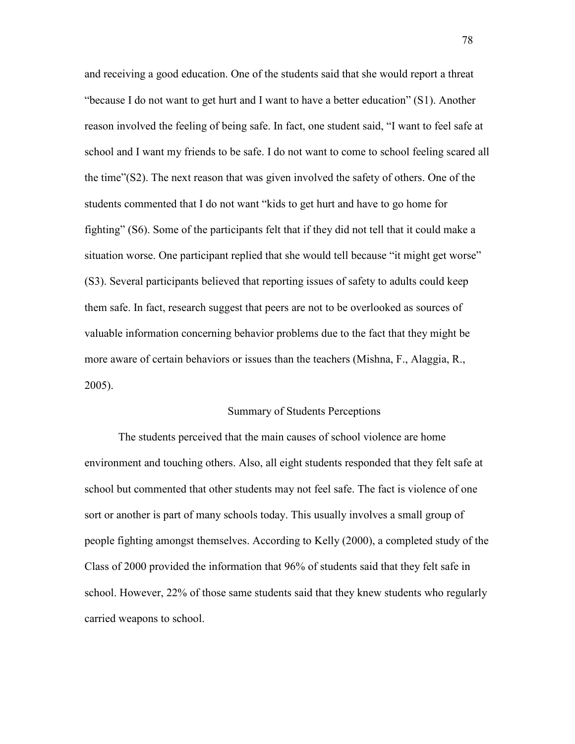and receiving a good education. One of the students said that she would report a threat "because I do not want to get hurt and I want to have a better education" (S1). Another reason involved the feeling of being safe. In fact, one student said, "I want to feel safe at school and I want my friends to be safe. I do not want to come to school feeling scared all the time"(S2). The next reason that was given involved the safety of others. One of the students commented that I do not want "kids to get hurt and have to go home for fighting" (S6). Some of the participants felt that if they did not tell that it could make a situation worse. One participant replied that she would tell because "it might get worse" (S3). Several participants believed that reporting issues of safety to adults could keep them safe. In fact, research suggest that peers are not to be overlooked as sources of valuable information concerning behavior problems due to the fact that they might be more aware of certain behaviors or issues than the teachers (Mishna, F., Alaggia, R., 2005).

### Summary of Students Perceptions

The students perceived that the main causes of school violence are home environment and touching others. Also, all eight students responded that they felt safe at school but commented that other students may not feel safe. The fact is violence of one sort or another is part of many schools today. This usually involves a small group of people fighting amongst themselves. According to Kelly (2000), a completed study of the Class of 2000 provided the information that 96% of students said that they felt safe in school. However, 22% of those same students said that they knew students who regularly carried weapons to school.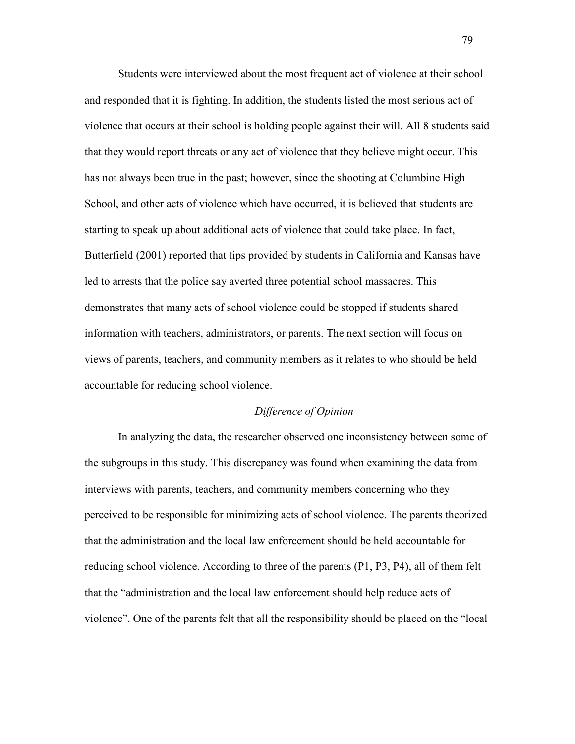Students were interviewed about the most frequent act of violence at their school and responded that it is fighting. In addition, the students listed the most serious act of violence that occurs at their school is holding people against their will. All 8 students said that they would report threats or any act of violence that they believe might occur. This has not always been true in the past; however, since the shooting at Columbine High School, and other acts of violence which have occurred, it is believed that students are starting to speak up about additional acts of violence that could take place. In fact, Butterfield (2001) reported that tips provided by students in California and Kansas have led to arrests that the police say averted three potential school massacres. This demonstrates that many acts of school violence could be stopped if students shared information with teachers, administrators, or parents. The next section will focus on views of parents, teachers, and community members as it relates to who should be held accountable for reducing school violence.

#### *Difference of Opinion*

In analyzing the data, the researcher observed one inconsistency between some of the subgroups in this study. This discrepancy was found when examining the data from interviews with parents, teachers, and community members concerning who they perceived to be responsible for minimizing acts of school violence. The parents theorized that the administration and the local law enforcement should be held accountable for reducing school violence. According to three of the parents (P1, P3, P4), all of them felt that the "administration and the local law enforcement should help reduce acts of violence". One of the parents felt that all the responsibility should be placed on the "local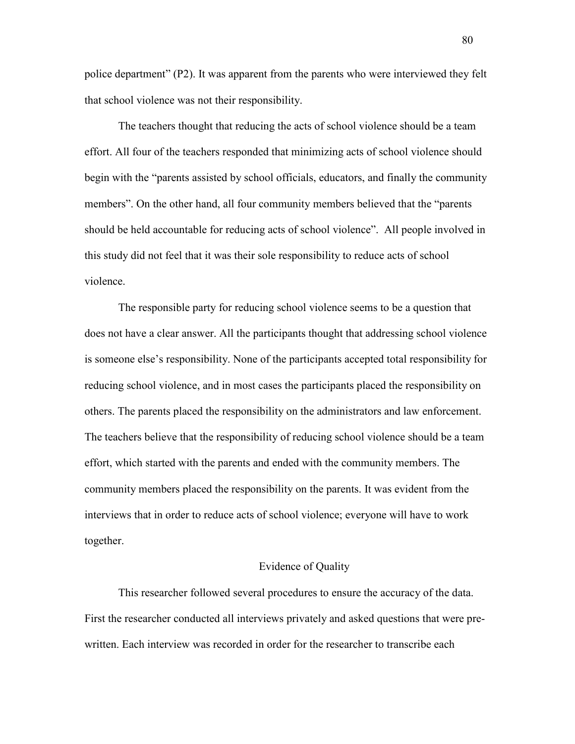police department" (P2). It was apparent from the parents who were interviewed they felt that school violence was not their responsibility.

The teachers thought that reducing the acts of school violence should be a team effort. All four of the teachers responded that minimizing acts of school violence should begin with the "parents assisted by school officials, educators, and finally the community members". On the other hand, all four community members believed that the "parents should be held accountable for reducing acts of school violence". All people involved in this study did not feel that it was their sole responsibility to reduce acts of school violence.

The responsible party for reducing school violence seems to be a question that does not have a clear answer. All the participants thought that addressing school violence is someone else's responsibility. None of the participants accepted total responsibility for reducing school violence, and in most cases the participants placed the responsibility on others. The parents placed the responsibility on the administrators and law enforcement. The teachers believe that the responsibility of reducing school violence should be a team effort, which started with the parents and ended with the community members. The community members placed the responsibility on the parents. It was evident from the interviews that in order to reduce acts of school violence; everyone will have to work together.

### Evidence of Quality

This researcher followed several procedures to ensure the accuracy of the data. First the researcher conducted all interviews privately and asked questions that were prewritten. Each interview was recorded in order for the researcher to transcribe each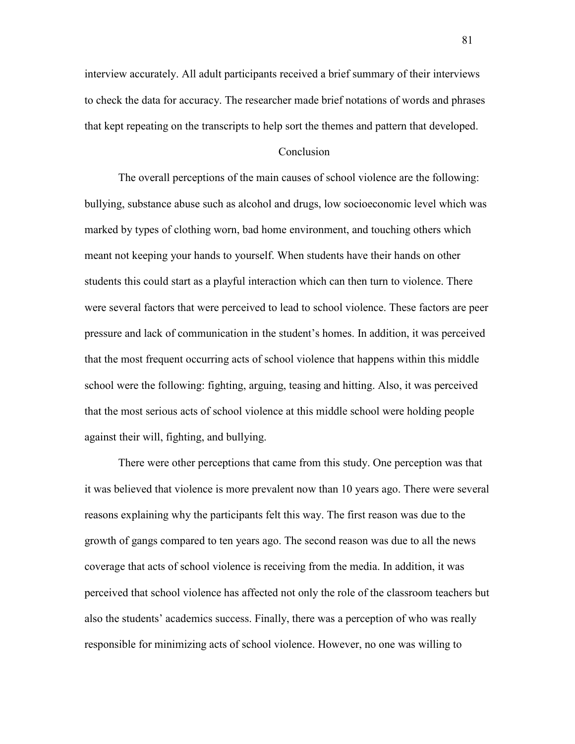interview accurately. All adult participants received a brief summary of their interviews to check the data for accuracy. The researcher made brief notations of words and phrases that kept repeating on the transcripts to help sort the themes and pattern that developed.

### Conclusion

The overall perceptions of the main causes of school violence are the following: bullying, substance abuse such as alcohol and drugs, low socioeconomic level which was marked by types of clothing worn, bad home environment, and touching others which meant not keeping your hands to yourself. When students have their hands on other students this could start as a playful interaction which can then turn to violence. There were several factors that were perceived to lead to school violence. These factors are peer pressure and lack of communication in the student's homes. In addition, it was perceived that the most frequent occurring acts of school violence that happens within this middle school were the following: fighting, arguing, teasing and hitting. Also, it was perceived that the most serious acts of school violence at this middle school were holding people against their will, fighting, and bullying.

There were other perceptions that came from this study. One perception was that it was believed that violence is more prevalent now than 10 years ago. There were several reasons explaining why the participants felt this way. The first reason was due to the growth of gangs compared to ten years ago. The second reason was due to all the news coverage that acts of school violence is receiving from the media. In addition, it was perceived that school violence has affected not only the role of the classroom teachers but also the students' academics success. Finally, there was a perception of who was really responsible for minimizing acts of school violence. However, no one was willing to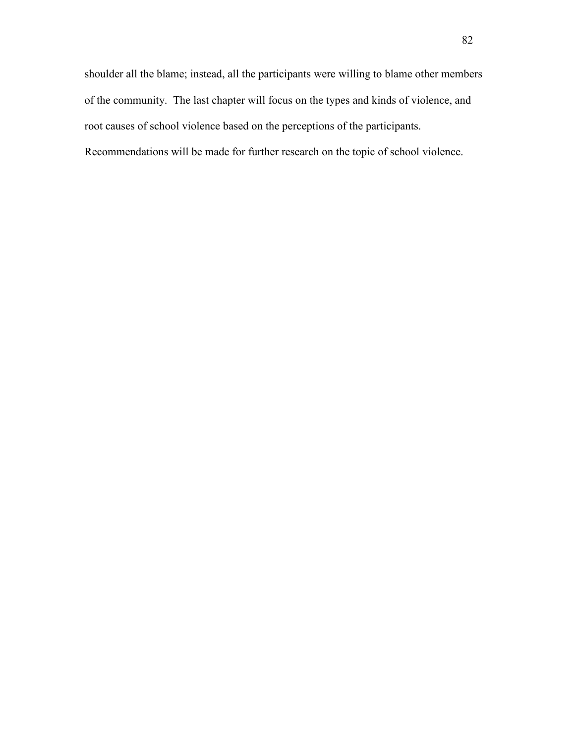shoulder all the blame; instead, all the participants were willing to blame other members of the community. The last chapter will focus on the types and kinds of violence, and root causes of school violence based on the perceptions of the participants.

Recommendations will be made for further research on the topic of school violence.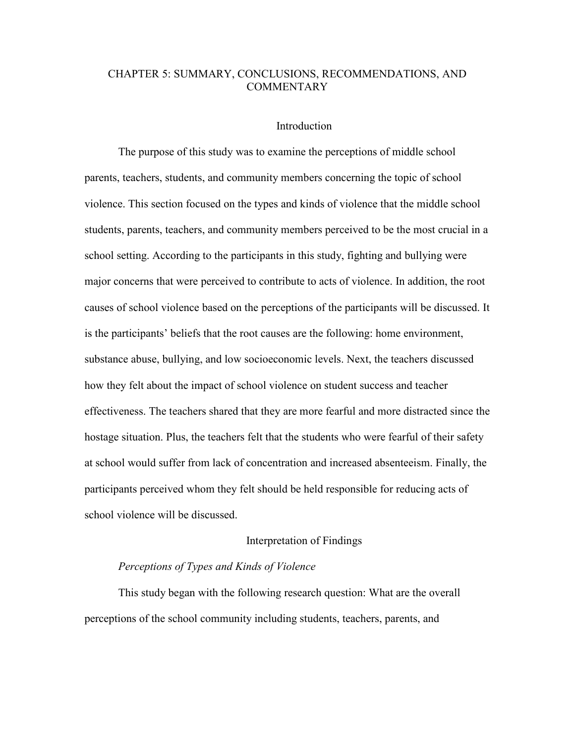# CHAPTER 5: SUMMARY, CONCLUSIONS, RECOMMENDATIONS, AND **COMMENTARY**

### Introduction

The purpose of this study was to examine the perceptions of middle school parents, teachers, students, and community members concerning the topic of school violence. This section focused on the types and kinds of violence that the middle school students, parents, teachers, and community members perceived to be the most crucial in a school setting. According to the participants in this study, fighting and bullying were major concerns that were perceived to contribute to acts of violence. In addition, the root causes of school violence based on the perceptions of the participants will be discussed. It is the participants' beliefs that the root causes are the following: home environment, substance abuse, bullying, and low socioeconomic levels. Next, the teachers discussed how they felt about the impact of school violence on student success and teacher effectiveness. The teachers shared that they are more fearful and more distracted since the hostage situation. Plus, the teachers felt that the students who were fearful of their safety at school would suffer from lack of concentration and increased absenteeism. Finally, the participants perceived whom they felt should be held responsible for reducing acts of school violence will be discussed.

### Interpretation of Findings

# *Perceptions of Types and Kinds of Violence*

This study began with the following research question: What are the overall perceptions of the school community including students, teachers, parents, and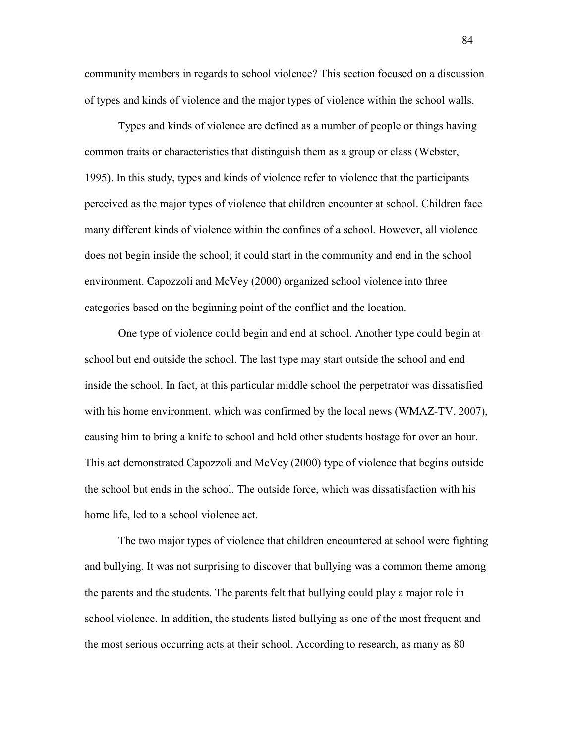community members in regards to school violence? This section focused on a discussion of types and kinds of violence and the major types of violence within the school walls.

Types and kinds of violence are defined as a number of people or things having common traits or characteristics that distinguish them as a group or class (Webster, 1995). In this study, types and kinds of violence refer to violence that the participants perceived as the major types of violence that children encounter at school. Children face many different kinds of violence within the confines of a school. However, all violence does not begin inside the school; it could start in the community and end in the school environment. Capozzoli and McVey (2000) organized school violence into three categories based on the beginning point of the conflict and the location.

One type of violence could begin and end at school. Another type could begin at school but end outside the school. The last type may start outside the school and end inside the school. In fact, at this particular middle school the perpetrator was dissatisfied with his home environment, which was confirmed by the local news (WMAZ-TV, 2007), causing him to bring a knife to school and hold other students hostage for over an hour. This act demonstrated Capozzoli and McVey (2000) type of violence that begins outside the school but ends in the school. The outside force, which was dissatisfaction with his home life, led to a school violence act.

The two major types of violence that children encountered at school were fighting and bullying. It was not surprising to discover that bullying was a common theme among the parents and the students. The parents felt that bullying could play a major role in school violence. In addition, the students listed bullying as one of the most frequent and the most serious occurring acts at their school. According to research, as many as 80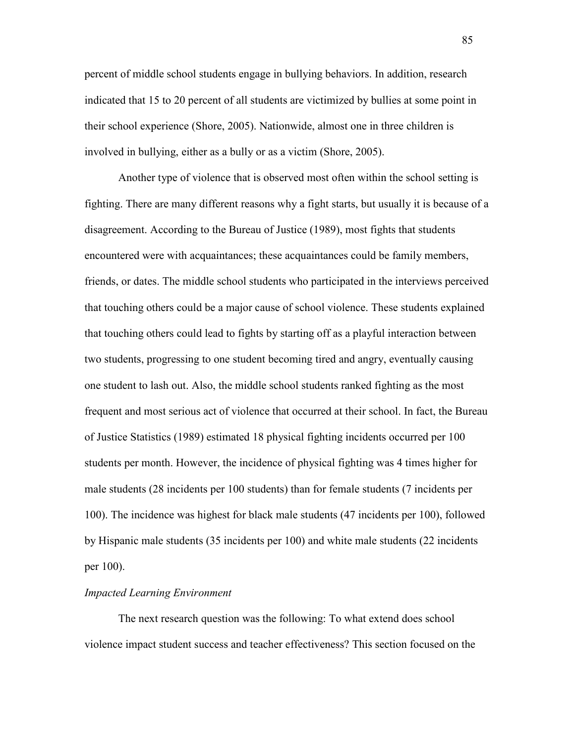percent of middle school students engage in bullying behaviors. In addition, research indicated that 15 to 20 percent of all students are victimized by bullies at some point in their school experience (Shore, 2005). Nationwide, almost one in three children is involved in bullying, either as a bully or as a victim (Shore, 2005).

Another type of violence that is observed most often within the school setting is fighting. There are many different reasons why a fight starts, but usually it is because of a disagreement. According to the Bureau of Justice (1989), most fights that students encountered were with acquaintances; these acquaintances could be family members, friends, or dates. The middle school students who participated in the interviews perceived that touching others could be a major cause of school violence. These students explained that touching others could lead to fights by starting off as a playful interaction between two students, progressing to one student becoming tired and angry, eventually causing one student to lash out. Also, the middle school students ranked fighting as the most frequent and most serious act of violence that occurred at their school. In fact, the Bureau of Justice Statistics (1989) estimated 18 physical fighting incidents occurred per 100 students per month. However, the incidence of physical fighting was 4 times higher for male students (28 incidents per 100 students) than for female students (7 incidents per 100). The incidence was highest for black male students (47 incidents per 100), followed by Hispanic male students (35 incidents per 100) and white male students (22 incidents per 100).

#### *Impacted Learning Environment*

 The next research question was the following: To what extend does school violence impact student success and teacher effectiveness? This section focused on the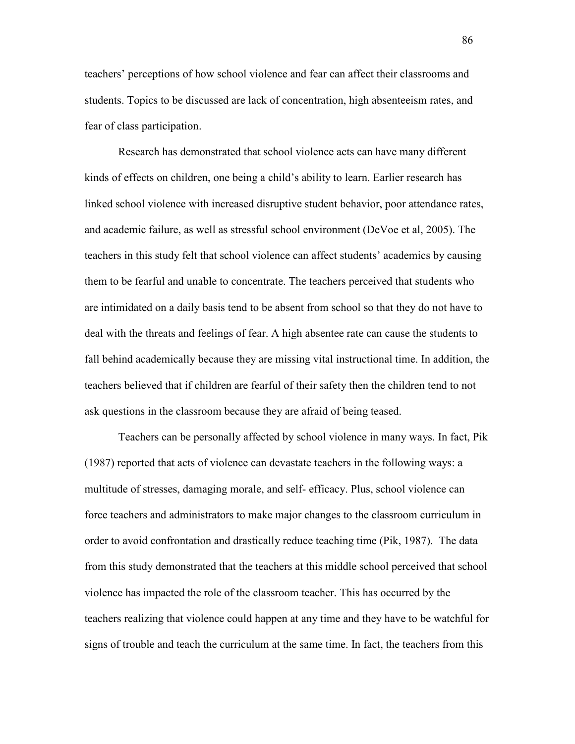teachers' perceptions of how school violence and fear can affect their classrooms and students. Topics to be discussed are lack of concentration, high absenteeism rates, and fear of class participation.

 Research has demonstrated that school violence acts can have many different kinds of effects on children, one being a child's ability to learn. Earlier research has linked school violence with increased disruptive student behavior, poor attendance rates, and academic failure, as well as stressful school environment (DeVoe et al, 2005). The teachers in this study felt that school violence can affect students' academics by causing them to be fearful and unable to concentrate. The teachers perceived that students who are intimidated on a daily basis tend to be absent from school so that they do not have to deal with the threats and feelings of fear. A high absentee rate can cause the students to fall behind academically because they are missing vital instructional time. In addition, the teachers believed that if children are fearful of their safety then the children tend to not ask questions in the classroom because they are afraid of being teased.

 Teachers can be personally affected by school violence in many ways. In fact, Pik (1987) reported that acts of violence can devastate teachers in the following ways: a multitude of stresses, damaging morale, and self- efficacy. Plus, school violence can force teachers and administrators to make major changes to the classroom curriculum in order to avoid confrontation and drastically reduce teaching time (Pik, 1987). The data from this study demonstrated that the teachers at this middle school perceived that school violence has impacted the role of the classroom teacher. This has occurred by the teachers realizing that violence could happen at any time and they have to be watchful for signs of trouble and teach the curriculum at the same time. In fact, the teachers from this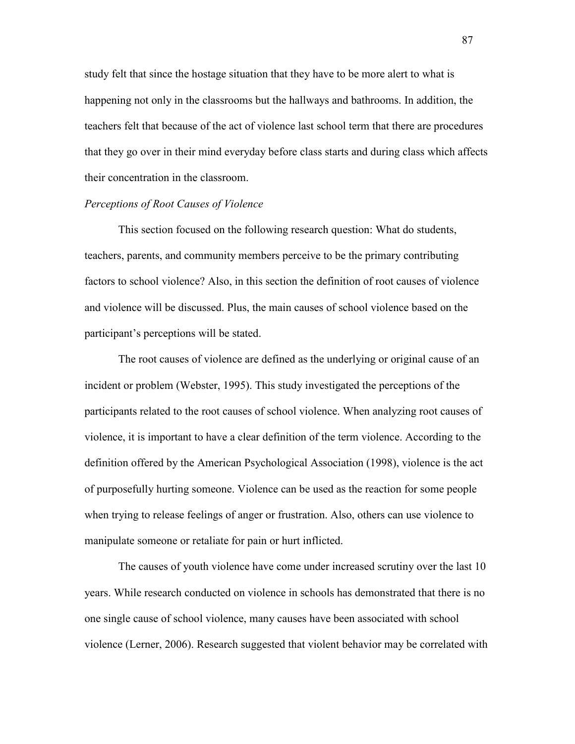study felt that since the hostage situation that they have to be more alert to what is happening not only in the classrooms but the hallways and bathrooms. In addition, the teachers felt that because of the act of violence last school term that there are procedures that they go over in their mind everyday before class starts and during class which affects their concentration in the classroom.

#### *Perceptions of Root Causes of Violence*

This section focused on the following research question: What do students, teachers, parents, and community members perceive to be the primary contributing factors to school violence? Also, in this section the definition of root causes of violence and violence will be discussed. Plus, the main causes of school violence based on the participant's perceptions will be stated.

The root causes of violence are defined as the underlying or original cause of an incident or problem (Webster, 1995). This study investigated the perceptions of the participants related to the root causes of school violence. When analyzing root causes of violence, it is important to have a clear definition of the term violence. According to the definition offered by the American Psychological Association (1998), violence is the act of purposefully hurting someone. Violence can be used as the reaction for some people when trying to release feelings of anger or frustration. Also, others can use violence to manipulate someone or retaliate for pain or hurt inflicted.

The causes of youth violence have come under increased scrutiny over the last 10 years. While research conducted on violence in schools has demonstrated that there is no one single cause of school violence, many causes have been associated with school violence (Lerner, 2006). Research suggested that violent behavior may be correlated with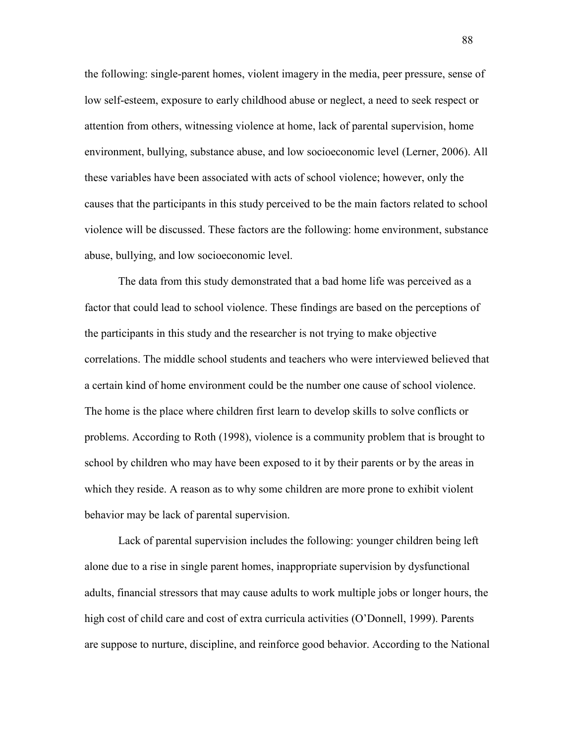the following: single-parent homes, violent imagery in the media, peer pressure, sense of low self-esteem, exposure to early childhood abuse or neglect, a need to seek respect or attention from others, witnessing violence at home, lack of parental supervision, home environment, bullying, substance abuse, and low socioeconomic level (Lerner, 2006). All these variables have been associated with acts of school violence; however, only the causes that the participants in this study perceived to be the main factors related to school violence will be discussed. These factors are the following: home environment, substance abuse, bullying, and low socioeconomic level.

 The data from this study demonstrated that a bad home life was perceived as a factor that could lead to school violence. These findings are based on the perceptions of the participants in this study and the researcher is not trying to make objective correlations. The middle school students and teachers who were interviewed believed that a certain kind of home environment could be the number one cause of school violence. The home is the place where children first learn to develop skills to solve conflicts or problems. According to Roth (1998), violence is a community problem that is brought to school by children who may have been exposed to it by their parents or by the areas in which they reside. A reason as to why some children are more prone to exhibit violent behavior may be lack of parental supervision.

Lack of parental supervision includes the following: younger children being left alone due to a rise in single parent homes, inappropriate supervision by dysfunctional adults, financial stressors that may cause adults to work multiple jobs or longer hours, the high cost of child care and cost of extra curricula activities (O'Donnell, 1999). Parents are suppose to nurture, discipline, and reinforce good behavior. According to the National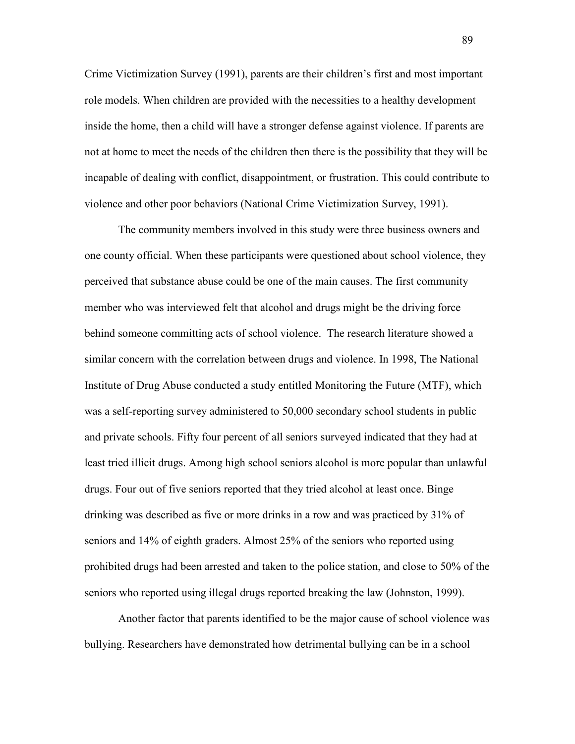Crime Victimization Survey (1991), parents are their children's first and most important role models. When children are provided with the necessities to a healthy development inside the home, then a child will have a stronger defense against violence. If parents are not at home to meet the needs of the children then there is the possibility that they will be incapable of dealing with conflict, disappointment, or frustration. This could contribute to violence and other poor behaviors (National Crime Victimization Survey, 1991).

The community members involved in this study were three business owners and one county official. When these participants were questioned about school violence, they perceived that substance abuse could be one of the main causes. The first community member who was interviewed felt that alcohol and drugs might be the driving force behind someone committing acts of school violence. The research literature showed a similar concern with the correlation between drugs and violence. In 1998, The National Institute of Drug Abuse conducted a study entitled Monitoring the Future (MTF), which was a self-reporting survey administered to 50,000 secondary school students in public and private schools. Fifty four percent of all seniors surveyed indicated that they had at least tried illicit drugs. Among high school seniors alcohol is more popular than unlawful drugs. Four out of five seniors reported that they tried alcohol at least once. Binge drinking was described as five or more drinks in a row and was practiced by 31% of seniors and 14% of eighth graders. Almost 25% of the seniors who reported using prohibited drugs had been arrested and taken to the police station, and close to 50% of the seniors who reported using illegal drugs reported breaking the law (Johnston, 1999).

 Another factor that parents identified to be the major cause of school violence was bullying. Researchers have demonstrated how detrimental bullying can be in a school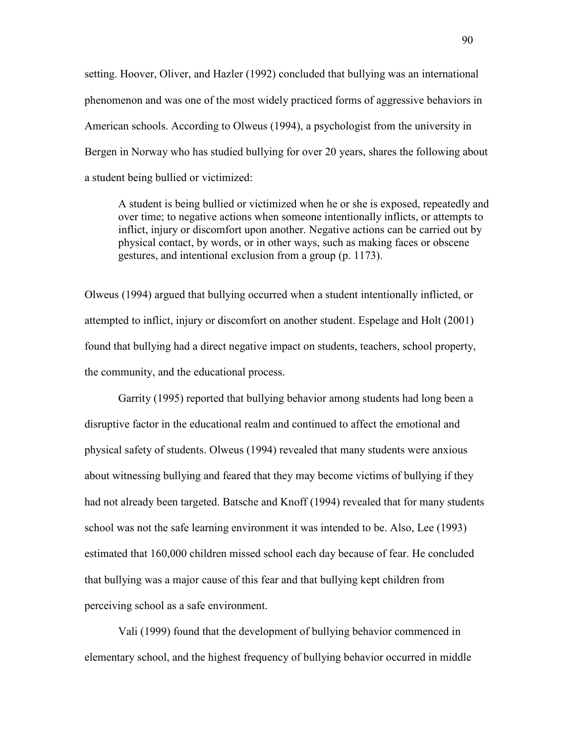setting. Hoover, Oliver, and Hazler (1992) concluded that bullying was an international phenomenon and was one of the most widely practiced forms of aggressive behaviors in American schools. According to Olweus (1994), a psychologist from the university in Bergen in Norway who has studied bullying for over 20 years, shares the following about a student being bullied or victimized:

 A student is being bullied or victimized when he or she is exposed, repeatedly and over time; to negative actions when someone intentionally inflicts, or attempts to inflict, injury or discomfort upon another. Negative actions can be carried out by physical contact, by words, or in other ways, such as making faces or obscene gestures, and intentional exclusion from a group (p. 1173).

Olweus (1994) argued that bullying occurred when a student intentionally inflicted, or attempted to inflict, injury or discomfort on another student. Espelage and Holt (2001) found that bullying had a direct negative impact on students, teachers, school property, the community, and the educational process.

 Garrity (1995) reported that bullying behavior among students had long been a disruptive factor in the educational realm and continued to affect the emotional and physical safety of students. Olweus (1994) revealed that many students were anxious about witnessing bullying and feared that they may become victims of bullying if they had not already been targeted. Batsche and Knoff (1994) revealed that for many students school was not the safe learning environment it was intended to be. Also, Lee (1993) estimated that 160,000 children missed school each day because of fear. He concluded that bullying was a major cause of this fear and that bullying kept children from perceiving school as a safe environment.

 Vali (1999) found that the development of bullying behavior commenced in elementary school, and the highest frequency of bullying behavior occurred in middle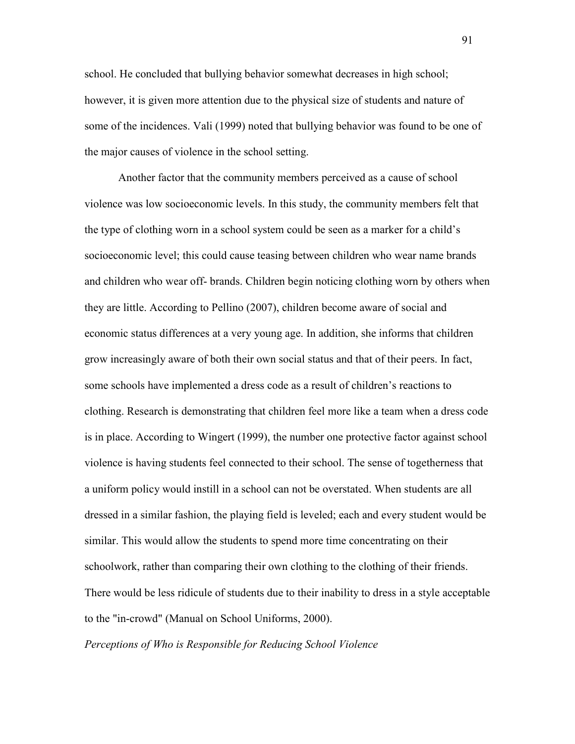school. He concluded that bullying behavior somewhat decreases in high school; however, it is given more attention due to the physical size of students and nature of some of the incidences. Vali (1999) noted that bullying behavior was found to be one of the major causes of violence in the school setting.

 Another factor that the community members perceived as a cause of school violence was low socioeconomic levels. In this study, the community members felt that the type of clothing worn in a school system could be seen as a marker for a child's socioeconomic level; this could cause teasing between children who wear name brands and children who wear off- brands. Children begin noticing clothing worn by others when they are little. According to Pellino (2007), children become aware of social and economic status differences at a very young age. In addition, she informs that children grow increasingly aware of both their own social status and that of their peers. In fact, some schools have implemented a dress code as a result of children's reactions to clothing. Research is demonstrating that children feel more like a team when a dress code is in place. According to Wingert (1999), the number one protective factor against school violence is having students feel connected to their school. The sense of togetherness that a uniform policy would instill in a school can not be overstated. When students are all dressed in a similar fashion, the playing field is leveled; each and every student would be similar. This would allow the students to spend more time concentrating on their schoolwork, rather than comparing their own clothing to the clothing of their friends. There would be less ridicule of students due to their inability to dress in a style acceptable to the "in-crowd" (Manual on School Uniforms, 2000).

*Perceptions of Who is Responsible for Reducing School Violence*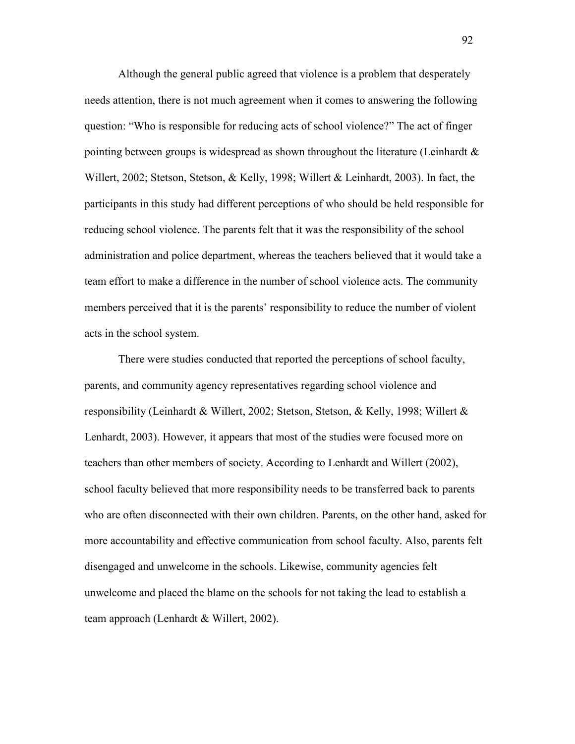Although the general public agreed that violence is a problem that desperately needs attention, there is not much agreement when it comes to answering the following question: "Who is responsible for reducing acts of school violence?" The act of finger pointing between groups is widespread as shown throughout the literature (Leinhardt  $\&$ Willert, 2002; Stetson, Stetson, & Kelly, 1998; Willert & Leinhardt, 2003). In fact, the participants in this study had different perceptions of who should be held responsible for reducing school violence. The parents felt that it was the responsibility of the school administration and police department, whereas the teachers believed that it would take a team effort to make a difference in the number of school violence acts. The community members perceived that it is the parents' responsibility to reduce the number of violent acts in the school system.

 There were studies conducted that reported the perceptions of school faculty, parents, and community agency representatives regarding school violence and responsibility (Leinhardt & Willert, 2002; Stetson, Stetson, & Kelly, 1998; Willert & Lenhardt, 2003). However, it appears that most of the studies were focused more on teachers than other members of society. According to Lenhardt and Willert (2002), school faculty believed that more responsibility needs to be transferred back to parents who are often disconnected with their own children. Parents, on the other hand, asked for more accountability and effective communication from school faculty. Also, parents felt disengaged and unwelcome in the schools. Likewise, community agencies felt unwelcome and placed the blame on the schools for not taking the lead to establish a team approach (Lenhardt & Willert, 2002).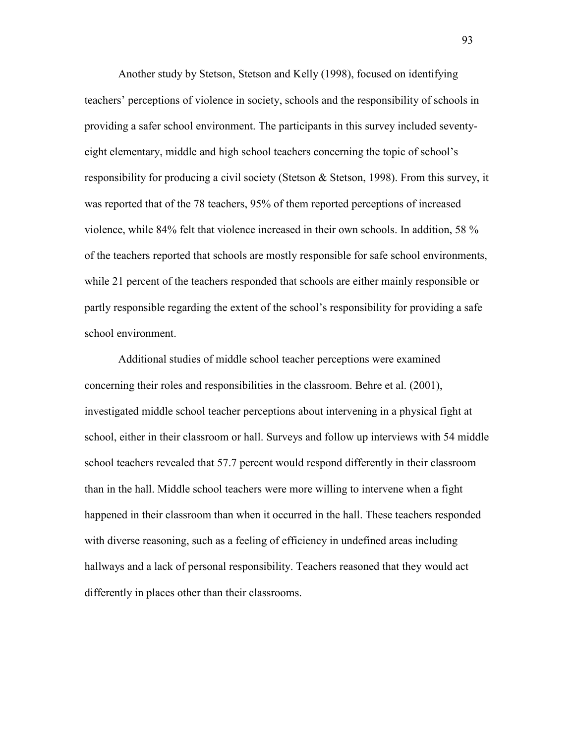Another study by Stetson, Stetson and Kelly (1998), focused on identifying teachers' perceptions of violence in society, schools and the responsibility of schools in providing a safer school environment. The participants in this survey included seventyeight elementary, middle and high school teachers concerning the topic of school's responsibility for producing a civil society (Stetson & Stetson, 1998). From this survey, it was reported that of the 78 teachers, 95% of them reported perceptions of increased violence, while 84% felt that violence increased in their own schools. In addition, 58 % of the teachers reported that schools are mostly responsible for safe school environments, while 21 percent of the teachers responded that schools are either mainly responsible or partly responsible regarding the extent of the school's responsibility for providing a safe school environment.

 Additional studies of middle school teacher perceptions were examined concerning their roles and responsibilities in the classroom. Behre et al. (2001), investigated middle school teacher perceptions about intervening in a physical fight at school, either in their classroom or hall. Surveys and follow up interviews with 54 middle school teachers revealed that 57.7 percent would respond differently in their classroom than in the hall. Middle school teachers were more willing to intervene when a fight happened in their classroom than when it occurred in the hall. These teachers responded with diverse reasoning, such as a feeling of efficiency in undefined areas including hallways and a lack of personal responsibility. Teachers reasoned that they would act differently in places other than their classrooms.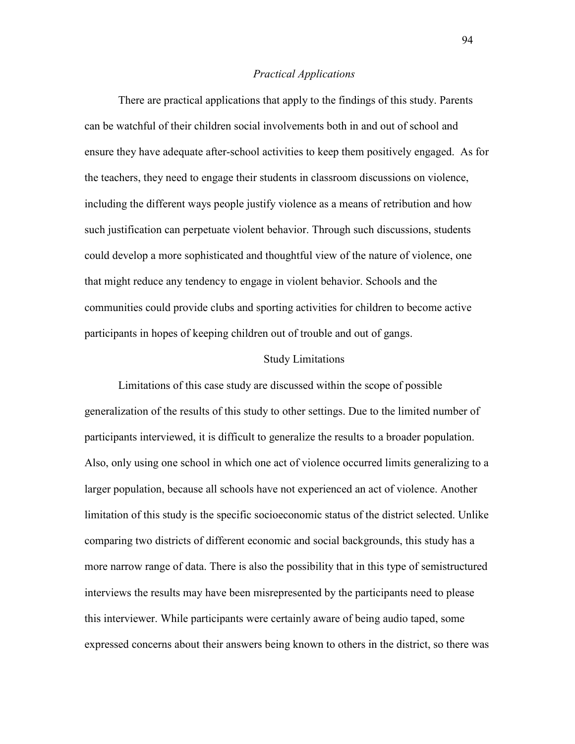#### *Practical Applications*

There are practical applications that apply to the findings of this study. Parents can be watchful of their children social involvements both in and out of school and ensure they have adequate after-school activities to keep them positively engaged. As for the teachers, they need to engage their students in classroom discussions on violence, including the different ways people justify violence as a means of retribution and how such justification can perpetuate violent behavior. Through such discussions, students could develop a more sophisticated and thoughtful view of the nature of violence, one that might reduce any tendency to engage in violent behavior. Schools and the communities could provide clubs and sporting activities for children to become active participants in hopes of keeping children out of trouble and out of gangs.

#### Study Limitations

Limitations of this case study are discussed within the scope of possible generalization of the results of this study to other settings. Due to the limited number of participants interviewed, it is difficult to generalize the results to a broader population. Also, only using one school in which one act of violence occurred limits generalizing to a larger population, because all schools have not experienced an act of violence. Another limitation of this study is the specific socioeconomic status of the district selected. Unlike comparing two districts of different economic and social backgrounds, this study has a more narrow range of data. There is also the possibility that in this type of semistructured interviews the results may have been misrepresented by the participants need to please this interviewer. While participants were certainly aware of being audio taped, some expressed concerns about their answers being known to others in the district, so there was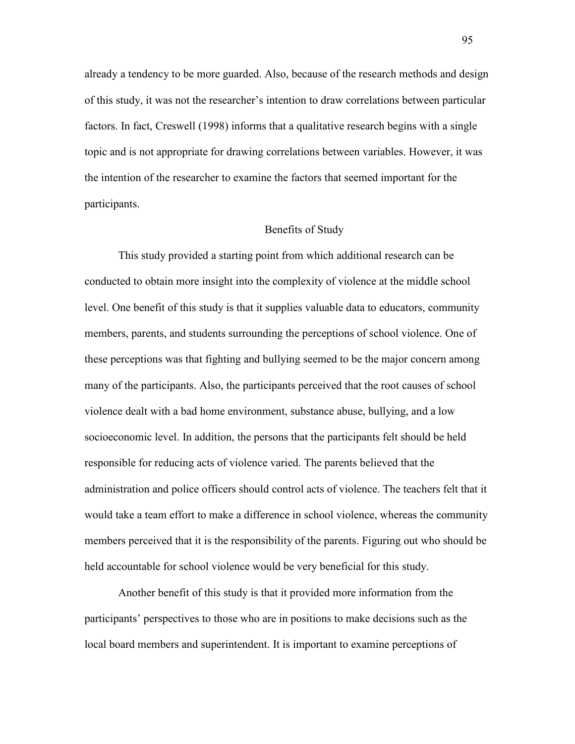already a tendency to be more guarded. Also, because of the research methods and design of this study, it was not the researcher's intention to draw correlations between particular factors. In fact, Creswell (1998) informs that a qualitative research begins with a single topic and is not appropriate for drawing correlations between variables. However, it was the intention of the researcher to examine the factors that seemed important for the participants.

### Benefits of Study

This study provided a starting point from which additional research can be conducted to obtain more insight into the complexity of violence at the middle school level. One benefit of this study is that it supplies valuable data to educators, community members, parents, and students surrounding the perceptions of school violence. One of these perceptions was that fighting and bullying seemed to be the major concern among many of the participants. Also, the participants perceived that the root causes of school violence dealt with a bad home environment, substance abuse, bullying, and a low socioeconomic level. In addition, the persons that the participants felt should be held responsible for reducing acts of violence varied. The parents believed that the administration and police officers should control acts of violence. The teachers felt that it would take a team effort to make a difference in school violence, whereas the community members perceived that it is the responsibility of the parents. Figuring out who should be held accountable for school violence would be very beneficial for this study.

Another benefit of this study is that it provided more information from the participants' perspectives to those who are in positions to make decisions such as the local board members and superintendent. It is important to examine perceptions of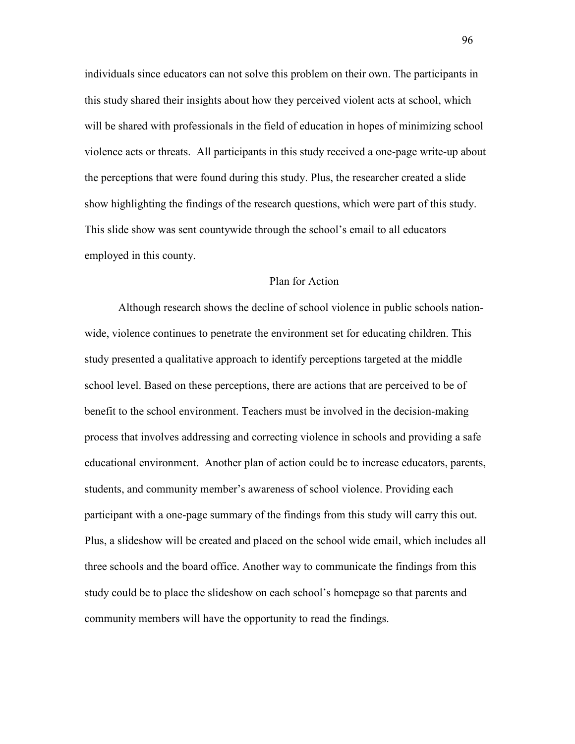individuals since educators can not solve this problem on their own. The participants in this study shared their insights about how they perceived violent acts at school, which will be shared with professionals in the field of education in hopes of minimizing school violence acts or threats. All participants in this study received a one-page write-up about the perceptions that were found during this study. Plus, the researcher created a slide show highlighting the findings of the research questions, which were part of this study. This slide show was sent countywide through the school's email to all educators employed in this county.

### Plan for Action

Although research shows the decline of school violence in public schools nationwide, violence continues to penetrate the environment set for educating children. This study presented a qualitative approach to identify perceptions targeted at the middle school level. Based on these perceptions, there are actions that are perceived to be of benefit to the school environment. Teachers must be involved in the decision-making process that involves addressing and correcting violence in schools and providing a safe educational environment. Another plan of action could be to increase educators, parents, students, and community member's awareness of school violence. Providing each participant with a one-page summary of the findings from this study will carry this out. Plus, a slideshow will be created and placed on the school wide email, which includes all three schools and the board office. Another way to communicate the findings from this study could be to place the slideshow on each school's homepage so that parents and community members will have the opportunity to read the findings.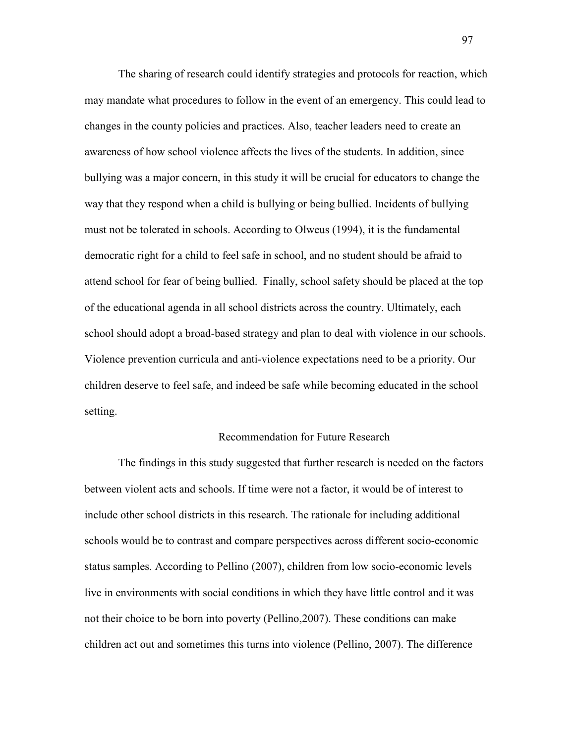The sharing of research could identify strategies and protocols for reaction, which may mandate what procedures to follow in the event of an emergency. This could lead to changes in the county policies and practices. Also, teacher leaders need to create an awareness of how school violence affects the lives of the students. In addition, since bullying was a major concern, in this study it will be crucial for educators to change the way that they respond when a child is bullying or being bullied. Incidents of bullying must not be tolerated in schools. According to Olweus (1994), it is the fundamental democratic right for a child to feel safe in school, and no student should be afraid to attend school for fear of being bullied. Finally, school safety should be placed at the top of the educational agenda in all school districts across the country. Ultimately, each school should adopt a broad-based strategy and plan to deal with violence in our schools. Violence prevention curricula and anti-violence expectations need to be a priority. Our children deserve to feel safe, and indeed be safe while becoming educated in the school setting.

#### Recommendation for Future Research

The findings in this study suggested that further research is needed on the factors between violent acts and schools. If time were not a factor, it would be of interest to include other school districts in this research. The rationale for including additional schools would be to contrast and compare perspectives across different socio-economic status samples. According to Pellino (2007), children from low socio-economic levels live in environments with social conditions in which they have little control and it was not their choice to be born into poverty (Pellino,2007). These conditions can make children act out and sometimes this turns into violence (Pellino, 2007). The difference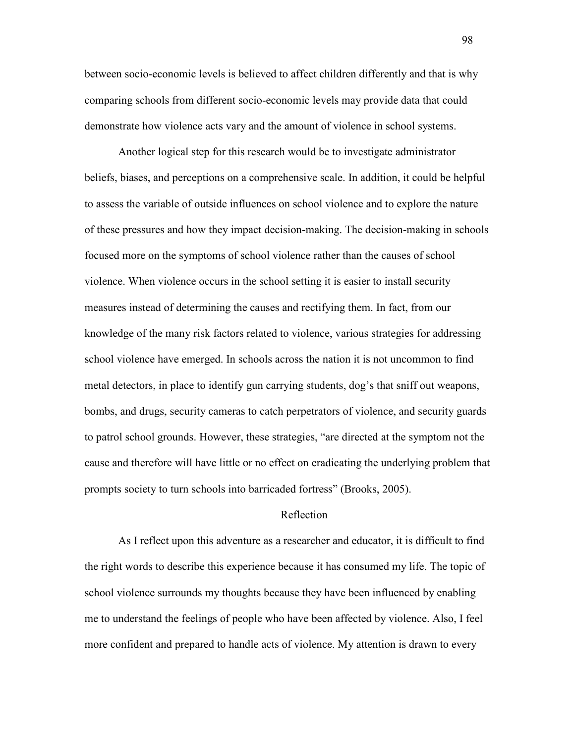between socio-economic levels is believed to affect children differently and that is why comparing schools from different socio-economic levels may provide data that could demonstrate how violence acts vary and the amount of violence in school systems.

Another logical step for this research would be to investigate administrator beliefs, biases, and perceptions on a comprehensive scale. In addition, it could be helpful to assess the variable of outside influences on school violence and to explore the nature of these pressures and how they impact decision-making. The decision-making in schools focused more on the symptoms of school violence rather than the causes of school violence. When violence occurs in the school setting it is easier to install security measures instead of determining the causes and rectifying them. In fact, from our knowledge of the many risk factors related to violence, various strategies for addressing school violence have emerged. In schools across the nation it is not uncommon to find metal detectors, in place to identify gun carrying students, dog's that sniff out weapons, bombs, and drugs, security cameras to catch perpetrators of violence, and security guards to patrol school grounds. However, these strategies, "are directed at the symptom not the cause and therefore will have little or no effect on eradicating the underlying problem that prompts society to turn schools into barricaded fortress" (Brooks, 2005).

#### Reflection

As I reflect upon this adventure as a researcher and educator, it is difficult to find the right words to describe this experience because it has consumed my life. The topic of school violence surrounds my thoughts because they have been influenced by enabling me to understand the feelings of people who have been affected by violence. Also, I feel more confident and prepared to handle acts of violence. My attention is drawn to every

98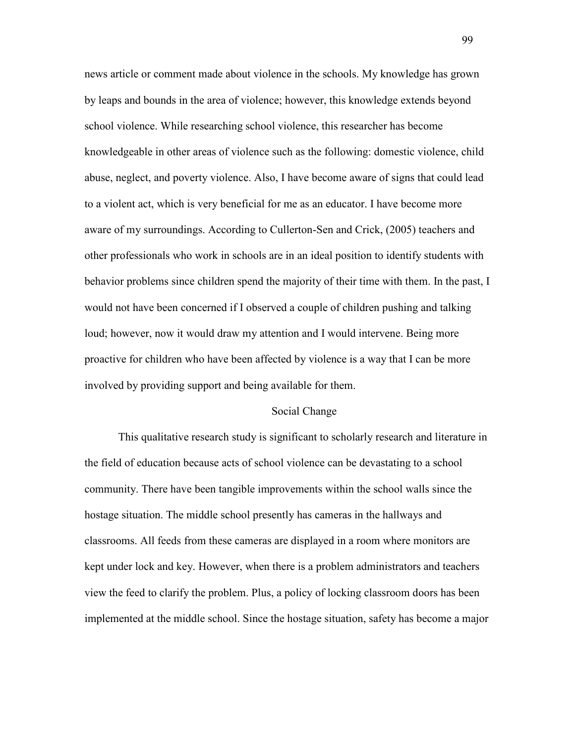news article or comment made about violence in the schools. My knowledge has grown by leaps and bounds in the area of violence; however, this knowledge extends beyond school violence. While researching school violence, this researcher has become knowledgeable in other areas of violence such as the following: domestic violence, child abuse, neglect, and poverty violence. Also, I have become aware of signs that could lead to a violent act, which is very beneficial for me as an educator. I have become more aware of my surroundings. According to Cullerton-Sen and Crick, (2005) teachers and other professionals who work in schools are in an ideal position to identify students with behavior problems since children spend the majority of their time with them. In the past, I would not have been concerned if I observed a couple of children pushing and talking loud; however, now it would draw my attention and I would intervene. Being more proactive for children who have been affected by violence is a way that I can be more involved by providing support and being available for them.

#### Social Change

This qualitative research study is significant to scholarly research and literature in the field of education because acts of school violence can be devastating to a school community. There have been tangible improvements within the school walls since the hostage situation. The middle school presently has cameras in the hallways and classrooms. All feeds from these cameras are displayed in a room where monitors are kept under lock and key. However, when there is a problem administrators and teachers view the feed to clarify the problem. Plus, a policy of locking classroom doors has been implemented at the middle school. Since the hostage situation, safety has become a major

99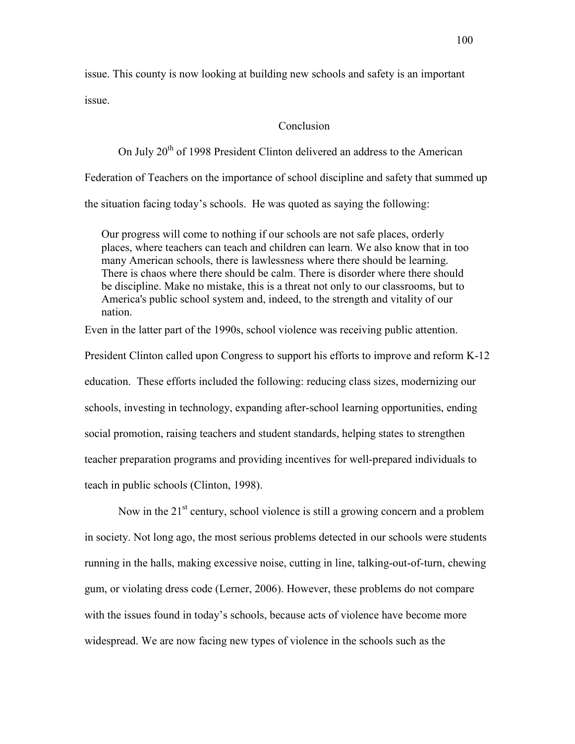issue. This county is now looking at building new schools and safety is an important issue.

### Conclusion

On July  $20<sup>th</sup>$  of 1998 President Clinton delivered an address to the American

Federation of Teachers on the importance of school discipline and safety that summed up

the situation facing today's schools. He was quoted as saying the following:

Our progress will come to nothing if our schools are not safe places, orderly places, where teachers can teach and children can learn. We also know that in too many American schools, there is lawlessness where there should be learning. There is chaos where there should be calm. There is disorder where there should be discipline. Make no mistake, this is a threat not only to our classrooms, but to America's public school system and, indeed, to the strength and vitality of our nation.

Even in the latter part of the 1990s, school violence was receiving public attention.

President Clinton called upon Congress to support his efforts to improve and reform K-12 education. These efforts included the following: reducing class sizes, modernizing our schools, investing in technology, expanding after-school learning opportunities, ending social promotion, raising teachers and student standards, helping states to strengthen teacher preparation programs and providing incentives for well-prepared individuals to teach in public schools (Clinton, 1998).

Now in the 21<sup>st</sup> century, school violence is still a growing concern and a problem in society. Not long ago, the most serious problems detected in our schools were students running in the halls, making excessive noise, cutting in line, talking-out-of-turn, chewing gum, or violating dress code (Lerner, 2006). However, these problems do not compare with the issues found in today's schools, because acts of violence have become more widespread. We are now facing new types of violence in the schools such as the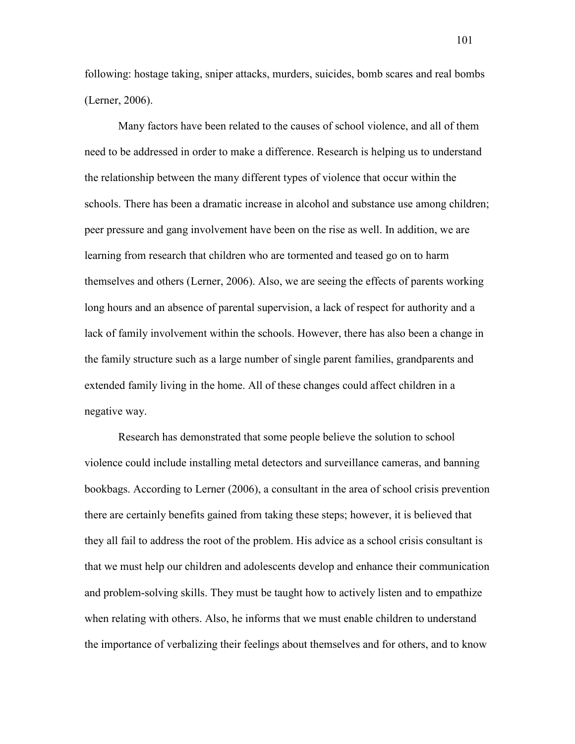following: hostage taking, sniper attacks, murders, suicides, bomb scares and real bombs (Lerner, 2006).

 Many factors have been related to the causes of school violence, and all of them need to be addressed in order to make a difference. Research is helping us to understand the relationship between the many different types of violence that occur within the schools. There has been a dramatic increase in alcohol and substance use among children; peer pressure and gang involvement have been on the rise as well. In addition, we are learning from research that children who are tormented and teased go on to harm themselves and others (Lerner, 2006). Also, we are seeing the effects of parents working long hours and an absence of parental supervision, a lack of respect for authority and a lack of family involvement within the schools. However, there has also been a change in the family structure such as a large number of single parent families, grandparents and extended family living in the home. All of these changes could affect children in a negative way.

 Research has demonstrated that some people believe the solution to school violence could include installing metal detectors and surveillance cameras, and banning bookbags. According to Lerner (2006), a consultant in the area of school crisis prevention there are certainly benefits gained from taking these steps; however, it is believed that they all fail to address the root of the problem. His advice as a school crisis consultant is that we must help our children and adolescents develop and enhance their communication and problem-solving skills. They must be taught how to actively listen and to empathize when relating with others. Also, he informs that we must enable children to understand the importance of verbalizing their feelings about themselves and for others, and to know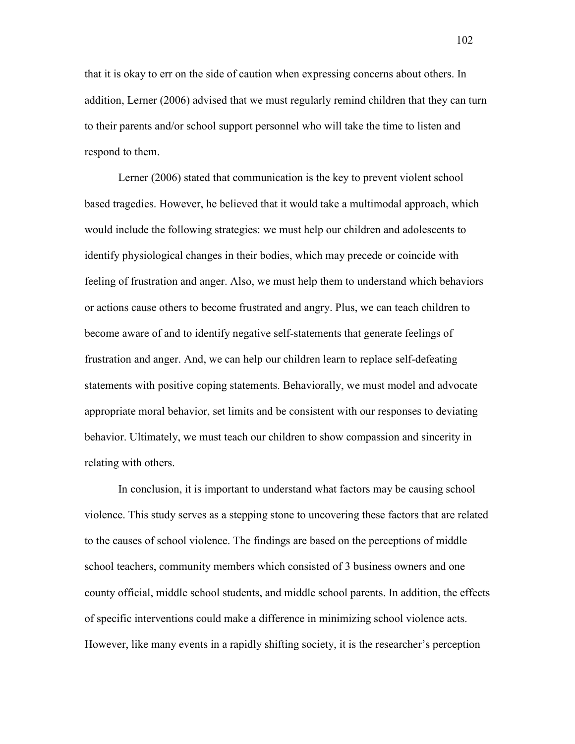that it is okay to err on the side of caution when expressing concerns about others. In addition, Lerner (2006) advised that we must regularly remind children that they can turn to their parents and/or school support personnel who will take the time to listen and respond to them.

 Lerner (2006) stated that communication is the key to prevent violent school based tragedies. However, he believed that it would take a multimodal approach, which would include the following strategies: we must help our children and adolescents to identify physiological changes in their bodies, which may precede or coincide with feeling of frustration and anger. Also, we must help them to understand which behaviors or actions cause others to become frustrated and angry. Plus, we can teach children to become aware of and to identify negative self-statements that generate feelings of frustration and anger. And, we can help our children learn to replace self-defeating statements with positive coping statements. Behaviorally, we must model and advocate appropriate moral behavior, set limits and be consistent with our responses to deviating behavior. Ultimately, we must teach our children to show compassion and sincerity in relating with others.

 In conclusion, it is important to understand what factors may be causing school violence. This study serves as a stepping stone to uncovering these factors that are related to the causes of school violence. The findings are based on the perceptions of middle school teachers, community members which consisted of 3 business owners and one county official, middle school students, and middle school parents. In addition, the effects of specific interventions could make a difference in minimizing school violence acts. However, like many events in a rapidly shifting society, it is the researcher's perception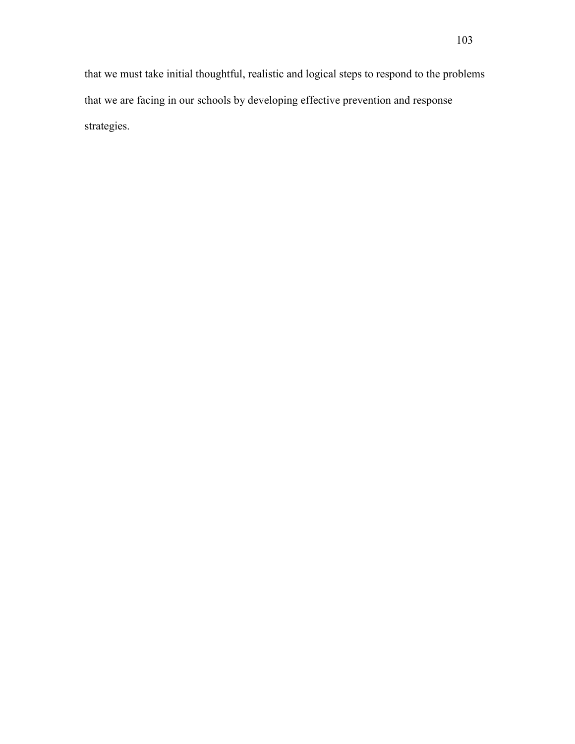that we must take initial thoughtful, realistic and logical steps to respond to the problems that we are facing in our schools by developing effective prevention and response strategies.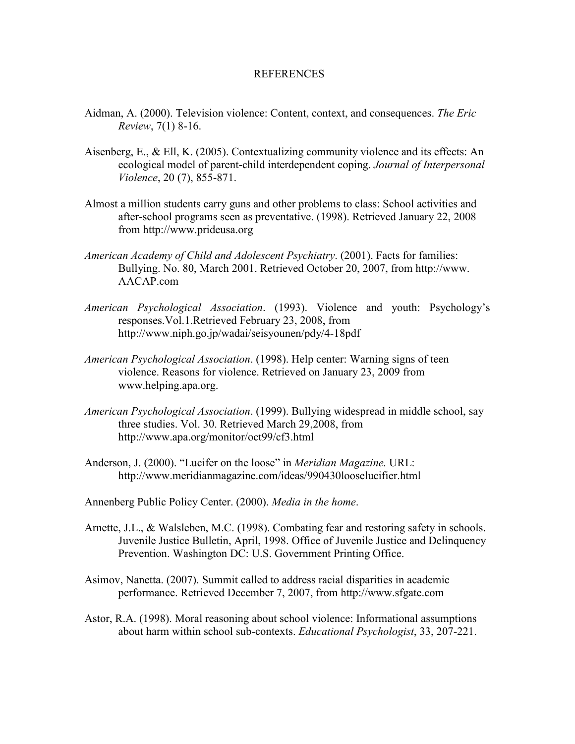#### REFERENCES

- Aidman, A. (2000). Television violence: Content, context, and consequences. *The Eric Review*, 7(1) 8-16.
- Aisenberg, E., & Ell, K. (2005). Contextualizing community violence and its effects: An ecological model of parent-child interdependent coping. *Journal of Interpersonal Violence*, 20 (7), 855-871.
- Almost a million students carry guns and other problems to class: School activities and after-school programs seen as preventative. (1998). Retrieved January 22, 2008 from http://www.prideusa.org
- *American Academy of Child and Adolescent Psychiatry*. (2001). Facts for families: Bullying. No. 80, March 2001. Retrieved October 20, 2007, from http://www. AACAP.com
- *American Psychological Association*. (1993). Violence and youth: Psychology's responses.Vol.1.Retrieved February 23, 2008, from http://www.niph.go.jp/wadai/seisyounen/pdy/4-18pdf
- *American Psychological Association*. (1998). Help center: Warning signs of teen violence. Reasons for violence. Retrieved on January 23, 2009 from www.helping.apa.org.
- *American Psychological Association*. (1999). Bullying widespread in middle school, say three studies. Vol. 30. Retrieved March 29,2008, from http://www.apa.org/monitor/oct99/cf3.html
- Anderson, J. (2000). "Lucifer on the loose" in *Meridian Magazine.* URL: http://www.meridianmagazine.com/ideas/990430looselucifier.html
- Annenberg Public Policy Center. (2000). *Media in the home*.
- Arnette, J.L., & Walsleben, M.C. (1998). Combating fear and restoring safety in schools. Juvenile Justice Bulletin, April, 1998. Office of Juvenile Justice and Delinquency Prevention. Washington DC: U.S. Government Printing Office.
- Asimov, Nanetta. (2007). Summit called to address racial disparities in academic performance. Retrieved December 7, 2007, from http://www.sfgate.com
- Astor, R.A. (1998). Moral reasoning about school violence: Informational assumptions about harm within school sub-contexts. *Educational Psychologist*, 33, 207-221.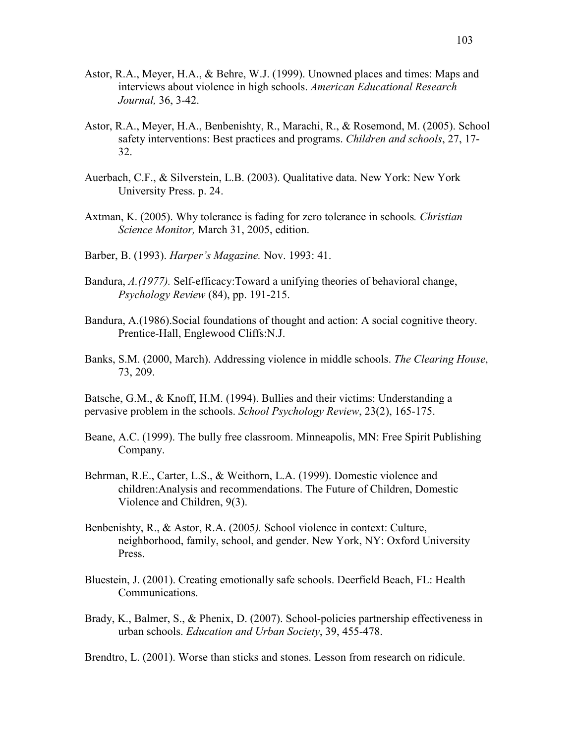- Astor, R.A., Meyer, H.A., & Behre, W.J. (1999). Unowned places and times: Maps and interviews about violence in high schools. *American Educational Research Journal,* 36, 3-42.
- Astor, R.A., Meyer, H.A., Benbenishty, R., Marachi, R., & Rosemond, M. (2005). School safety interventions: Best practices and programs. *Children and schools*, 27, 17- 32.
- Auerbach, C.F., & Silverstein, L.B. (2003). Qualitative data. New York: New York University Press. p. 24.
- Axtman, K. (2005). Why tolerance is fading for zero tolerance in schools*. Christian Science Monitor,* March 31, 2005, edition.
- Barber, B. (1993). *Harper's Magazine.* Nov. 1993: 41.
- Bandura, *A.(1977).* Self-efficacy:Toward a unifying theories of behavioral change, *Psychology Review* (84), pp. 191-215.
- Bandura, A.(1986).Social foundations of thought and action: A social cognitive theory. Prentice-Hall, Englewood Cliffs:N.J.
- Banks, S.M. (2000, March). Addressing violence in middle schools. *The Clearing House*, 73, 209.

Batsche, G.M., & Knoff, H.M. (1994). Bullies and their victims: Understanding a pervasive problem in the schools. *School Psychology Review*, 23(2), 165-175.

- Beane, A.C. (1999). The bully free classroom. Minneapolis, MN: Free Spirit Publishing Company.
- Behrman, R.E., Carter, L.S., & Weithorn, L.A. (1999). Domestic violence and children:Analysis and recommendations. The Future of Children, Domestic Violence and Children, 9(3).
- Benbenishty, R., & Astor, R.A. (2005*).* School violence in context: Culture, neighborhood, family, school, and gender. New York, NY: Oxford University Press.
- Bluestein, J. (2001). Creating emotionally safe schools. Deerfield Beach, FL: Health Communications.
- Brady, K., Balmer, S., & Phenix, D. (2007). School-policies partnership effectiveness in urban schools. *Education and Urban Society*, 39, 455-478.

Brendtro, L. (2001). Worse than sticks and stones. Lesson from research on ridicule.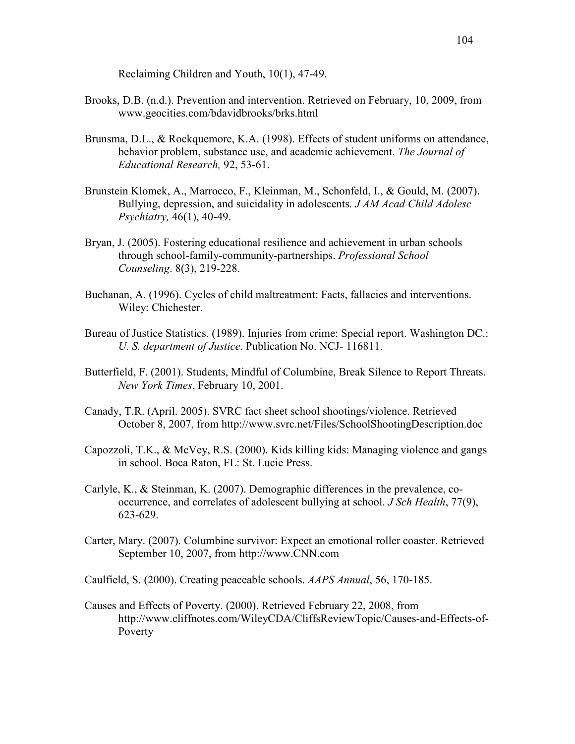Reclaiming Children and Youth, 10(1), 47-49.

- Brooks, D.B. (n.d.). Prevention and intervention. Retrieved on February, 10, 2009, from www.geocities.com/bdavidbrooks/brks.html
- Brunsma, D.L., & Rockquemore, K.A. (1998). Effects of student uniforms on attendance, behavior problem, substance use, and academic achievement. *The Journal of Educational Research,* 92, 53-61.
- Brunstein Klomek, A., Marrocco, F., Kleinman, M., Schonfeld, I., & Gould, M. (2007). Bullying, depression, and suicidality in adolescents*. J AM Acad Child Adolesc Psychiatry,* 46(1), 40-49.
- Bryan, J. (2005). Fostering educational resilience and achievement in urban schools through school-family-community-partnerships. *Professional School Counseling*. 8(3), 219-228.
- Buchanan, A. (1996). Cycles of child maltreatment: Facts, fallacies and interventions. Wiley: Chichester.
- Bureau of Justice Statistics. (1989). Injuries from crime: Special report. Washington DC.: *U. S. department of Justice*. Publication No. NCJ- 116811.
- Butterfield, F. (2001). Students, Mindful of Columbine, Break Silence to Report Threats. *New York Times*, February 10, 2001.
- Canady, T.R. (April. 2005). SVRC fact sheet school shootings/violence. Retrieved October 8, 2007, from http://www.svrc.net/Files/SchoolShootingDescription.doc
- Capozzoli, T.K., & McVey, R.S. (2000). Kids killing kids: Managing violence and gangs in school. Boca Raton, FL: St. Lucie Press.
- Carlyle, K., & Steinman, K. (2007). Demographic differences in the prevalence, cooccurrence, and correlates of adolescent bullying at school. *J Sch Health*, 77(9), 623-629.
- Carter, Mary. (2007). Columbine survivor: Expect an emotional roller coaster. Retrieved September 10, 2007, from http://www.CNN.com

Caulfield, S. (2000). Creating peaceable schools. *AAPS Annual*, 56, 170-185.

Causes and Effects of Poverty. (2000). Retrieved February 22, 2008, from http://www.cliffnotes.com/WileyCDA/CliffsReviewTopic/Causes-and-Effects-of- Poverty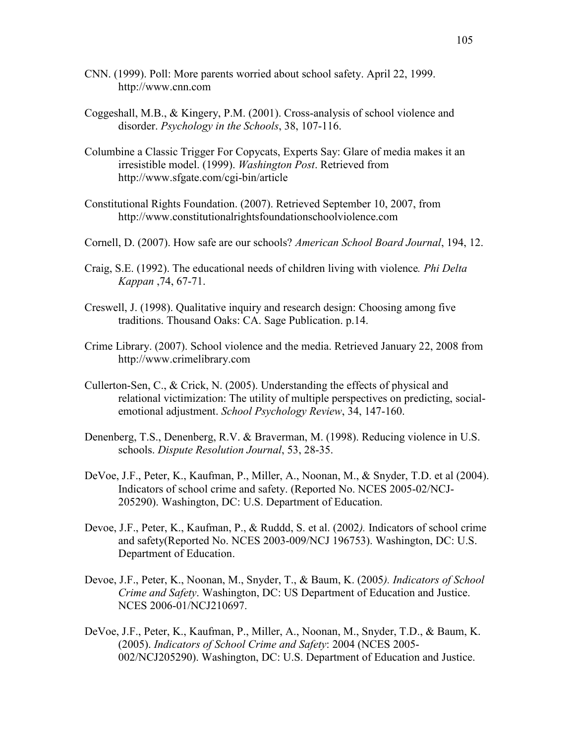- CNN. (1999). Poll: More parents worried about school safety. April 22, 1999. http://www.cnn.com
- Coggeshall, M.B., & Kingery, P.M. (2001). Cross-analysis of school violence and disorder. *Psychology in the Schools*, 38, 107-116.
- Columbine a Classic Trigger For Copycats, Experts Say: Glare of media makes it an irresistible model. (1999). *Washington Post*. Retrieved from http://www.sfgate.com/cgi-bin/article
- Constitutional Rights Foundation. (2007). Retrieved September 10, 2007, from http://www.constitutionalrightsfoundationschoolviolence.com
- Cornell, D. (2007). How safe are our schools? *American School Board Journal*, 194, 12.
- Craig, S.E. (1992). The educational needs of children living with violence*. Phi Delta Kappan* ,74, 67-71.
- Creswell, J. (1998). Qualitative inquiry and research design: Choosing among five traditions. Thousand Oaks: CA. Sage Publication. p.14.
- Crime Library. (2007). School violence and the media. Retrieved January 22, 2008 from http://www.crimelibrary.com
- Cullerton-Sen, C., & Crick, N. (2005). Understanding the effects of physical and relational victimization: The utility of multiple perspectives on predicting, socialemotional adjustment. *School Psychology Review*, 34, 147-160.
- Denenberg, T.S., Denenberg, R.V. & Braverman, M. (1998). Reducing violence in U.S. schools. *Dispute Resolution Journal*, 53, 28-35.
- DeVoe, J.F., Peter, K., Kaufman, P., Miller, A., Noonan, M., & Snyder, T.D. et al (2004). Indicators of school crime and safety. (Reported No. NCES 2005-02/NCJ- 205290). Washington, DC: U.S. Department of Education.
- Devoe, J.F., Peter, K., Kaufman, P., & Ruddd, S. et al. (2002*).* Indicators of school crime and safety(Reported No. NCES 2003-009/NCJ 196753). Washington, DC: U.S. Department of Education.
- Devoe, J.F., Peter, K., Noonan, M., Snyder, T., & Baum, K. (2005*). Indicators of School Crime and Safety*. Washington, DC: US Department of Education and Justice. NCES 2006-01/NCJ210697.
- DeVoe, J.F., Peter, K., Kaufman, P., Miller, A., Noonan, M., Snyder, T.D., & Baum, K. (2005). *Indicators of School Crime and Safety*: 2004 (NCES 2005- 002/NCJ205290). Washington, DC: U.S. Department of Education and Justice.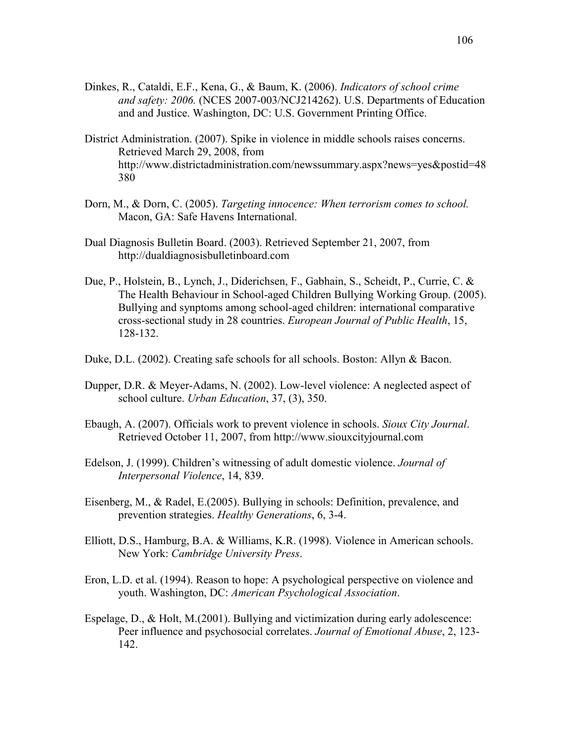- Dinkes, R., Cataldi, E.F., Kena, G., & Baum, K. (2006). *Indicators of school crime and safety: 2006.* (NCES 2007-003/NCJ214262). U.S. Departments of Education and and Justice. Washington, DC: U.S. Government Printing Office.
- District Administration. (2007). Spike in violence in middle schools raises concerns. Retrieved March 29, 2008, from http://www.districtadministration.com/newssummary.aspx?news=yes&postid=48 380
- Dorn, M., & Dorn, C. (2005). *Targeting innocence: When terrorism comes to school.*  Macon, GA: Safe Havens International.
- Dual Diagnosis Bulletin Board. (2003). Retrieved September 21, 2007, from http://dualdiagnosisbulletinboard.com
- Due, P., Holstein, B., Lynch, J., Diderichsen, F., Gabhain, S., Scheidt, P., Currie, C. & The Health Behaviour in School-aged Children Bullying Working Group. (2005). Bullying and synptoms among school-aged children: international comparative cross-sectional study in 28 countries. *European Journal of Public Health*, 15, 128-132.
- Duke, D.L. (2002). Creating safe schools for all schools. Boston: Allyn & Bacon.
- Dupper, D.R. & Meyer-Adams, N. (2002). Low-level violence: A neglected aspect of school culture. *Urban Education*, 37, (3), 350.
- Ebaugh, A. (2007). Officials work to prevent violence in schools. *Sioux City Journal*. Retrieved October 11, 2007, from http://www.siouxcityjournal.com
- Edelson, J. (1999). Children's witnessing of adult domestic violence. *Journal of Interpersonal Violence*, 14, 839.
- Eisenberg, M., & Radel, E.(2005). Bullying in schools: Definition, prevalence, and prevention strategies. *Healthy Generations*, 6, 3-4.
- Elliott, D.S., Hamburg, B.A. & Williams, K.R. (1998). Violence in American schools. New York: *Cambridge University Press*.
- Eron, L.D. et al. (1994). Reason to hope: A psychological perspective on violence and youth. Washington, DC: *American Psychological Association*.
- Espelage, D., & Holt, M.(2001). Bullying and victimization during early adolescence: Peer influence and psychosocial correlates. *Journal of Emotional Abuse*, 2, 123- 142.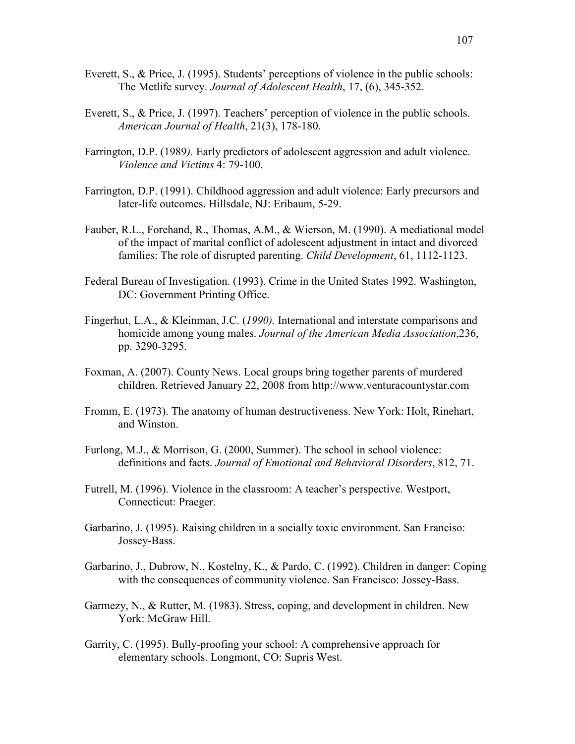- Everett, S., & Price, J. (1995). Students' perceptions of violence in the public schools: The Metlife survey. *Journal of Adolescent Health*, 17, (6), 345-352.
- Everett, S., & Price, J. (1997). Teachers' perception of violence in the public schools. *American Journal of Health*, 21(3), 178-180.
- Farrington, D.P. (1989*).* Early predictors of adolescent aggression and adult violence. *Violence and Victims* 4: 79-100.
- Farrington, D.P. (1991). Childhood aggression and adult violence: Early precursors and later-life outcomes. Hillsdale, NJ: Eribaum, 5-29.
- Fauber, R.L., Forehand, R., Thomas, A.M., & Wierson, M. (1990). A mediational model of the impact of marital conflict of adolescent adjustment in intact and divorced families: The role of disrupted parenting. *Child Development*, 61, 1112-1123.
- Federal Bureau of Investigation. (1993). Crime in the United States 1992. Washington, DC: Government Printing Office.
- Fingerhut, L.A., & Kleinman, J.C. (*1990).* International and interstate comparisons and homicide among young males. *Journal of the American Media Association*,236, pp. 3290-3295.
- Foxman, A. (2007). County News. Local groups bring together parents of murdered children. Retrieved January 22, 2008 from http://www.venturacountystar.com
- Fromm, E. (1973). The anatomy of human destructiveness. New York: Holt, Rinehart, and Winston.
- Furlong, M.J., & Morrison, G. (2000, Summer). The school in school violence: definitions and facts. *Journal of Emotional and Behavioral Disorders*, 812, 71.
- Futrell, M. (1996). Violence in the classroom: A teacher's perspective. Westport, Connecticut: Praeger.
- Garbarino, J. (1995). Raising children in a socially toxic environment. San Franciso: Jossey-Bass.
- Garbarino, J., Dubrow, N., Kostelny, K., & Pardo, C. (1992). Children in danger: Coping with the consequences of community violence. San Francisco: Jossey-Bass.
- Garmezy, N., & Rutter, M. (1983). Stress, coping, and development in children. New York: McGraw Hill.
- Garrity, C. (1995). Bully-proofing your school: A comprehensive approach for elementary schools. Longmont, CO: Supris West.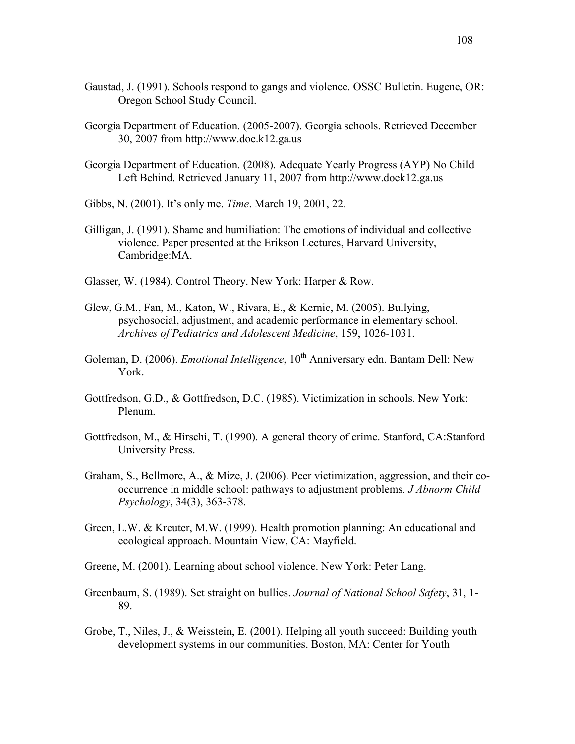- Gaustad, J. (1991). Schools respond to gangs and violence. OSSC Bulletin. Eugene, OR: Oregon School Study Council.
- Georgia Department of Education. (2005-2007). Georgia schools. Retrieved December 30, 2007 from http://www.doe.k12.ga.us
- Georgia Department of Education. (2008). Adequate Yearly Progress (AYP) No Child Left Behind. Retrieved January 11, 2007 from http://www.doek12.ga.us
- Gibbs, N. (2001). It's only me. *Time*. March 19, 2001, 22.
- Gilligan, J. (1991). Shame and humiliation: The emotions of individual and collective violence. Paper presented at the Erikson Lectures, Harvard University, Cambridge:MA.
- Glasser, W. (1984). Control Theory. New York: Harper & Row.
- Glew, G.M., Fan, M., Katon, W., Rivara, E., & Kernic, M. (2005). Bullying, psychosocial, adjustment, and academic performance in elementary school. *Archives of Pediatrics and Adolescent Medicine*, 159, 1026-1031.
- Goleman, D. (2006). *Emotional Intelligence*, 10<sup>th</sup> Anniversary edn. Bantam Dell: New York.
- Gottfredson, G.D., & Gottfredson, D.C. (1985). Victimization in schools. New York: Plenum.
- Gottfredson, M., & Hirschi, T. (1990). A general theory of crime. Stanford, CA:Stanford University Press.
- Graham, S., Bellmore, A., & Mize, J. (2006). Peer victimization, aggression, and their cooccurrence in middle school: pathways to adjustment problems*. J Abnorm Child Psychology*, 34(3), 363-378.
- Green, L.W. & Kreuter, M.W. (1999). Health promotion planning: An educational and ecological approach. Mountain View, CA: Mayfield.
- Greene, M. (2001). Learning about school violence. New York: Peter Lang.
- Greenbaum, S. (1989). Set straight on bullies. *Journal of National School Safety*, 31, 1- 89.
- Grobe, T., Niles, J., & Weisstein, E. (2001). Helping all youth succeed: Building youth development systems in our communities. Boston, MA: Center for Youth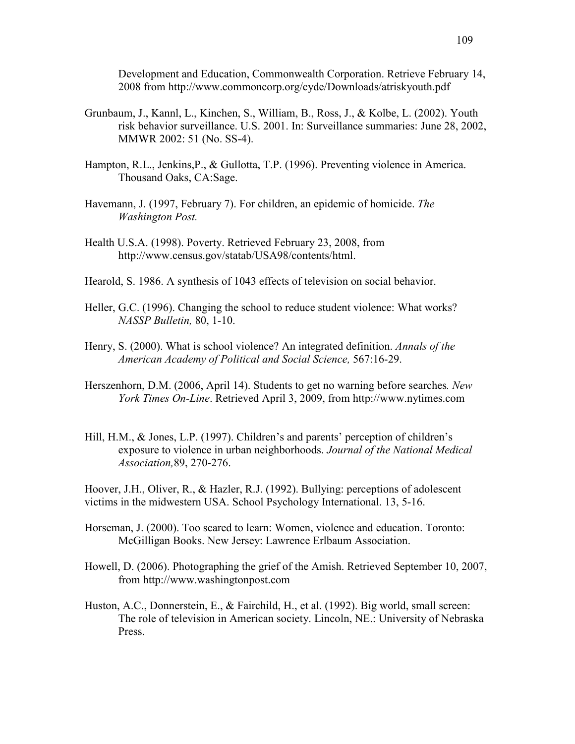Development and Education, Commonwealth Corporation. Retrieve February 14, 2008 from http://www.commoncorp.org/cyde/Downloads/atriskyouth.pdf

- Grunbaum, J., Kannl, L., Kinchen, S., William, B., Ross, J., & Kolbe, L. (2002). Youth risk behavior surveillance. U.S. 2001. In: Surveillance summaries: June 28, 2002, MMWR 2002: 51 (No. SS-4).
- Hampton, R.L., Jenkins,P., & Gullotta, T.P. (1996). Preventing violence in America. Thousand Oaks, CA:Sage.
- Havemann, J. (1997, February 7). For children, an epidemic of homicide. *The Washington Post.*
- Health U.S.A. (1998). Poverty. Retrieved February 23, 2008, from http://www.census.gov/statab/USA98/contents/html.
- Hearold, S. 1986. A synthesis of 1043 effects of television on social behavior.
- Heller, G.C. (1996). Changing the school to reduce student violence: What works? *NASSP Bulletin,* 80, 1-10.
- Henry, S. (2000). What is school violence? An integrated definition. *Annals of the American Academy of Political and Social Science,* 567:16-29.
- Herszenhorn, D.M. (2006, April 14). Students to get no warning before searches*. New York Times On-Line*. Retrieved April 3, 2009, from http://www.nytimes.com
- Hill, H.M., & Jones, L.P. (1997). Children's and parents' perception of children's exposure to violence in urban neighborhoods. *Journal of the National Medical Association,*89, 270-276.

Hoover, J.H., Oliver, R., & Hazler, R.J. (1992). Bullying: perceptions of adolescent victims in the midwestern USA. School Psychology International. 13, 5-16.

- Horseman, J. (2000). Too scared to learn: Women, violence and education. Toronto: McGilligan Books. New Jersey: Lawrence Erlbaum Association.
- Howell, D. (2006). Photographing the grief of the Amish. Retrieved September 10, 2007, from http://www.washingtonpost.com
- Huston, A.C., Donnerstein, E., & Fairchild, H., et al. (1992). Big world, small screen: The role of television in American society. Lincoln, NE.: University of Nebraska Press.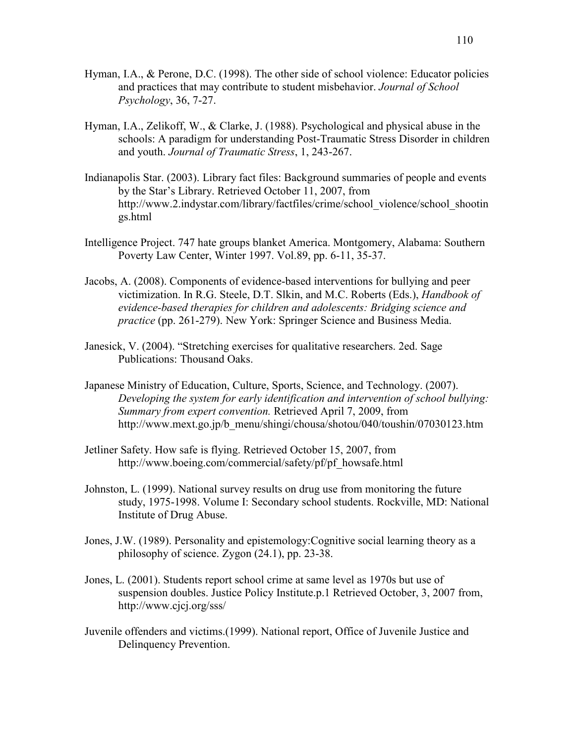- Hyman, I.A., & Perone, D.C. (1998). The other side of school violence: Educator policies and practices that may contribute to student misbehavior. *Journal of School Psychology*, 36, 7-27.
- Hyman, I.A., Zelikoff, W., & Clarke, J. (1988). Psychological and physical abuse in the schools: A paradigm for understanding Post-Traumatic Stress Disorder in children and youth. *Journal of Traumatic Stress*, 1, 243-267.
- Indianapolis Star. (2003). Library fact files: Background summaries of people and events by the Star's Library. Retrieved October 11, 2007, from http://www.2.indystar.com/library/factfiles/crime/school\_violence/school\_shootin gs.html
- Intelligence Project. 747 hate groups blanket America. Montgomery, Alabama: Southern Poverty Law Center, Winter 1997. Vol.89, pp. 6-11, 35-37.
- Jacobs, A. (2008). Components of evidence-based interventions for bullying and peer victimization. In R.G. Steele, D.T. Slkin, and M.C. Roberts (Eds.), *Handbook of evidence-based therapies for children and adolescents: Bridging science and practice* (pp. 261-279). New York: Springer Science and Business Media.
- Janesick, V. (2004). "Stretching exercises for qualitative researchers. 2ed. Sage Publications: Thousand Oaks.
- Japanese Ministry of Education, Culture, Sports, Science, and Technology. (2007). *Developing the system for early identification and intervention of school bullying: Summary from expert convention.* Retrieved April 7, 2009, from http://www.mext.go.jp/b\_menu/shingi/chousa/shotou/040/toushin/07030123.htm
- Jetliner Safety. How safe is flying. Retrieved October 15, 2007, from http://www.boeing.com/commercial/safety/pf/pf\_howsafe.html
- Johnston, L. (1999). National survey results on drug use from monitoring the future study, 1975-1998. Volume I: Secondary school students. Rockville, MD: National Institute of Drug Abuse.
- Jones, J.W. (1989). Personality and epistemology:Cognitive social learning theory as a philosophy of science. Zygon (24.1), pp. 23-38.
- Jones, L. (2001). Students report school crime at same level as 1970s but use of suspension doubles. Justice Policy Institute.p.1 Retrieved October, 3, 2007 from, http://www.cjcj.org/sss/
- Juvenile offenders and victims.(1999). National report, Office of Juvenile Justice and Delinquency Prevention.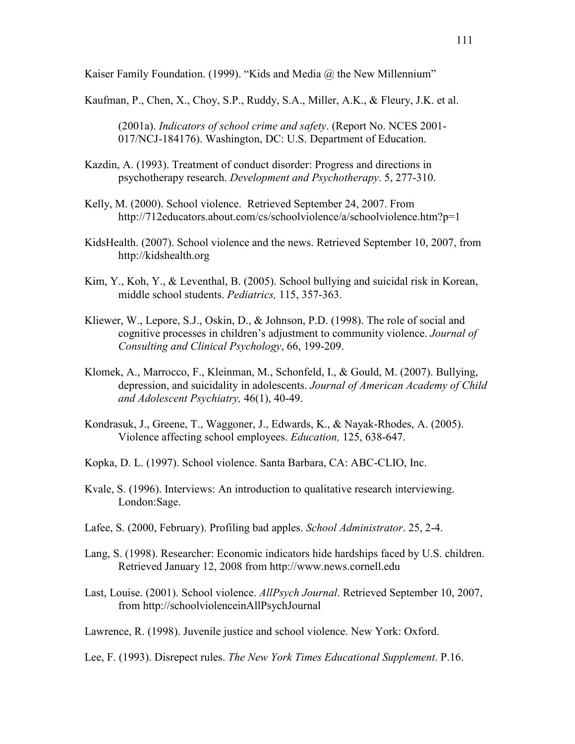Kaiser Family Foundation. (1999). "Kids and Media @ the New Millennium"

Kaufman, P., Chen, X., Choy, S.P., Ruddy, S.A., Miller, A.K., & Fleury, J.K. et al.

(2001a). *Indicators of school crime and safety*. (Report No. NCES 2001- 017/NCJ-184176). Washington, DC: U.S. Department of Education.

- Kazdin, A. (1993). Treatment of conduct disorder: Progress and directions in psychotherapy research. *Development and Psychotherapy*. 5, 277-310.
- Kelly, M. (2000). School violence. Retrieved September 24, 2007. From http://712educators.about.com/cs/schoolviolence/a/schoolviolence.htm?p=1
- KidsHealth. (2007). School violence and the news. Retrieved September 10, 2007, from http://kidshealth.org
- Kim, Y., Koh, Y., & Leventhal, B. (2005). School bullying and suicidal risk in Korean, middle school students. *Pediatrics,* 115, 357-363.
- Kliewer, W., Lepore, S.J., Oskin, D., & Johnson, P.D. (1998). The role of social and cognitive processes in children's adjustment to community violence. *Journal of Consulting and Clinical Psychology*, 66, 199-209.
- Klomek, A., Marrocco, F., Kleinman, M., Schonfeld, I., & Gould, M. (2007). Bullying, depression, and suicidality in adolescents. *Journal of American Academy of Child and Adolescent Psychiatry,* 46(1), 40-49.
- Kondrasuk, J., Greene, T., Waggoner, J., Edwards, K., & Nayak-Rhodes, A. (2005). Violence affecting school employees. *Education,* 125, 638-647.
- Kopka, D. L. (1997). School violence. Santa Barbara, CA: ABC-CLIO, Inc.
- Kvale, S. (1996). Interviews: An introduction to qualitative research interviewing. London:Sage.
- Lafee, S. (2000, February). Profiling bad apples. *School Administrator*. 25, 2-4.
- Lang, S. (1998). Researcher: Economic indicators hide hardships faced by U.S. children. Retrieved January 12, 2008 from http://www.news.cornell.edu
- Last, Louise. (2001). School violence. *AllPsych Journal*. Retrieved September 10, 2007, from http://schoolviolenceinAllPsychJournal
- Lawrence, R. (1998). Juvenile justice and school violence. New York: Oxford.

Lee, F. (1993). Disrepect rules. *The New York Times Educational Supplement*. P.16.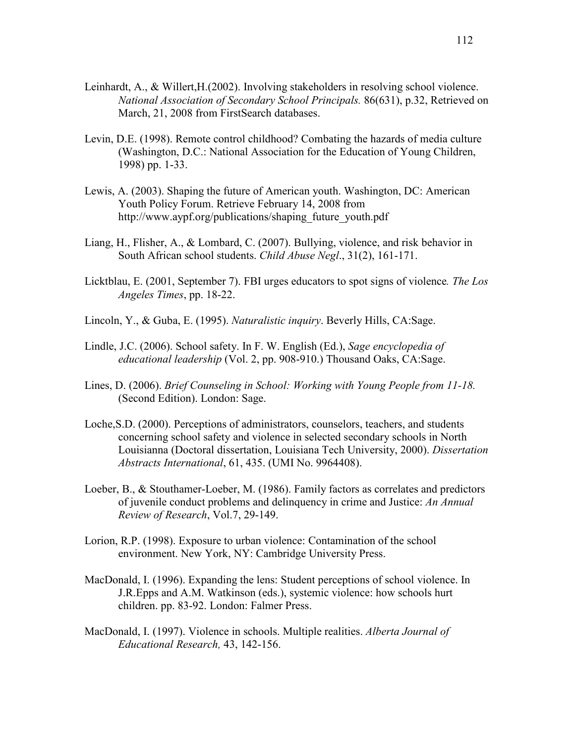- Leinhardt, A., & Willert,H.(2002). Involving stakeholders in resolving school violence. *National Association of Secondary School Principals.* 86(631), p.32, Retrieved on March, 21, 2008 from FirstSearch databases.
- Levin, D.E. (1998). Remote control childhood? Combating the hazards of media culture (Washington, D.C.: National Association for the Education of Young Children, 1998) pp. 1-33.
- Lewis, A. (2003). Shaping the future of American youth. Washington, DC: American Youth Policy Forum. Retrieve February 14, 2008 from http://www.aypf.org/publications/shaping\_future\_youth.pdf
- Liang, H., Flisher, A., & Lombard, C. (2007). Bullying, violence, and risk behavior in South African school students. *Child Abuse Negl*., 31(2), 161-171.
- Licktblau, E. (2001, September 7). FBI urges educators to spot signs of violence*. The Los Angeles Times*, pp. 18-22.
- Lincoln, Y., & Guba, E. (1995). *Naturalistic inquiry*. Beverly Hills, CA:Sage.
- Lindle, J.C. (2006). School safety. In F. W. English (Ed.), *Sage encyclopedia of educational leadership* (Vol. 2, pp. 908-910.) Thousand Oaks, CA:Sage.
- Lines, D. (2006). *Brief Counseling in School: Working with Young People from 11-18.* (Second Edition). London: Sage.
- Loche,S.D. (2000). Perceptions of administrators, counselors, teachers, and students concerning school safety and violence in selected secondary schools in North Louisianna (Doctoral dissertation, Louisiana Tech University, 2000). *Dissertation Abstracts International*, 61, 435. (UMI No. 9964408).
- Loeber, B., & Stouthamer-Loeber, M. (1986). Family factors as correlates and predictors of juvenile conduct problems and delinquency in crime and Justice: *An Annual Review of Research*, Vol.7, 29-149.
- Lorion, R.P. (1998). Exposure to urban violence: Contamination of the school environment. New York, NY: Cambridge University Press.
- MacDonald, I. (1996). Expanding the lens: Student perceptions of school violence. In J.R.Epps and A.M. Watkinson (eds.), systemic violence: how schools hurt children. pp. 83-92. London: Falmer Press.
- MacDonald, I. (1997). Violence in schools. Multiple realities. *Alberta Journal of Educational Research,* 43, 142-156.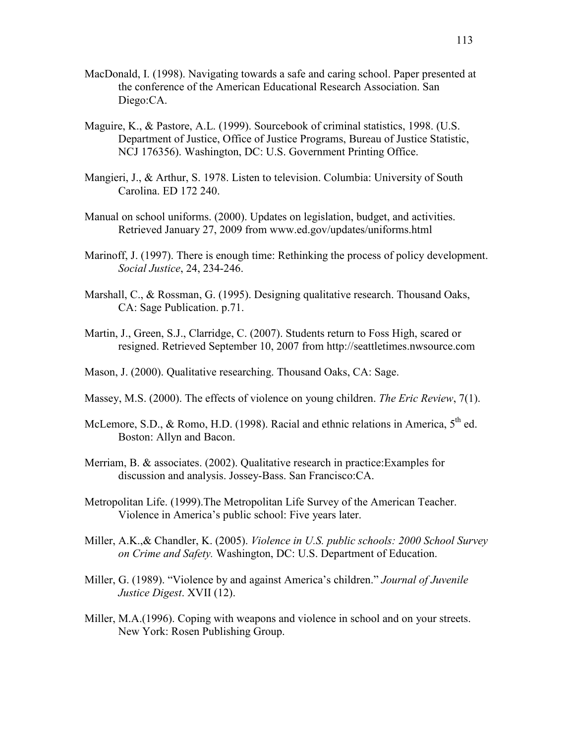- MacDonald, I. (1998). Navigating towards a safe and caring school. Paper presented at the conference of the American Educational Research Association. San Diego:CA.
- Maguire, K., & Pastore, A.L. (1999). Sourcebook of criminal statistics, 1998. (U.S. Department of Justice, Office of Justice Programs, Bureau of Justice Statistic, NCJ 176356). Washington, DC: U.S. Government Printing Office.
- Mangieri, J., & Arthur, S. 1978. Listen to television. Columbia: University of South Carolina. ED 172 240.
- Manual on school uniforms. (2000). Updates on legislation, budget, and activities. Retrieved January 27, 2009 from www.ed.gov/updates/uniforms.html
- Marinoff, J. (1997). There is enough time: Rethinking the process of policy development. *Social Justice*, 24, 234-246.
- Marshall, C., & Rossman, G. (1995). Designing qualitative research. Thousand Oaks, CA: Sage Publication. p.71.
- Martin, J., Green, S.J., Clarridge, C. (2007). Students return to Foss High, scared or resigned. Retrieved September 10, 2007 from http://seattletimes.nwsource.com
- Mason, J. (2000). Qualitative researching. Thousand Oaks, CA: Sage.
- Massey, M.S. (2000). The effects of violence on young children. *The Eric Review*, 7(1).
- McLemore, S.D., & Romo, H.D. (1998). Racial and ethnic relations in America, 5<sup>th</sup> ed. Boston: Allyn and Bacon.
- Merriam, B. & associates. (2002). Qualitative research in practice:Examples for discussion and analysis. Jossey-Bass. San Francisco:CA.
- Metropolitan Life. (1999).The Metropolitan Life Survey of the American Teacher. Violence in America's public school: Five years later.
- Miller, A.K.,& Chandler, K. (2005). *Violence in U.S. public schools: 2000 School Survey on Crime and Safety.* Washington, DC: U.S. Department of Education.
- Miller, G. (1989). "Violence by and against America's children." *Journal of Juvenile Justice Digest*. XVII (12).
- Miller, M.A.(1996). Coping with weapons and violence in school and on your streets. New York: Rosen Publishing Group.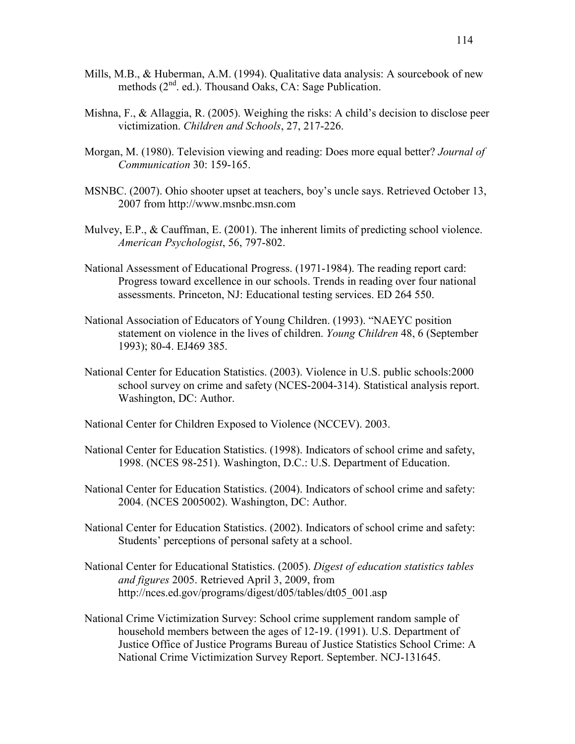- Mills, M.B., & Huberman, A.M. (1994). Qualitative data analysis: A sourcebook of new methods (2<sup>nd</sup>. ed.). Thousand Oaks, CA: Sage Publication.
- Mishna, F., & Allaggia, R. (2005). Weighing the risks: A child's decision to disclose peer victimization. *Children and Schools*, 27, 217-226.
- Morgan, M. (1980). Television viewing and reading: Does more equal better? *Journal of Communication* 30: 159-165.
- MSNBC. (2007). Ohio shooter upset at teachers, boy's uncle says. Retrieved October 13, 2007 from http://www.msnbc.msn.com
- Mulvey, E.P.,  $\&$  Cauffman, E. (2001). The inherent limits of predicting school violence. *American Psychologist*, 56, 797-802.
- National Assessment of Educational Progress. (1971-1984). The reading report card: Progress toward excellence in our schools. Trends in reading over four national assessments. Princeton, NJ: Educational testing services. ED 264 550.
- National Association of Educators of Young Children. (1993). "NAEYC position statement on violence in the lives of children. *Young Children* 48, 6 (September 1993); 80-4. EJ469 385.
- National Center for Education Statistics. (2003). Violence in U.S. public schools:2000 school survey on crime and safety (NCES-2004-314). Statistical analysis report. Washington, DC: Author.
- National Center for Children Exposed to Violence (NCCEV). 2003.
- National Center for Education Statistics. (1998). Indicators of school crime and safety, 1998. (NCES 98-251). Washington, D.C.: U.S. Department of Education.
- National Center for Education Statistics. (2004). Indicators of school crime and safety: 2004. (NCES 2005002). Washington, DC: Author.
- National Center for Education Statistics. (2002). Indicators of school crime and safety: Students' perceptions of personal safety at a school.
- National Center for Educational Statistics. (2005). *Digest of education statistics tables and figures* 2005. Retrieved April 3, 2009, from http://nces.ed.gov/programs/digest/d05/tables/dt05\_001.asp
- National Crime Victimization Survey: School crime supplement random sample of household members between the ages of 12-19. (1991). U.S. Department of Justice Office of Justice Programs Bureau of Justice Statistics School Crime: A National Crime Victimization Survey Report. September. NCJ-131645.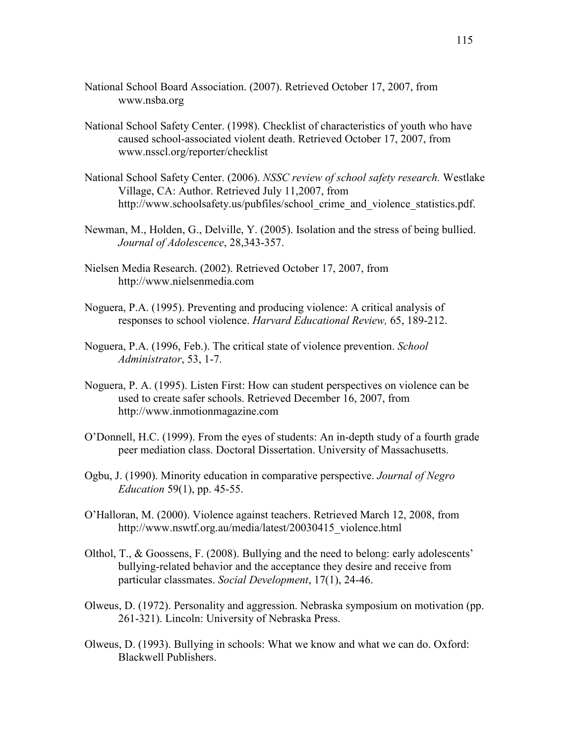- National School Board Association. (2007). Retrieved October 17, 2007, from www.nsba.org
- National School Safety Center. (1998). Checklist of characteristics of youth who have caused school-associated violent death. Retrieved October 17, 2007, from www.nsscl.org/reporter/checklist
- National School Safety Center. (2006). *NSSC review of school safety research.* Westlake Village, CA: Author. Retrieved July 11,2007, from http://www.schoolsafety.us/pubfiles/school\_crime\_and\_violence\_statistics.pdf.
- Newman, M., Holden, G., Delville, Y. (2005). Isolation and the stress of being bullied. *Journal of Adolescence*, 28,343-357.
- Nielsen Media Research. (2002). Retrieved October 17, 2007, from http://www.nielsenmedia.com
- Noguera, P.A. (1995). Preventing and producing violence: A critical analysis of responses to school violence. *Harvard Educational Review,* 65, 189-212.
- Noguera, P.A. (1996, Feb.). The critical state of violence prevention. *School Administrator*, 53, 1-7.
- Noguera, P. A. (1995). Listen First: How can student perspectives on violence can be used to create safer schools. Retrieved December 16, 2007, from http://www.inmotionmagazine.com
- O'Donnell, H.C. (1999). From the eyes of students: An in-depth study of a fourth grade peer mediation class. Doctoral Dissertation. University of Massachusetts.
- Ogbu, J. (1990). Minority education in comparative perspective. *Journal of Negro Education* 59(1), pp. 45-55.
- O'Halloran, M. (2000). Violence against teachers. Retrieved March 12, 2008, from http://www.nswtf.org.au/media/latest/20030415\_violence.html
- Olthol, T., & Goossens, F. (2008). Bullying and the need to belong: early adolescents' bullying-related behavior and the acceptance they desire and receive from particular classmates. *Social Development*, 17(1), 24-46.
- Olweus, D. (1972). Personality and aggression. Nebraska symposium on motivation (pp. 261-321). Lincoln: University of Nebraska Press.
- Olweus, D. (1993). Bullying in schools: What we know and what we can do. Oxford: Blackwell Publishers.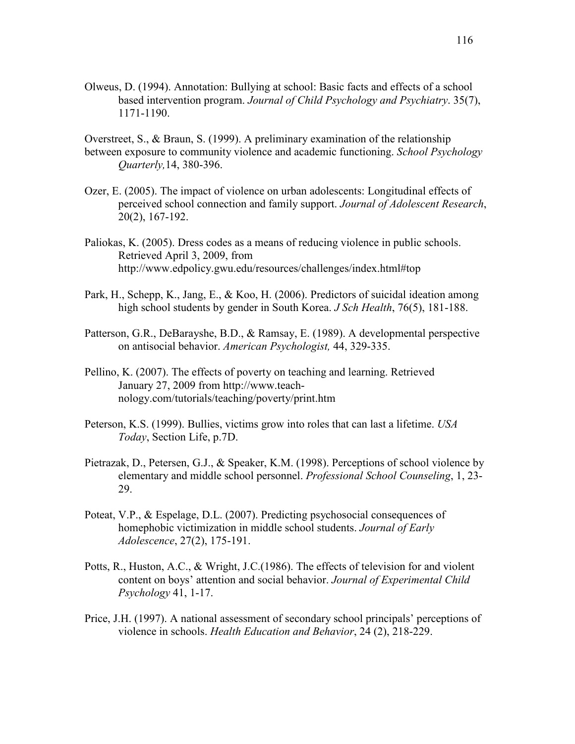Olweus, D. (1994). Annotation: Bullying at school: Basic facts and effects of a school based intervention program. *Journal of Child Psychology and Psychiatry*. 35(7), 1171-1190.

Overstreet, S., & Braun, S. (1999). A preliminary examination of the relationship between exposure to community violence and academic functioning. *School Psychology Quarterly,*14, 380-396.

- Ozer, E. (2005). The impact of violence on urban adolescents: Longitudinal effects of perceived school connection and family support. *Journal of Adolescent Research*, 20(2), 167-192.
- Paliokas, K. (2005). Dress codes as a means of reducing violence in public schools. Retrieved April 3, 2009, from http://www.edpolicy.gwu.edu/resources/challenges/index.html#top
- Park, H., Schepp, K., Jang, E., & Koo, H. (2006). Predictors of suicidal ideation among high school students by gender in South Korea. *J Sch Health*, 76(5), 181-188.
- Patterson, G.R., DeBarayshe, B.D., & Ramsay, E. (1989). A developmental perspective on antisocial behavior. *American Psychologist,* 44, 329-335.
- Pellino, K. (2007). The effects of poverty on teaching and learning. Retrieved January 27, 2009 from http://www.teachnology.com/tutorials/teaching/poverty/print.htm
- Peterson, K.S. (1999). Bullies, victims grow into roles that can last a lifetime. *USA Today*, Section Life, p.7D.
- Pietrazak, D., Petersen, G.J., & Speaker, K.M. (1998). Perceptions of school violence by elementary and middle school personnel. *Professional School Counseling*, 1, 23- 29.
- Poteat, V.P., & Espelage, D.L. (2007). Predicting psychosocial consequences of homephobic victimization in middle school students. *Journal of Early Adolescence*, 27(2), 175-191.
- Potts, R., Huston, A.C., & Wright, J.C.(1986). The effects of television for and violent content on boys' attention and social behavior. *Journal of Experimental Child Psychology* 41, 1-17.
- Price, J.H. (1997). A national assessment of secondary school principals' perceptions of violence in schools. *Health Education and Behavior*, 24 (2), 218-229.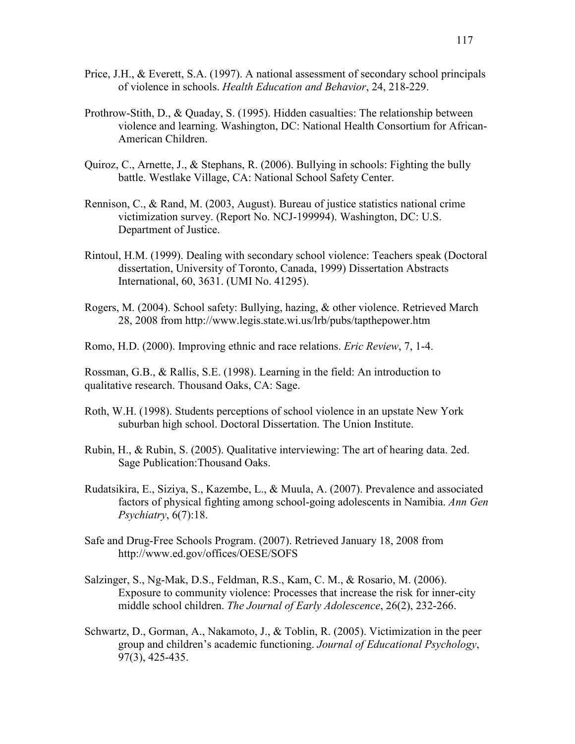- Price, J.H., & Everett, S.A. (1997). A national assessment of secondary school principals of violence in schools. *Health Education and Behavior*, 24, 218-229.
- Prothrow-Stith, D., & Quaday, S. (1995). Hidden casualties: The relationship between violence and learning. Washington, DC: National Health Consortium for African- American Children.
- Quiroz, C., Arnette, J., & Stephans, R. (2006). Bullying in schools: Fighting the bully battle. Westlake Village, CA: National School Safety Center.
- Rennison, C., & Rand, M. (2003, August). Bureau of justice statistics national crime victimization survey. (Report No. NCJ-199994). Washington, DC: U.S. Department of Justice.
- Rintoul, H.M. (1999). Dealing with secondary school violence: Teachers speak (Doctoral dissertation, University of Toronto, Canada, 1999) Dissertation Abstracts International, 60, 3631. (UMI No. 41295).
- Rogers, M. (2004). School safety: Bullying, hazing, & other violence. Retrieved March 28, 2008 from http://www.legis.state.wi.us/lrb/pubs/tapthepower.htm
- Romo, H.D. (2000). Improving ethnic and race relations. *Eric Review*, 7, 1-4.

Rossman, G.B., & Rallis, S.E. (1998). Learning in the field: An introduction to qualitative research. Thousand Oaks, CA: Sage.

- Roth, W.H. (1998). Students perceptions of school violence in an upstate New York suburban high school. Doctoral Dissertation. The Union Institute.
- Rubin, H., & Rubin, S. (2005). Qualitative interviewing: The art of hearing data. 2ed. Sage Publication:Thousand Oaks.
- Rudatsikira, E., Siziya, S., Kazembe, L., & Muula, A. (2007). Prevalence and associated factors of physical fighting among school-going adolescents in Namibia. *Ann Gen Psychiatry*, 6(7):18.
- Safe and Drug-Free Schools Program. (2007). Retrieved January 18, 2008 from http://www.ed.gov/offices/OESE/SOFS
- Salzinger, S., Ng-Mak, D.S., Feldman, R.S., Kam, C. M., & Rosario, M. (2006). Exposure to community violence: Processes that increase the risk for inner-city middle school children. *The Journal of Early Adolescence*, 26(2), 232-266.
- Schwartz, D., Gorman, A., Nakamoto, J., & Toblin, R. (2005). Victimization in the peer group and children's academic functioning. *Journal of Educational Psychology*, 97(3), 425-435.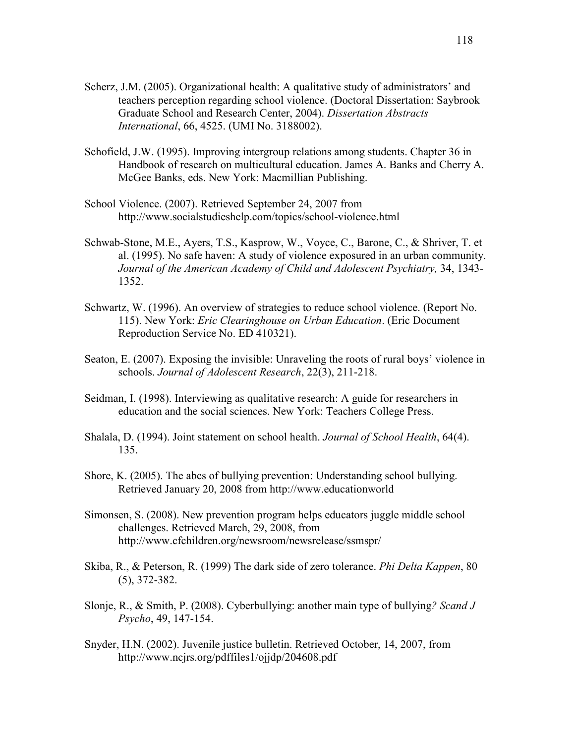- Scherz, J.M. (2005). Organizational health: A qualitative study of administrators' and teachers perception regarding school violence. (Doctoral Dissertation: Saybrook Graduate School and Research Center, 2004). *Dissertation Abstracts International*, 66, 4525. (UMI No. 3188002).
- Schofield, J.W. (1995). Improving intergroup relations among students. Chapter 36 in Handbook of research on multicultural education. James A. Banks and Cherry A. McGee Banks, eds. New York: Macmillian Publishing.
- School Violence. (2007). Retrieved September 24, 2007 from http://www.socialstudieshelp.com/topics/school-violence.html
- Schwab-Stone, M.E., Ayers, T.S., Kasprow, W., Voyce, C., Barone, C., & Shriver, T. et al. (1995). No safe haven: A study of violence exposured in an urban community. *Journal of the American Academy of Child and Adolescent Psychiatry,* 34, 1343- 1352.
- Schwartz, W. (1996). An overview of strategies to reduce school violence. (Report No. 115). New York: *Eric Clearinghouse on Urban Education*. (Eric Document Reproduction Service No. ED 410321).
- Seaton, E. (2007). Exposing the invisible: Unraveling the roots of rural boys' violence in schools. *Journal of Adolescent Research*, 22(3), 211-218.
- Seidman, I. (1998). Interviewing as qualitative research: A guide for researchers in education and the social sciences. New York: Teachers College Press.
- Shalala, D. (1994). Joint statement on school health. *Journal of School Health*, 64(4). 135.
- Shore, K. (2005). The abcs of bullying prevention: Understanding school bullying. Retrieved January 20, 2008 from http://www.educationworld
- Simonsen, S. (2008). New prevention program helps educators juggle middle school challenges. Retrieved March, 29, 2008, from http://www.cfchildren.org/newsroom/newsrelease/ssmspr/
- Skiba, R., & Peterson, R. (1999) The dark side of zero tolerance. *Phi Delta Kappen*, 80 (5), 372-382.
- Slonje, R., & Smith, P. (2008). Cyberbullying: another main type of bullying*? Scand J Psycho*, 49, 147-154.
- Snyder, H.N. (2002). Juvenile justice bulletin. Retrieved October, 14, 2007, from http://www.ncjrs.org/pdffiles1/ojjdp/204608.pdf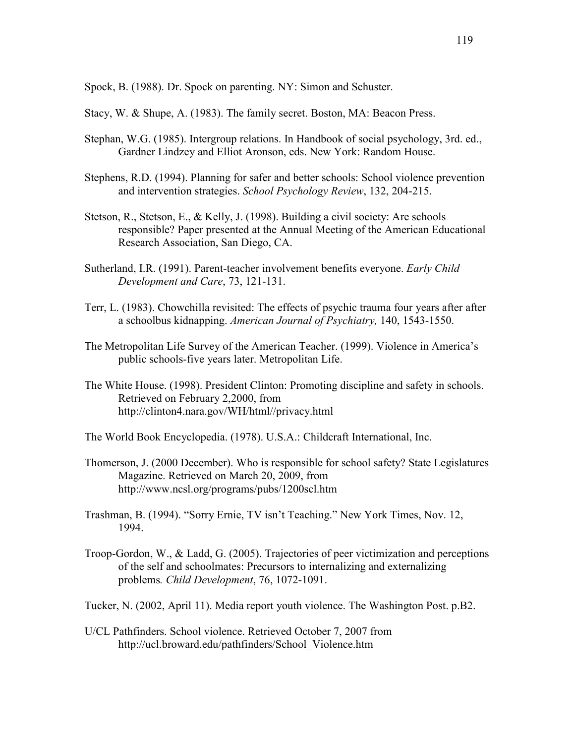Spock, B. (1988). Dr. Spock on parenting. NY: Simon and Schuster.

Stacy, W. & Shupe, A. (1983). The family secret. Boston, MA: Beacon Press.

- Stephan, W.G. (1985). Intergroup relations. In Handbook of social psychology, 3rd. ed., Gardner Lindzey and Elliot Aronson, eds. New York: Random House.
- Stephens, R.D. (1994). Planning for safer and better schools: School violence prevention and intervention strategies. *School Psychology Review*, 132, 204-215.
- Stetson, R., Stetson, E., & Kelly, J. (1998). Building a civil society: Are schools responsible? Paper presented at the Annual Meeting of the American Educational Research Association, San Diego, CA.
- Sutherland, I.R. (1991). Parent-teacher involvement benefits everyone. *Early Child Development and Care*, 73, 121-131.
- Terr, L. (1983). Chowchilla revisited: The effects of psychic trauma four years after after a schoolbus kidnapping. *American Journal of Psychiatry,* 140, 1543-1550.
- The Metropolitan Life Survey of the American Teacher. (1999). Violence in America's public schools-five years later. Metropolitan Life.
- The White House. (1998). President Clinton: Promoting discipline and safety in schools. Retrieved on February 2,2000, from http://clinton4.nara.gov/WH/html//privacy.html
- The World Book Encyclopedia. (1978). U.S.A.: Childcraft International, Inc.
- Thomerson, J. (2000 December). Who is responsible for school safety? State Legislatures Magazine. Retrieved on March 20, 2009, from http://www.ncsl.org/programs/pubs/1200scl.htm
- Trashman, B. (1994). "Sorry Ernie, TV isn't Teaching." New York Times, Nov. 12, 1994.
- Troop-Gordon, W., & Ladd, G. (2005). Trajectories of peer victimization and perceptions of the self and schoolmates: Precursors to internalizing and externalizing problems*. Child Development*, 76, 1072-1091.

Tucker, N. (2002, April 11). Media report youth violence. The Washington Post. p.B2.

U/CL Pathfinders. School violence. Retrieved October 7, 2007 from http://ucl.broward.edu/pathfinders/School\_Violence.htm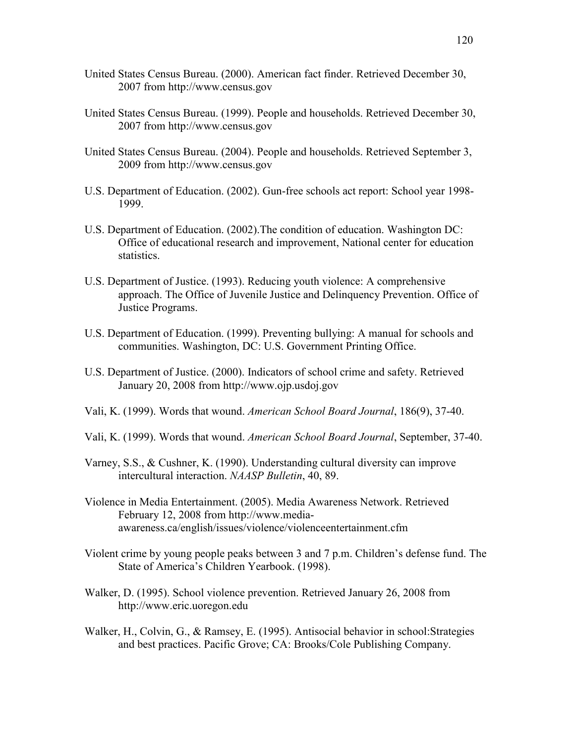- United States Census Bureau. (2000). American fact finder. Retrieved December 30, 2007 from http://www.census.gov
- United States Census Bureau. (1999). People and households. Retrieved December 30, 2007 from http://www.census.gov
- United States Census Bureau. (2004). People and households. Retrieved September 3, 2009 from http://www.census.gov
- U.S. Department of Education. (2002). Gun-free schools act report: School year 1998- 1999.
- U.S. Department of Education. (2002).The condition of education. Washington DC: Office of educational research and improvement, National center for education statistics.
- U.S. Department of Justice. (1993). Reducing youth violence: A comprehensive approach. The Office of Juvenile Justice and Delinquency Prevention. Office of Justice Programs.
- U.S. Department of Education. (1999). Preventing bullying: A manual for schools and communities. Washington, DC: U.S. Government Printing Office.
- U.S. Department of Justice. (2000). Indicators of school crime and safety. Retrieved January 20, 2008 from http://www.ojp.usdoj.gov
- Vali, K. (1999). Words that wound. *American School Board Journal*, 186(9), 37-40.
- Vali, K. (1999). Words that wound. *American School Board Journal*, September, 37-40.
- Varney, S.S., & Cushner, K. (1990). Understanding cultural diversity can improve intercultural interaction. *NAASP Bulletin*, 40, 89.
- Violence in Media Entertainment. (2005). Media Awareness Network. Retrieved February 12, 2008 from http://www.media awareness.ca/english/issues/violence/violenceentertainment.cfm
- Violent crime by young people peaks between 3 and 7 p.m. Children's defense fund. The State of America's Children Yearbook. (1998).
- Walker, D. (1995). School violence prevention. Retrieved January 26, 2008 from http://www.eric.uoregon.edu
- Walker, H., Colvin, G., & Ramsey, E. (1995). Antisocial behavior in school:Strategies and best practices. Pacific Grove; CA: Brooks/Cole Publishing Company.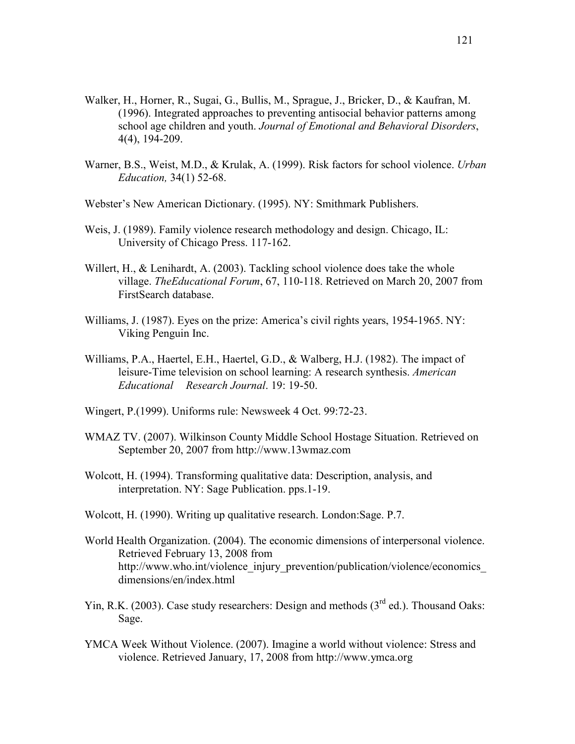- Walker, H., Horner, R., Sugai, G., Bullis, M., Sprague, J., Bricker, D., & Kaufran, M. (1996). Integrated approaches to preventing antisocial behavior patterns among school age children and youth. *Journal of Emotional and Behavioral Disorders*, 4(4), 194-209.
- Warner, B.S., Weist, M.D., & Krulak, A. (1999). Risk factors for school violence. *Urban Education,* 34(1) 52-68.

Webster's New American Dictionary. (1995). NY: Smithmark Publishers.

- Weis, J. (1989). Family violence research methodology and design. Chicago, IL: University of Chicago Press. 117-162.
- Willert, H., & Lenihardt, A. (2003). Tackling school violence does take the whole village. *TheEducational Forum*, 67, 110-118. Retrieved on March 20, 2007 from FirstSearch database.
- Williams, J. (1987). Eyes on the prize: America's civil rights years, 1954-1965. NY: Viking Penguin Inc.
- Williams, P.A., Haertel, E.H., Haertel, G.D., & Walberg, H.J. (1982). The impact of leisure-Time television on school learning: A research synthesis. *American Educational Research Journal*. 19: 19-50.
- Wingert, P.(1999). Uniforms rule: Newsweek 4 Oct. 99:72-23.
- WMAZ TV. (2007). Wilkinson County Middle School Hostage Situation. Retrieved on September 20, 2007 from http://www.13wmaz.com
- Wolcott, H. (1994). Transforming qualitative data: Description, analysis, and interpretation. NY: Sage Publication. pps.1-19.
- Wolcott, H. (1990). Writing up qualitative research. London:Sage. P.7.
- World Health Organization. (2004). The economic dimensions of interpersonal violence. Retrieved February 13, 2008 from http://www.who.int/violence\_injury\_prevention/publication/violence/economics dimensions/en/index.html
- Yin, R.K. (2003). Case study researchers: Design and methods (3<sup>rd</sup> ed.). Thousand Oaks: Sage.
- YMCA Week Without Violence. (2007). Imagine a world without violence: Stress and violence. Retrieved January, 17, 2008 from http://www.ymca.org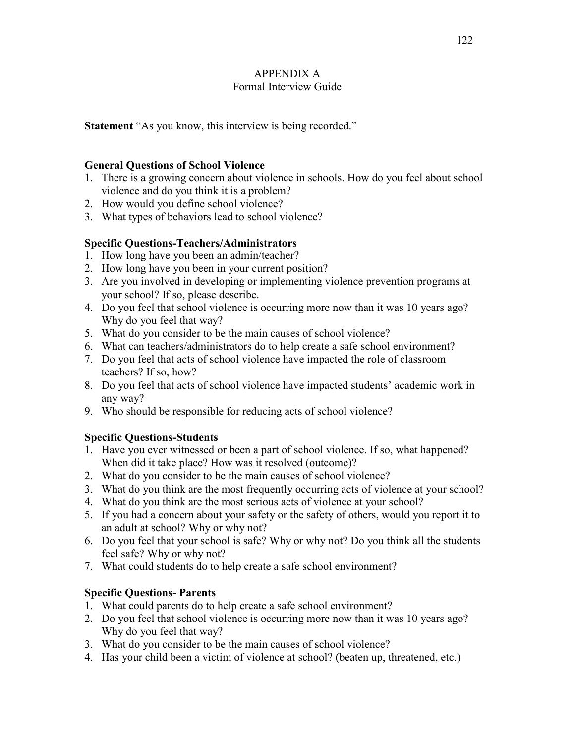# APPENDIX A Formal Interview Guide

**Statement** "As you know, this interview is being recorded."

## **General Questions of School Violence**

- 1. There is a growing concern about violence in schools. How do you feel about school violence and do you think it is a problem?
- 2. How would you define school violence?
- 3. What types of behaviors lead to school violence?

# **Specific Questions-Teachers/Administrators**

- 1. How long have you been an admin/teacher?
- 2. How long have you been in your current position?
- 3. Are you involved in developing or implementing violence prevention programs at your school? If so, please describe.
- 4. Do you feel that school violence is occurring more now than it was 10 years ago? Why do you feel that way?
- 5. What do you consider to be the main causes of school violence?
- 6. What can teachers/administrators do to help create a safe school environment?
- 7. Do you feel that acts of school violence have impacted the role of classroom teachers? If so, how?
- 8. Do you feel that acts of school violence have impacted students' academic work in any way?
- 9. Who should be responsible for reducing acts of school violence?

# **Specific Questions-Students**

- 1. Have you ever witnessed or been a part of school violence. If so, what happened? When did it take place? How was it resolved (outcome)?
- 2. What do you consider to be the main causes of school violence?
- 3. What do you think are the most frequently occurring acts of violence at your school?
- 4. What do you think are the most serious acts of violence at your school?
- 5. If you had a concern about your safety or the safety of others, would you report it to an adult at school? Why or why not?
- 6. Do you feel that your school is safe? Why or why not? Do you think all the students feel safe? Why or why not?
- 7. What could students do to help create a safe school environment?

# **Specific Questions- Parents**

- 1. What could parents do to help create a safe school environment?
- 2. Do you feel that school violence is occurring more now than it was 10 years ago? Why do you feel that way?
- 3. What do you consider to be the main causes of school violence?
- 4. Has your child been a victim of violence at school? (beaten up, threatened, etc.)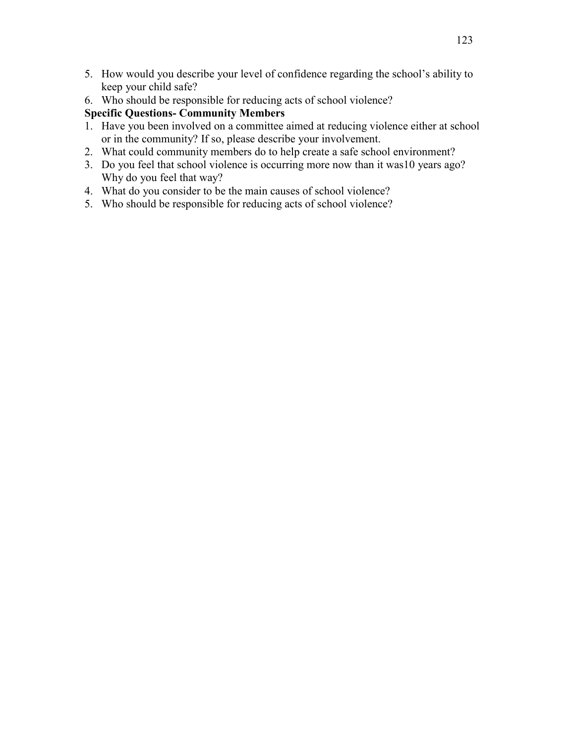- 5. How would you describe your level of confidence regarding the school's ability to keep your child safe?
- 6. Who should be responsible for reducing acts of school violence?

# **Specific Questions- Community Members**

- 1. Have you been involved on a committee aimed at reducing violence either at school or in the community? If so, please describe your involvement.
- 2. What could community members do to help create a safe school environment?
- 3. Do you feel that school violence is occurring more now than it was10 years ago? Why do you feel that way?
- 4. What do you consider to be the main causes of school violence?
- 5. Who should be responsible for reducing acts of school violence?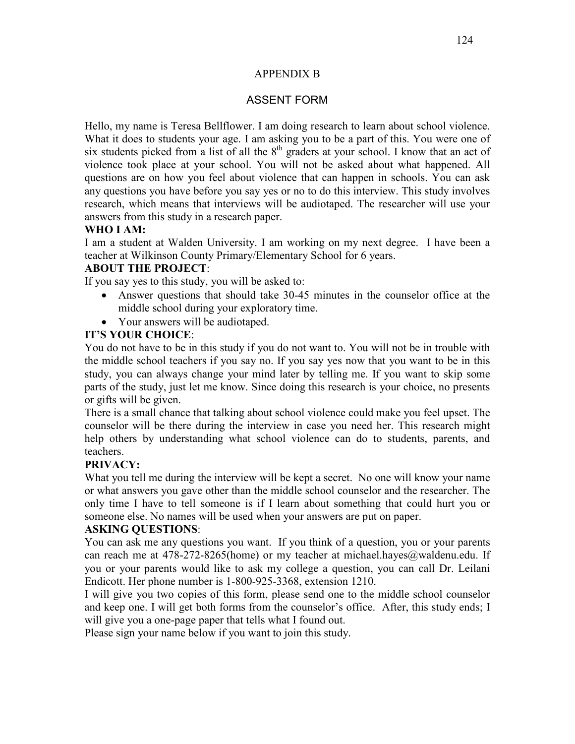#### APPENDIX B

# ASSENT FORM

Hello, my name is Teresa Bellflower. I am doing research to learn about school violence. What it does to students your age. I am asking you to be a part of this. You were one of six students picked from a list of all the  $8<sup>th</sup>$  graders at your school. I know that an act of violence took place at your school. You will not be asked about what happened. All questions are on how you feel about violence that can happen in schools. You can ask any questions you have before you say yes or no to do this interview. This study involves research, which means that interviews will be audiotaped. The researcher will use your answers from this study in a research paper.

## **WHO I AM:**

I am a student at Walden University. I am working on my next degree. I have been a teacher at Wilkinson County Primary/Elementary School for 6 years.

## **ABOUT THE PROJECT**:

If you say yes to this study, you will be asked to:

- Answer questions that should take 30-45 minutes in the counselor office at the middle school during your exploratory time.
- Your answers will be audiotaped.

# **IT'S YOUR CHOICE**:

You do not have to be in this study if you do not want to. You will not be in trouble with the middle school teachers if you say no. If you say yes now that you want to be in this study, you can always change your mind later by telling me. If you want to skip some parts of the study, just let me know. Since doing this research is your choice, no presents or gifts will be given.

There is a small chance that talking about school violence could make you feel upset. The counselor will be there during the interview in case you need her. This research might help others by understanding what school violence can do to students, parents, and teachers.

# **PRIVACY:**

What you tell me during the interview will be kept a secret. No one will know your name or what answers you gave other than the middle school counselor and the researcher. The only time I have to tell someone is if I learn about something that could hurt you or someone else. No names will be used when your answers are put on paper.

## **ASKING QUESTIONS**:

You can ask me any questions you want. If you think of a question, you or your parents can reach me at 478-272-8265(home) or my teacher at michael.hayes@waldenu.edu. If you or your parents would like to ask my college a question, you can call Dr. Leilani Endicott. Her phone number is 1-800-925-3368, extension 1210.

I will give you two copies of this form, please send one to the middle school counselor and keep one. I will get both forms from the counselor's office. After, this study ends; I will give you a one-page paper that tells what I found out.

Please sign your name below if you want to join this study.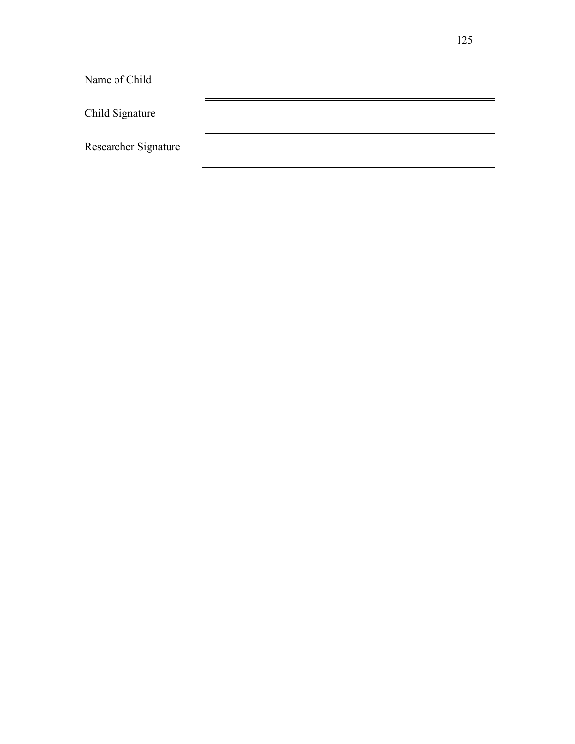Name of Child Child Signature Researcher Signature

 $\blacksquare$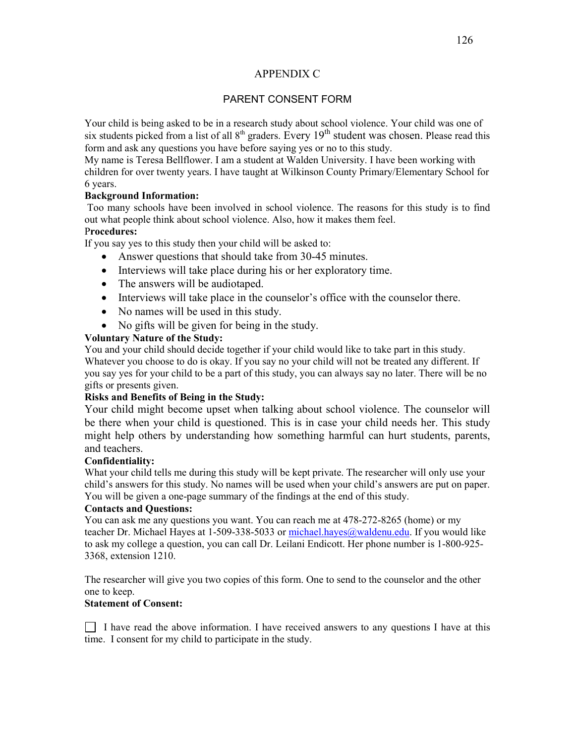#### APPENDIX C

### PARENT CONSENT FORM

Your child is being asked to be in a research study about school violence. Your child was one of six students picked from a list of all  $8<sup>th</sup>$  graders. Every  $19<sup>th</sup>$  student was chosen. Please read this form and ask any questions you have before saying yes or no to this study.

My name is Teresa Bellflower. I am a student at Walden University. I have been working with children for over twenty years. I have taught at Wilkinson County Primary/Elementary School for 6 years.

#### **Background Information:**

 Too many schools have been involved in school violence. The reasons for this study is to find out what people think about school violence. Also, how it makes them feel.

## P**rocedures:**

If you say yes to this study then your child will be asked to:

- Answer questions that should take from 30-45 minutes.
- Interviews will take place during his or her exploratory time.
- The answers will be audiotaped.
- Interviews will take place in the counselor's office with the counselor there.
- No names will be used in this study.
- No gifts will be given for being in the study.

#### **Voluntary Nature of the Study:**

You and your child should decide together if your child would like to take part in this study. Whatever you choose to do is okay. If you say no your child will not be treated any different. If you say yes for your child to be a part of this study, you can always say no later. There will be no gifts or presents given.

#### **Risks and Benefits of Being in the Study:**

Your child might become upset when talking about school violence. The counselor will be there when your child is questioned. This is in case your child needs her. This study might help others by understanding how something harmful can hurt students, parents, and teachers.

#### **Confidentiality:**

What your child tells me during this study will be kept private. The researcher will only use your child's answers for this study. No names will be used when your child's answers are put on paper. You will be given a one-page summary of the findings at the end of this study.

#### **Contacts and Questions:**

You can ask me any questions you want. You can reach me at 478-272-8265 (home) or my teacher Dr. Michael Hayes at 1-509-338-5033 or michael.hayes@waldenu.edu. If you would like to ask my college a question, you can call Dr. Leilani Endicott. Her phone number is 1-800-925- 3368, extension 1210.

The researcher will give you two copies of this form. One to send to the counselor and the other one to keep.

#### **Statement of Consent:**

 $\Box$  I have read the above information. I have received answers to any questions I have at this time. I consent for my child to participate in the study.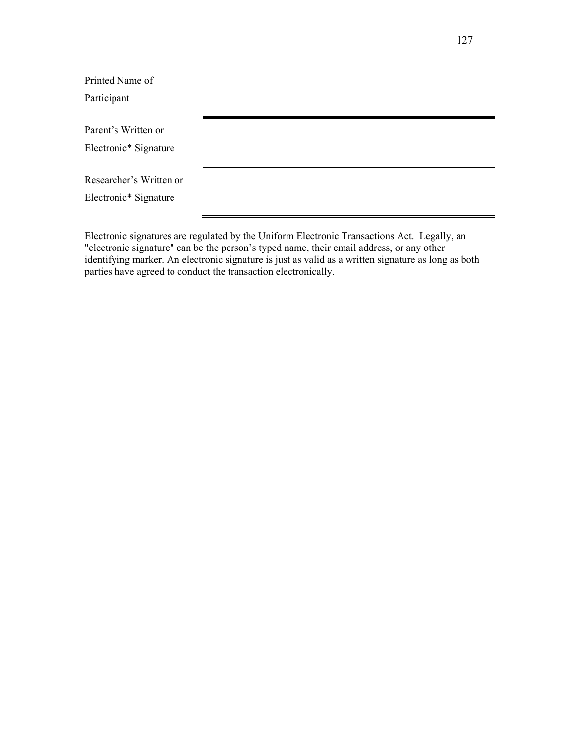Electronic signatures are regulated by the Uniform Electronic Transactions Act. Legally, an "electronic signature" can be the person's typed name, their email address, or any other identifying marker. An electronic signature is just as valid as a written signature as long as both parties have agreed to conduct the transaction electronically.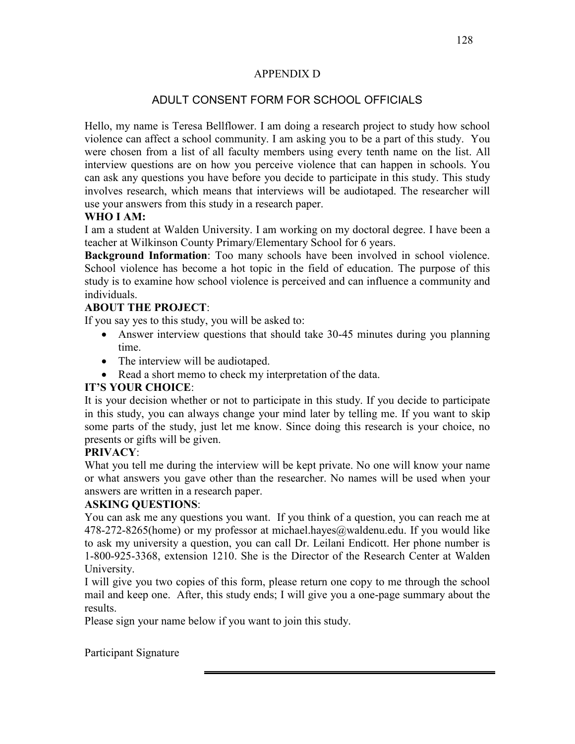## APPENDIX D

# ADULT CONSENT FORM FOR SCHOOL OFFICIALS

Hello, my name is Teresa Bellflower. I am doing a research project to study how school violence can affect a school community. I am asking you to be a part of this study. You were chosen from a list of all faculty members using every tenth name on the list. All interview questions are on how you perceive violence that can happen in schools. You can ask any questions you have before you decide to participate in this study. This study involves research, which means that interviews will be audiotaped. The researcher will use your answers from this study in a research paper.

# **WHO I AM:**

I am a student at Walden University. I am working on my doctoral degree. I have been a teacher at Wilkinson County Primary/Elementary School for 6 years.

**Background Information**: Too many schools have been involved in school violence. School violence has become a hot topic in the field of education. The purpose of this study is to examine how school violence is perceived and can influence a community and individuals.

# **ABOUT THE PROJECT**:

If you say yes to this study, you will be asked to:

- Answer interview questions that should take 30-45 minutes during you planning time.
- The interview will be audiotaped.
- Read a short memo to check my interpretation of the data.

# **IT'S YOUR CHOICE**:

It is your decision whether or not to participate in this study. If you decide to participate in this study, you can always change your mind later by telling me. If you want to skip some parts of the study, just let me know. Since doing this research is your choice, no presents or gifts will be given.

# **PRIVACY**:

What you tell me during the interview will be kept private. No one will know your name or what answers you gave other than the researcher. No names will be used when your answers are written in a research paper.

# **ASKING QUESTIONS**:

You can ask me any questions you want. If you think of a question, you can reach me at 478-272-8265(home) or my professor at michael.hayes@waldenu.edu. If you would like to ask my university a question, you can call Dr. Leilani Endicott. Her phone number is 1-800-925-3368, extension 1210. She is the Director of the Research Center at Walden University.

I will give you two copies of this form, please return one copy to me through the school mail and keep one. After, this study ends; I will give you a one-page summary about the results.

Please sign your name below if you want to join this study.

Participant Signature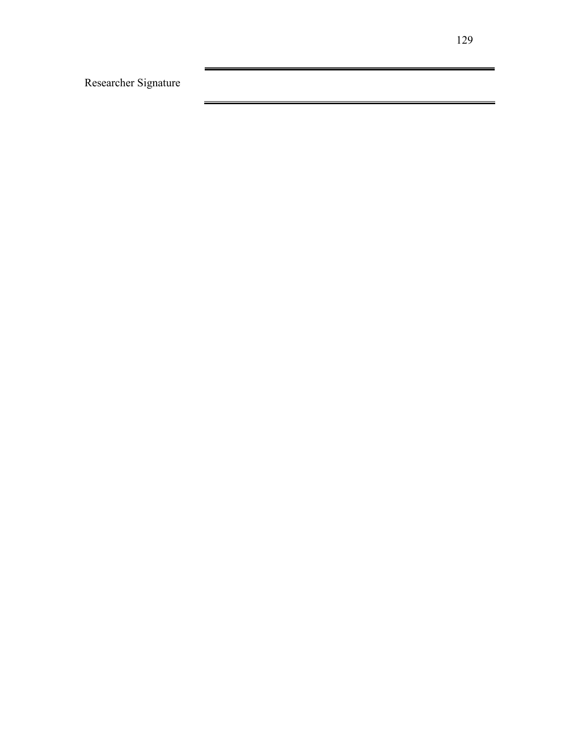Researcher Signature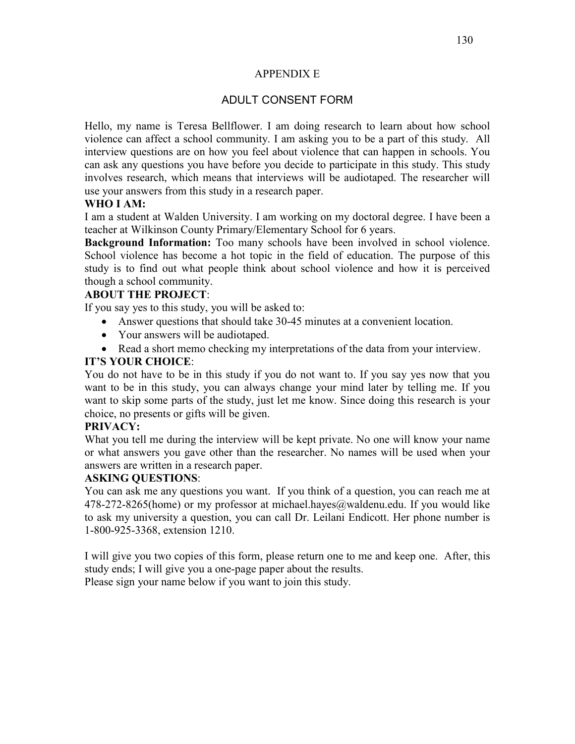### APPENDIX E

## ADULT CONSENT FORM

Hello, my name is Teresa Bellflower. I am doing research to learn about how school violence can affect a school community. I am asking you to be a part of this study. All interview questions are on how you feel about violence that can happen in schools. You can ask any questions you have before you decide to participate in this study. This study involves research, which means that interviews will be audiotaped. The researcher will use your answers from this study in a research paper.

## **WHO I AM:**

I am a student at Walden University. I am working on my doctoral degree. I have been a teacher at Wilkinson County Primary/Elementary School for 6 years.

**Background Information:** Too many schools have been involved in school violence. School violence has become a hot topic in the field of education. The purpose of this study is to find out what people think about school violence and how it is perceived though a school community.

## **ABOUT THE PROJECT**:

If you say yes to this study, you will be asked to:

- Answer questions that should take 30-45 minutes at a convenient location.
- Your answers will be audiotaped.
- Read a short memo checking my interpretations of the data from your interview.

## **IT'S YOUR CHOICE**:

You do not have to be in this study if you do not want to. If you say yes now that you want to be in this study, you can always change your mind later by telling me. If you want to skip some parts of the study, just let me know. Since doing this research is your choice, no presents or gifts will be given.

## **PRIVACY:**

What you tell me during the interview will be kept private. No one will know your name or what answers you gave other than the researcher. No names will be used when your answers are written in a research paper.

## **ASKING QUESTIONS**:

You can ask me any questions you want. If you think of a question, you can reach me at  $478-272-8265$ (home) or my professor at michael.hayes@waldenu.edu. If you would like to ask my university a question, you can call Dr. Leilani Endicott. Her phone number is 1-800-925-3368, extension 1210.

I will give you two copies of this form, please return one to me and keep one. After, this study ends; I will give you a one-page paper about the results.

Please sign your name below if you want to join this study.